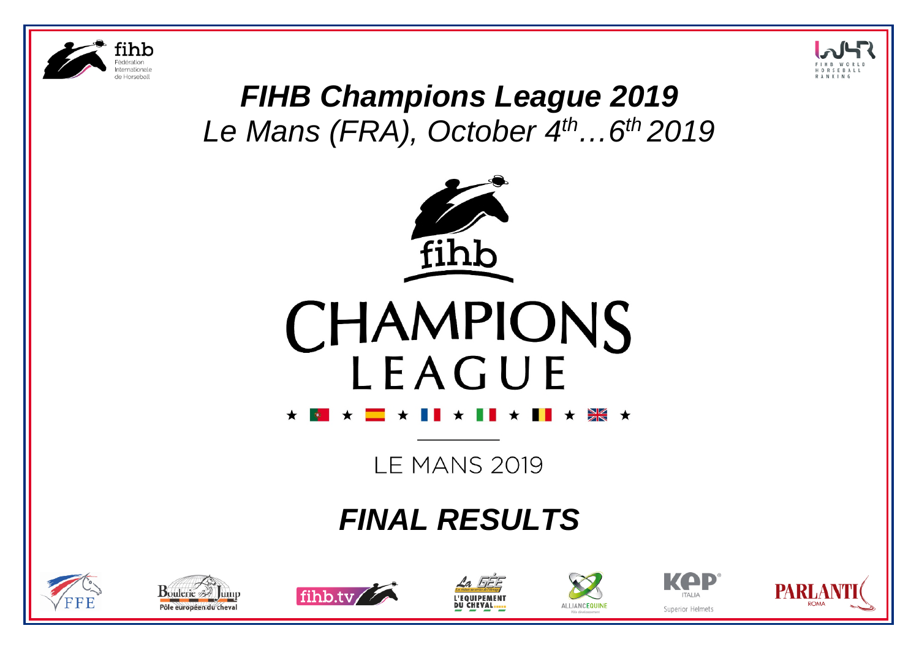



# *FIHB Champions League 2019 Le Mans (FRA), October 4th…6th 2019*





**LE MANS 2019** 

# *FINAL RESULTS*













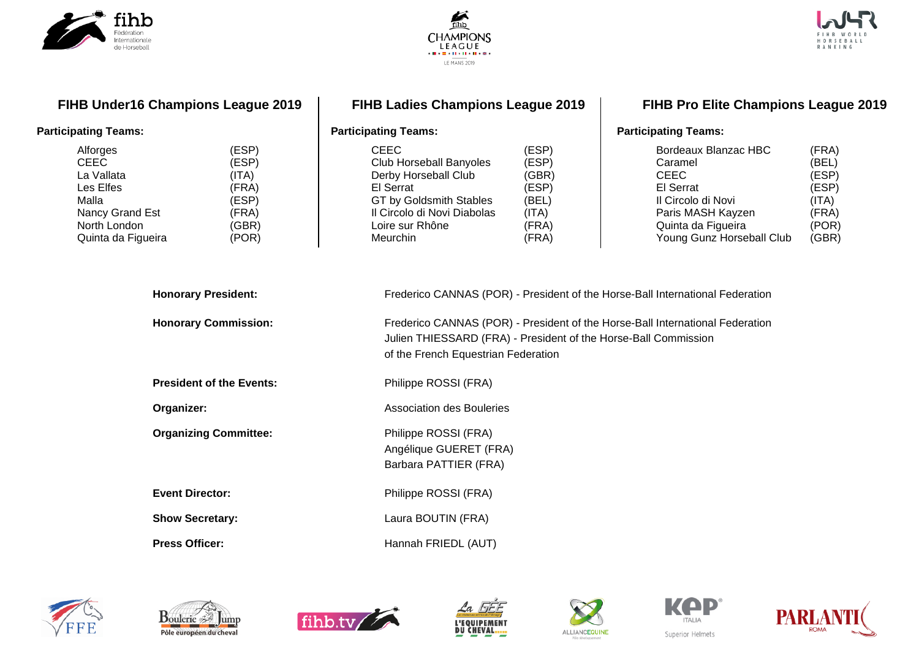





**FIHB Under16 Champions League 2019**

#### **Participating Teams:**

| Alforges           | (ESP) |
|--------------------|-------|
| <b>CEEC</b>        | (ESP) |
| La Vallata         | (ITA) |
| Les Elfes          | (FRA) |
| Malla              | (ESP) |
| Nancy Grand Est    | (FRA) |
| North London       | (GBR) |
| Quinta da Figueira | (POR) |
|                    |       |

### **FIHB Ladies Champions League 2019**

#### **FIHB Pro Elite Champions League 2019**

#### **Participating Teams:**

| <b>CEEC</b>                    | (ESP) |
|--------------------------------|-------|
| <b>Club Horseball Banyoles</b> | (ESP) |
| Derby Horseball Club           | (GBR) |
| El Serrat                      | (ESP) |
| GT by Goldsmith Stables        | (BEL) |
| Il Circolo di Novi Diabolas    | (ITA) |
| Loire sur Rhône                | (FRA) |
| Meurchin                       | (FRA) |
|                                |       |

#### Bordeaux Blanzac HBC (FRA)<br>Caramel (BEL) Caramel (BEL)<br>CEEC (ESP) CEEC (ESP)<br>El Serrat (ESP) El Serrat (ESP)<br>Il Circolo di Novi (ITA) Il Circolo di Novi (ITA)<br>Paris MASH Kayzen (FRA) Paris MASH Kayzen (FRA)<br>Quinta da Figueira (POR) Quinta da Figueira (POR)<br>Young Gunz Horseball Club (GBR) Young Gunz Horseball Club

**Participating Teams:**

| <b>Honorary President:</b>      | Frederico CANNAS (POR) - President of the Horse-Ball International Federation                                                                                                           |
|---------------------------------|-----------------------------------------------------------------------------------------------------------------------------------------------------------------------------------------|
| <b>Honorary Commission:</b>     | Frederico CANNAS (POR) - President of the Horse-Ball International Federation<br>Julien THIESSARD (FRA) - President of the Horse-Ball Commission<br>of the French Equestrian Federation |
| <b>President of the Events:</b> | Philippe ROSSI (FRA)                                                                                                                                                                    |
| Organizer:                      | <b>Association des Bouleries</b>                                                                                                                                                        |
| <b>Organizing Committee:</b>    | Philippe ROSSI (FRA)<br>Angélique GUERET (FRA)<br>Barbara PATTIER (FRA)                                                                                                                 |
| <b>Event Director:</b>          | Philippe ROSSI (FRA)                                                                                                                                                                    |
| <b>Show Secretary:</b>          | Laura BOUTIN (FRA)                                                                                                                                                                      |
| <b>Press Officer:</b>           | Hannah FRIEDL (AUT)                                                                                                                                                                     |













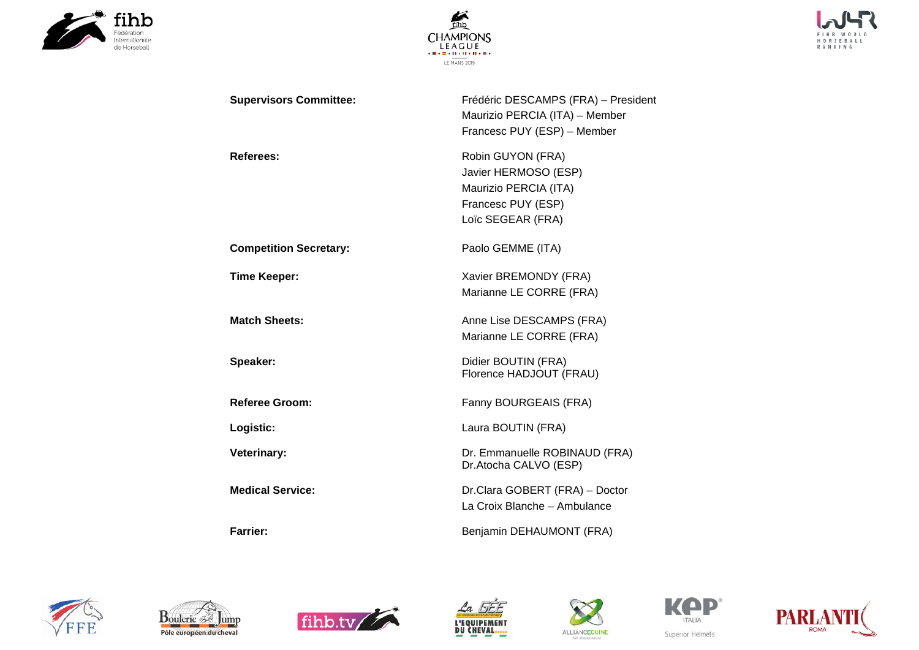





| <b>Supervisors Committee:</b> | Frédéric DESCAMPS (FRA) - President<br>Maurizio PERCIA (ITA) - Member<br>Francesc PUY (ESP) - Member          |
|-------------------------------|---------------------------------------------------------------------------------------------------------------|
| Referees:                     | Robin GUYON (FRA)<br>Javier HERMOSO (ESP)<br>Maurizio PERCIA (ITA)<br>Francesc PUY (ESP)<br>Loïc SEGEAR (FRA) |
| <b>Competition Secretary:</b> | Paolo GEMME (ITA)                                                                                             |
| <b>Time Keeper:</b>           | Xavier BREMONDY (FRA)<br>Marianne LE CORRE (FRA)                                                              |
| <b>Match Sheets:</b>          | Anne Lise DESCAMPS (FRA)<br>Marianne LE CORRE (FRA)                                                           |
| Speaker:                      | Didier BOUTIN (FRA)<br>Florence HADJOUT (FRAU)                                                                |
| <b>Referee Groom:</b>         | Fanny BOURGEAIS (FRA)                                                                                         |
| Logistic:                     | Laura BOUTIN (FRA)                                                                                            |
| <b>Veterinary:</b>            | Dr. Emmanuelle ROBINAUD (FRA)<br>Dr.Atocha CALVO (ESP)                                                        |
| <b>Medical Service:</b>       | Dr.Clara GOBERT (FRA) - Doctor<br>La Croix Blanche - Ambulance                                                |

**Farrier: Farrier: Benjamin DEHAUMONT** (FRA)













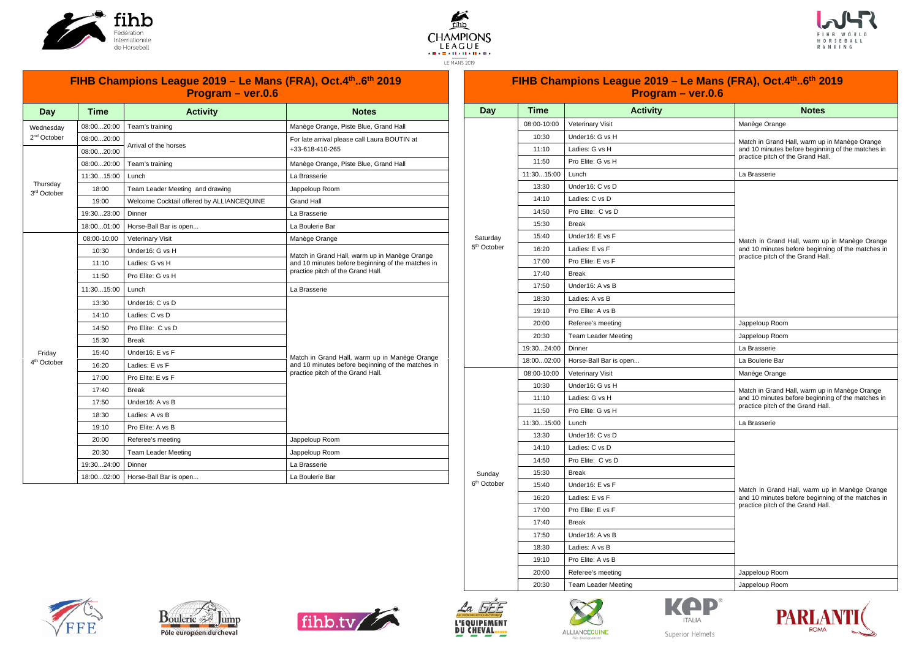





|                                     |             | FIHB Champions League 2019 - Le Mans (FRA), Oct.4 <sup>th</sup> 6 <sup>th</sup> 2019<br>Program - ver.0.6 |                                                   |  |  |
|-------------------------------------|-------------|-----------------------------------------------------------------------------------------------------------|---------------------------------------------------|--|--|
| Day                                 | <b>Time</b> | <b>Activity</b>                                                                                           | <b>Notes</b>                                      |  |  |
| Wednesday                           | 08:0020:00  | Team's training                                                                                           | Manège Orange, Piste Blue, Grand Hall             |  |  |
| 2 <sup>nd</sup> October             | 08:0020:00  | Arrival of the horses                                                                                     | For late arrival please call Laura BOUTIN at      |  |  |
|                                     | 08:0020:00  |                                                                                                           | +33-618-410-265                                   |  |  |
|                                     | 08:0020:00  | Team's training                                                                                           | Manège Orange, Piste Blue, Grand Hall             |  |  |
|                                     | 11:3015:00  | Lunch                                                                                                     | La Brasserie                                      |  |  |
| Thursday<br>3 <sup>rd</sup> October | 18:00       | Team Leader Meeting and drawing                                                                           | Jappeloup Room                                    |  |  |
|                                     | 19:00       | Welcome Cocktail offered by ALLIANCEQUINE                                                                 | Grand Hall                                        |  |  |
|                                     | 19:3023:00  | Dinner                                                                                                    | La Brasserie                                      |  |  |
|                                     | 18:0001:00  | Horse-Ball Bar is open                                                                                    | La Boulerie Bar                                   |  |  |
|                                     | 08:00-10:00 | <b>Veterinary Visit</b>                                                                                   | Manège Orange                                     |  |  |
|                                     | 10:30       | Under16: G vs H                                                                                           | Match in Grand Hall, warm up in Manège Orange     |  |  |
|                                     | 11:10       | Ladies: G vs H                                                                                            | and 10 minutes before beginning of the matches in |  |  |
|                                     | 11:50       | Pro Elite: G vs H                                                                                         | practice pitch of the Grand Hall.                 |  |  |
|                                     | 11:3015:00  | Lunch                                                                                                     | La Brasserie                                      |  |  |
|                                     | 13:30       | Under16: C vs D                                                                                           |                                                   |  |  |
|                                     | 14:10       | Ladies: C vs D                                                                                            |                                                   |  |  |
|                                     | 14:50       | Pro Elite: C vs D                                                                                         |                                                   |  |  |
|                                     | 15:30       | <b>Break</b>                                                                                              |                                                   |  |  |
| Friday                              | 15:40       | Under16: E vs F                                                                                           | Match in Grand Hall, warm up in Manège Orange     |  |  |
| 4 <sup>th</sup> October             | 16:20       | Ladies: E vs F                                                                                            | and 10 minutes before beginning of the matches in |  |  |
|                                     | 17:00       | Pro Elite: E vs F                                                                                         | practice pitch of the Grand Hall.                 |  |  |
|                                     | 17:40       | <b>Break</b>                                                                                              |                                                   |  |  |
|                                     | 17:50       | Under16: A vs B                                                                                           |                                                   |  |  |
|                                     | 18:30       | Ladies: A vs B                                                                                            |                                                   |  |  |
|                                     | 19:10       | Pro Elite: A vs B                                                                                         |                                                   |  |  |
|                                     | 20:00       | Referee's meeting                                                                                         | Jappeloup Room                                    |  |  |
|                                     | 20:30       | <b>Team Leader Meeting</b>                                                                                | Jappeloup Room                                    |  |  |
|                                     | 19:3024:00  | Dinner                                                                                                    | La Brasserie                                      |  |  |
|                                     | 18:0002:00  | Horse-Ball Bar is open                                                                                    | La Boulerie Bar                                   |  |  |

|                         |             | FIHB Champions League 2019 – Le Mans (FRA), Oct.4th6th 2019<br>Program - ver.0.6 |                                                                                                    |  |  |  |  |
|-------------------------|-------------|----------------------------------------------------------------------------------|----------------------------------------------------------------------------------------------------|--|--|--|--|
| Day                     | Time        | <b>Activity</b>                                                                  | <b>Notes</b>                                                                                       |  |  |  |  |
|                         | 08:00-10:00 | <b>Veterinary Visit</b>                                                          | Manège Orange                                                                                      |  |  |  |  |
|                         | 10:30       | Under16: G vs H                                                                  |                                                                                                    |  |  |  |  |
|                         | 11:10       | Ladies: G vs H                                                                   | Match in Grand Hall, warm up in Manège Orange<br>and 10 minutes before beginning of the matches in |  |  |  |  |
|                         | 11:50       | Pro Elite: G vs H                                                                | practice pitch of the Grand Hall.                                                                  |  |  |  |  |
|                         | 11:3015:00  | Lunch                                                                            | La Brasserie                                                                                       |  |  |  |  |
|                         | 13:30       | Under16: C vs D                                                                  |                                                                                                    |  |  |  |  |
|                         | 14:10       | Ladies: C vs D                                                                   |                                                                                                    |  |  |  |  |
|                         | 14:50       | Pro Elite: C vs D                                                                |                                                                                                    |  |  |  |  |
|                         | 15:30       | <b>Break</b>                                                                     |                                                                                                    |  |  |  |  |
| Saturday                | 15:40       | Under16: E vs F                                                                  | Match in Grand Hall, warm up in Manège Orange                                                      |  |  |  |  |
| 5 <sup>th</sup> October | 16:20       | Ladies: E vs F                                                                   | and 10 minutes before beginning of the matches in                                                  |  |  |  |  |
|                         | 17:00       | Pro Elite: E vs F                                                                | practice pitch of the Grand Hall.                                                                  |  |  |  |  |
|                         | 17:40       | <b>Break</b>                                                                     |                                                                                                    |  |  |  |  |
|                         | 17:50       | Under16: A vs B                                                                  |                                                                                                    |  |  |  |  |
|                         | 18:30       | Ladies: A vs B                                                                   |                                                                                                    |  |  |  |  |
|                         | 19:10       | Pro Elite: A vs B                                                                |                                                                                                    |  |  |  |  |
|                         | 20:00       | Referee's meeting                                                                | Jappeloup Room                                                                                     |  |  |  |  |
|                         | 20:30       | <b>Team Leader Meeting</b>                                                       | Jappeloup Room                                                                                     |  |  |  |  |
|                         | 19:3024:00  | Dinner                                                                           | La Brasserie                                                                                       |  |  |  |  |
|                         | 18:0002:00  | Horse-Ball Bar is open                                                           | La Boulerie Bar                                                                                    |  |  |  |  |
|                         | 08:00-10:00 | Veterinary Visit                                                                 | Manège Orange                                                                                      |  |  |  |  |
|                         | 10:30       | Under16: G vs H                                                                  | Match in Grand Hall, warm up in Manège Orange                                                      |  |  |  |  |
|                         | 11:10       | Ladies: G vs H                                                                   | and 10 minutes before beginning of the matches in                                                  |  |  |  |  |
|                         | 11:50       | Pro Elite: G vs H                                                                | practice pitch of the Grand Hall.                                                                  |  |  |  |  |
|                         | 11:3015:00  | Lunch                                                                            | La Brasserie                                                                                       |  |  |  |  |
|                         | 13:30       | Under16: C vs D                                                                  |                                                                                                    |  |  |  |  |
|                         | 14:10       | Ladies: C vs D                                                                   |                                                                                                    |  |  |  |  |
|                         | 14:50       | Pro Elite: C vs D                                                                |                                                                                                    |  |  |  |  |
| Sunday                  | 15:30       | <b>Break</b>                                                                     |                                                                                                    |  |  |  |  |
| 6 <sup>th</sup> October | 15:40       | Under16: E vs F                                                                  | Match in Grand Hall, warm up in Manège Orange                                                      |  |  |  |  |
|                         | 16:20       | Ladies: E vs F                                                                   | and 10 minutes before beginning of the matches in<br>practice pitch of the Grand Hall.             |  |  |  |  |
|                         | 17:00       | Pro Elite: E vs F                                                                |                                                                                                    |  |  |  |  |
|                         | 17:40       | <b>Break</b>                                                                     |                                                                                                    |  |  |  |  |
|                         | 17:50       | Under16: A vs B                                                                  |                                                                                                    |  |  |  |  |
|                         | 18:30       | Ladies: A vs B                                                                   |                                                                                                    |  |  |  |  |
|                         | 19:10       | Pro Elite: A vs B                                                                |                                                                                                    |  |  |  |  |
|                         | 20:00       | Referee's meeting                                                                | Jappeloup Room                                                                                     |  |  |  |  |
|                         | 20:30       | <b>Team Leader Meeting</b>                                                       | Jappeloup Room                                                                                     |  |  |  |  |













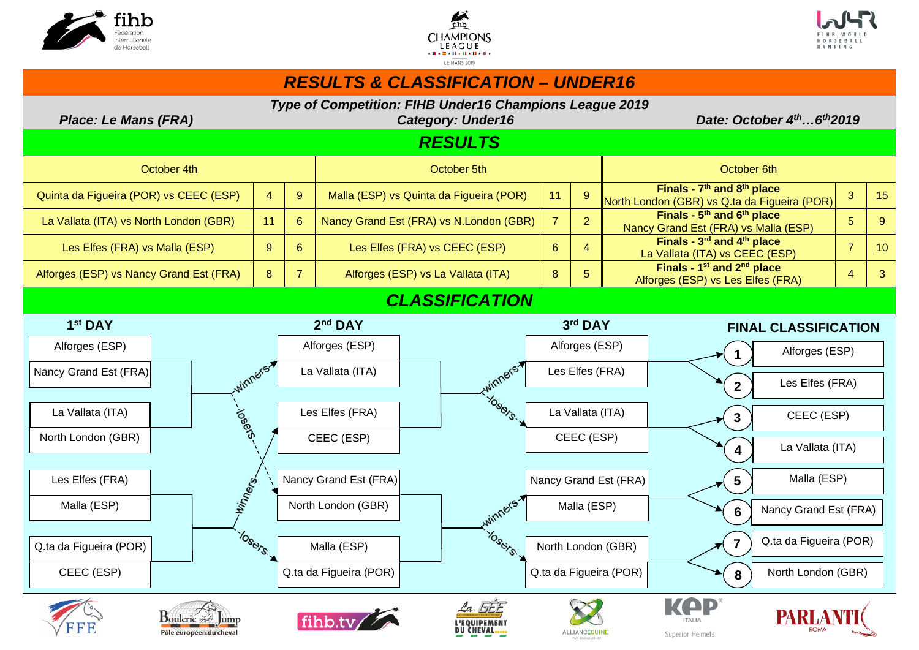





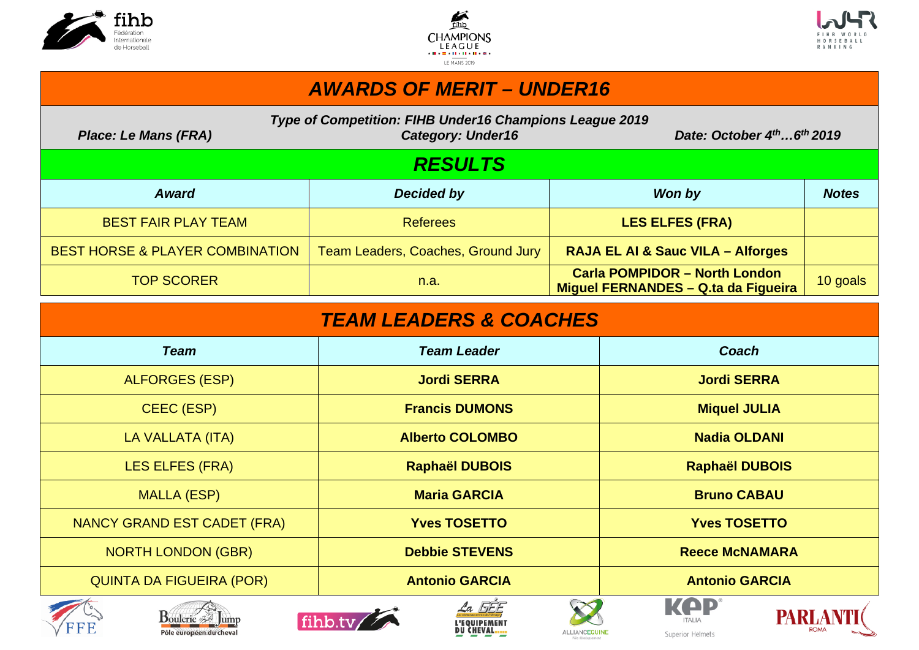





# *AWARDS OF MERIT – UNDER16*

*Type of Competition: FIHB Under16 Champions League 2019* 

*Place: Le Mans (FRA)* Category: Under16 Date: October 4<sup>th</sup> ...6<sup>th</sup> 2019

# *RESULTS*

| <b>Award</b>                               | Decided by                         | Won by                                                                      | <b>Notes</b> |
|--------------------------------------------|------------------------------------|-----------------------------------------------------------------------------|--------------|
| <b>BEST FAIR PLAY TEAM</b>                 | <b>Referees</b>                    | <b>LES ELFES (FRA)</b>                                                      |              |
| <b>BEST HORSE &amp; PLAYER COMBINATION</b> | Team Leaders, Coaches, Ground Jury | <b>RAJA EL AI &amp; Sauc VILA - Alforges</b>                                |              |
| <b>TOP SCORER</b>                          | n.a.                               | <b>Carla POMPIDOR - North London</b><br>Miguel FERNANDES - Q.ta da Figueira | 10 goals     |

| <b>TEAM LEADERS &amp; COACHES</b> |                              |                                 |  |  |  |  |
|-----------------------------------|------------------------------|---------------------------------|--|--|--|--|
| <b>Team</b>                       | <b>Team Leader</b>           | Coach                           |  |  |  |  |
| <b>ALFORGES (ESP)</b>             | <b>Jordi SERRA</b>           | <b>Jordi SERRA</b>              |  |  |  |  |
| CEEC (ESP)                        | <b>Francis DUMONS</b>        | <b>Miquel JULIA</b>             |  |  |  |  |
| LA VALLATA (ITA)                  | <b>Alberto COLOMBO</b>       | <b>Nadia OLDANI</b>             |  |  |  |  |
| <b>LES ELFES (FRA)</b>            | <b>Raphaël DUBOIS</b>        | <b>Raphaël DUBOIS</b>           |  |  |  |  |
| <b>MALLA (ESP)</b>                | <b>Maria GARCIA</b>          | <b>Bruno CABAU</b>              |  |  |  |  |
| NANCY GRAND EST CADET (FRA)       | <b>Yves TOSETTO</b>          | <b>Yves TOSETTO</b>             |  |  |  |  |
| <b>NORTH LONDON (GBR)</b>         | <b>Debbie STEVENS</b>        | <b>Reece McNAMARA</b>           |  |  |  |  |
| <b>QUINTA DA FIGUEIRA (POR)</b>   | <b>Antonio GARCIA</b>        | <b>Antonio GARCIA</b>           |  |  |  |  |
| $\mathbf{m}$                      | $\angle a$ $EFE$<br>$\infty$ | KAP<br><b>INA INF A BITTIE!</b> |  |  |  |  |













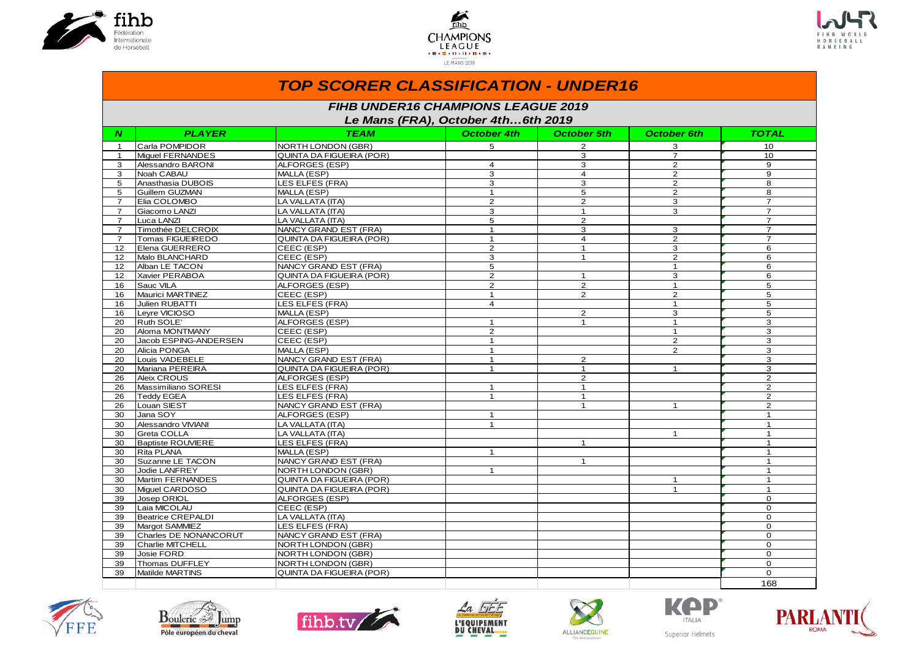





|                  |                                                                                 | <b>TOP SCORER CLASSIFICATION - UNDER16</b> |                    |                |                    |                 |  |  |
|------------------|---------------------------------------------------------------------------------|--------------------------------------------|--------------------|----------------|--------------------|-----------------|--|--|
|                  | <b>FIHB UNDER16 CHAMPIONS LEAGUE 2019</b><br>Le Mans (FRA), October 4th6th 2019 |                                            |                    |                |                    |                 |  |  |
| $\boldsymbol{N}$ | <b>PLAYER</b>                                                                   | <b>TEAM</b>                                | <b>October 4th</b> | October 5th    | <b>October 6th</b> | TOTAL           |  |  |
| $\mathbf{1}$     | Carla POMPIDOR                                                                  | NORTH LONDON (GBR)                         | 5 <sup>5</sup>     | $\overline{2}$ | 3                  | 10 <sup>1</sup> |  |  |
| $\mathbf{1}$     | Miquel FERNANDES                                                                | QUINTA DA FIGUEIRA (POR)                   |                    | 3              | $\overline{7}$     | 10              |  |  |
| 3                | Alessandro BARONI                                                               | ALFORGES (ESP)                             | $\overline{4}$     | 3              | $\overline{2}$     | 9               |  |  |
| 3                | Noah CABAU                                                                      | MALLA (ESP)                                | 3                  | $\overline{4}$ | $\overline{2}$     | 9               |  |  |
| 5                | Anasthasia DUBOIS                                                               | LES ELFES (FRA)                            | 3                  | 3              | $\overline{2}$     | 8               |  |  |
| 5                | Guillem GUZMAN                                                                  | MALLA (ESP)                                | $\mathbf{1}$       | 5              | $\mathbf{2}$       | 8               |  |  |
| $\overline{7}$   | Elia COLOMBO                                                                    | LA VALLATA (ITA)                           | 2                  | $\overline{2}$ | 3                  | $\overline{7}$  |  |  |
| $\overline{7}$   | Giacomo LANZI                                                                   | LA VALLATA (ITA)                           | 3                  | $\mathbf{1}$   | 3                  | $\overline{7}$  |  |  |
| $\overline{7}$   | Luca LANZI                                                                      | LA VALLATA (ITA)                           | 5                  | $\overline{2}$ |                    | $\overline{7}$  |  |  |
| $\overline{7}$   | Timothée DELCROIX                                                               | NANCY GRAND EST (FRA)                      | $\mathbf{1}$       | 3              | 3                  | $\overline{7}$  |  |  |
| $\overline{7}$   | Tomas FIGUEIREDO                                                                | QUINTA DA FIGUEIRA (POR)                   | $\mathbf{1}$       | $\overline{4}$ | $\overline{2}$     | $\overline{7}$  |  |  |
| 12               | Elena GUERRERO                                                                  | CEEC (ESP)                                 | $\mathbf{2}$       | $\mathbf{1}$   | 3                  | 6               |  |  |
| 12               | Malo BLANCHARD                                                                  | CEEC (ESP)                                 | 3                  | $\mathbf{1}$   | $\overline{2}$     | 6               |  |  |
| 12               | Alban LE TACON                                                                  | NANCY GRAND EST (FRA)                      | 5                  |                | $\mathbf{1}$       | 6               |  |  |
| 12               | Xavier PERABOA                                                                  | QUINTA DA FIGUEIRA (POR)                   | $\mathbf{2}$       | $\mathbf{1}$   | 3                  | 6               |  |  |
| 16               | Sauc VILA                                                                       | ALFORGES (ESP)                             | $\overline{2}$     | $\overline{2}$ | $\mathbf{1}$       | 5               |  |  |
| 16               | Maurici MARTINEZ                                                                | CEEC (ESP)                                 | $\mathbf{1}$       | $\overline{2}$ | $\overline{2}$     | 5               |  |  |
| 16               | Julien RUBATTI                                                                  | LES ELFES (FRA)                            | 4                  |                | $\mathbf{1}$       | 5               |  |  |
| 16               | Leyre VICIOSO                                                                   | MALLA (ESP)                                |                    | $\overline{2}$ | 3                  | 5               |  |  |
| 20               | Ruth SOLE'                                                                      | ALFORGES (ESP)                             | $\mathbf{1}$       | $\mathbf{1}$   | $\mathbf{1}$       | 3               |  |  |
| 20               | Aloma MONTMANY                                                                  | CEEC (ESP)                                 | $\overline{2}$     |                | $\mathbf{1}$       | 3               |  |  |
| 20               | Jacob ESPING-ANDERSEN                                                           | CEEC (ESP)                                 | $\mathbf{1}$       |                | $\overline{2}$     | 3               |  |  |
| 20               | Alicia PONGA                                                                    | MALLA (ESP)                                | $\mathbf{1}$       |                | $\overline{2}$     | 3               |  |  |
| 20               | Louis VADEBELE                                                                  | NANCY GRAND EST (FRA)                      | $\mathbf{1}$       | $\overline{2}$ |                    | 3               |  |  |
| 20               | Mariana PEREIRA                                                                 | QUINTA DA FIGUEIRA (POR)                   | $\mathbf{1}$       | $\mathbf{1}$   | $\mathbf{1}$       | 3               |  |  |
| 26               | Aleix CROUS                                                                     | ALFORGES (ESP)                             |                    | $\overline{2}$ |                    | $\overline{2}$  |  |  |
| 26               | Massimiliano SORESI                                                             | LES ELFES (FRA)                            | $\mathbf{1}$       | $\mathbf{1}$   |                    | $\overline{2}$  |  |  |
| 26               | <b>Teddy EGEA</b>                                                               | LES ELFES (FRA)                            | $\mathbf{1}$       | $\mathbf{1}$   |                    | $\overline{2}$  |  |  |
| 26               | Louan SIEST                                                                     | NANCY GRAND EST (FRA)                      |                    | $\mathbf{1}$   | $\mathbf{1}$       | $\overline{2}$  |  |  |
| 30               | Jana SOY                                                                        | ALFORGES (ESP)                             | $\mathbf{1}$       |                |                    | $\mathbf{1}$    |  |  |
| 30               | Alessandro VIVIANI                                                              | LA VALLATA (ITA)                           | $\mathbf{1}$       |                |                    | $\mathbf{1}$    |  |  |
| 30               | Greta COLLA                                                                     | LA VALLATA (ITA)                           |                    |                | $\mathbf{1}$       | $\mathbf{1}$    |  |  |
| 30               | <b>Baptiste ROUVIERE</b>                                                        | LES ELFES (FRA)                            |                    | $\mathbf{1}$   |                    | $\mathbf{1}$    |  |  |
| 30               | Rita PLANA                                                                      | MALLA (ESP)                                | $\mathbf{1}$       |                |                    | $\mathbf{1}$    |  |  |
| 30               | Suzanne LE TACON                                                                | NANCY GRAND EST (FRA)                      |                    | $\mathbf{1}$   |                    | $\mathbf{1}$    |  |  |
| 30               | Jodie LANFREY                                                                   | NORTH LONDON (GBR)                         | $\mathbf{1}$       |                |                    | $\mathbf{1}$    |  |  |
| 30               | Martim FERNANDES                                                                | QUINTA DA FIGUEIRA (POR)                   |                    |                | $\mathbf{1}$       | $\mathbf{1}$    |  |  |
| 30               | Miquel CARDOSO                                                                  | QUINTA DA FIGUEIRA (POR)                   |                    |                | $\mathbf{1}$       | $\mathbf{1}$    |  |  |
| 39               | Josep ORIOL                                                                     | ALFORGES (ESP)                             |                    |                |                    | $\mathbf 0$     |  |  |
| 39               | Laia MICOLAU                                                                    | CEEC (ESP)                                 |                    |                |                    | $\mathbf 0$     |  |  |
| 39               | Beatrice CREPALDI                                                               | LA VALLATA (ITA)                           |                    |                |                    | $\mathbf 0$     |  |  |
| 39               | Margot SAMMIEZ                                                                  | LES ELFES (FRA)                            |                    |                |                    | $\Omega$        |  |  |
| 39               | Charles DE NONANCORUT                                                           | NANCY GRAND EST (FRA)                      |                    |                |                    | $\mathbf 0$     |  |  |
| 39               | Charlie MITCHELL                                                                | <b>NORTH LONDON (GBR)</b>                  |                    |                |                    | $\mathbf 0$     |  |  |
| 39               | Josie FORD                                                                      | NORTH LONDON (GBR)                         |                    |                |                    | $\mathbf{O}$    |  |  |
| 39               | Thomas DUFFLEY                                                                  | <b>NORTH LONDON (GBR)</b>                  |                    |                |                    | $\Omega$        |  |  |
| 39               | Matilde MARTINS                                                                 | QUINTA DA FIGUEIRA (POR)                   |                    |                |                    | $\Omega$        |  |  |
|                  |                                                                                 |                                            |                    |                |                    | 168             |  |  |













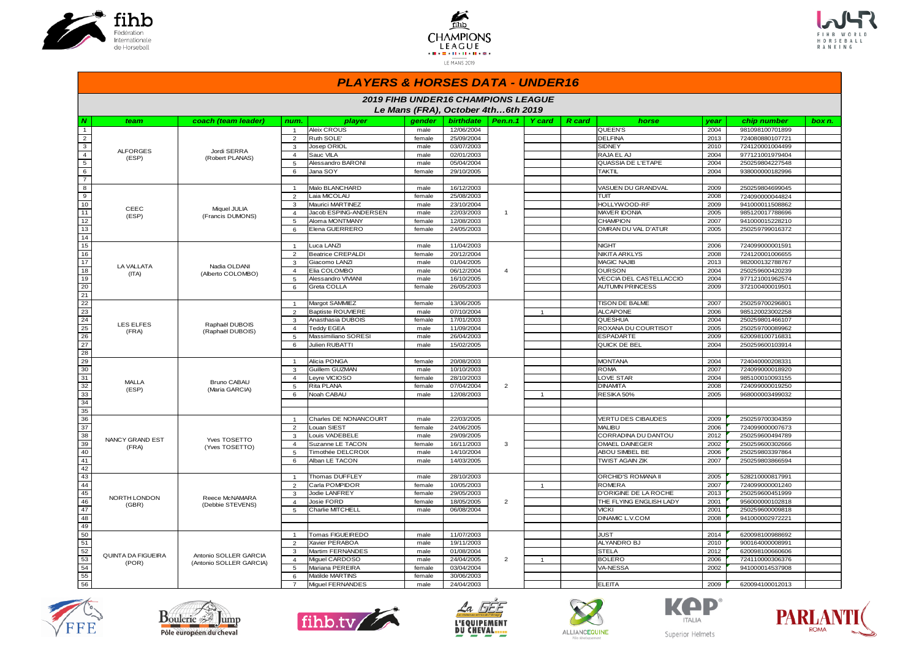





#### *PLAYERS & HORSES DATA - UNDER16*

|                         | <b>2019 FIHB UNDER16 CHAMPIONS LEAGUE</b><br>Le Mans (FRA), October 4th6th 2019 |                                    |                |                                       |              |                          |                |                |               |                                  |              |                 |        |
|-------------------------|---------------------------------------------------------------------------------|------------------------------------|----------------|---------------------------------------|--------------|--------------------------|----------------|----------------|---------------|----------------------------------|--------------|-----------------|--------|
| N                       | team                                                                            | coach (team leader)                | num.           | player                                | aender       | <b>birthdate</b>         | Pen.n.1        | Y card         | <b>R</b> card | horse                            | year         | chip number     | box n. |
| $\overline{1}$          |                                                                                 |                                    | $\overline{1}$ | Aleix CROUS                           | male         | 12/06/2004               |                |                |               | QUEEN'S                          | 2004         | 981098100701899 |        |
| $\overline{2}$          |                                                                                 |                                    | 2              | Ruth SOLE'                            | female       | 25/09/2004               |                |                |               | <b>DELFINA</b>                   | 2013         | 724080880107721 |        |
| $\overline{\mathbf{3}}$ |                                                                                 |                                    | 3              | Josep ORIOL                           | male         | 03/07/2003               |                |                |               | <b>SIDNEY</b>                    | 2010         | 724120001004499 |        |
| $\overline{4}$          | <b>ALFORGES</b>                                                                 | Jordi SERRA                        | $\overline{4}$ | Sauc VILA                             | male         | 02/01/2003               |                |                |               | RAJA EL AJ                       | 2004         | 977121001979404 |        |
| $\overline{5}$          | (ESP)                                                                           | (Robert PLANAS)                    | 5              | Alessandro BARONI                     | male         | 05/04/2004               |                |                |               | QUASSIA DE L'ETAPE               | 2004         | 250259804227548 |        |
| $6\overline{}$          |                                                                                 |                                    | 6              | Jana SOY                              | female       | 29/10/2005               |                |                |               | <b>TAKTIL</b>                    | 2004         | 938000000182996 |        |
| $\overline{7}$          |                                                                                 |                                    |                |                                       |              |                          |                |                |               |                                  |              |                 |        |
| $\overline{8}$          |                                                                                 |                                    | $\mathbf{1}$   | Malo BLANCHARD                        | male         | 16/12/2003               |                |                |               | VASUEN DU GRANDVAL               | 2009         | 250259804699045 |        |
| $\overline{9}$          |                                                                                 |                                    | 2              | Laia MICOLAU                          | female       | 25/08/2003               |                |                |               | TUIT                             | 2008         | 724090000044824 |        |
| 10                      | CEEC                                                                            | Miquel JULIA                       | 3              | Maurici MARTINEZ                      | male         | 23/10/2004               |                |                |               | HOLLYWOOD-RF                     | 2009         | 941000011508862 |        |
| 11                      | (ESP)                                                                           | (Francis DUMONS)                   | $\overline{4}$ | Jacob ESPING-ANDERSEN                 | male         | 22/03/2003               | $\overline{1}$ |                |               | <b>MAVER IDONIA</b>              | 2005         | 985120017788696 |        |
| 12                      |                                                                                 |                                    | 5              | Aloma MONTMANY                        | female       | 12/08/2003               |                |                |               | <b>CHAMPION</b>                  | 2007         | 941000015228210 |        |
| 13                      |                                                                                 |                                    | 6              | Elena GUERRERO                        | female       | 24/05/2003               |                |                |               | OMRAN DU VAL D'ATUR              | 2005         | 250259799016372 |        |
| 14                      |                                                                                 |                                    |                |                                       |              |                          |                |                |               |                                  |              |                 |        |
| 15                      |                                                                                 |                                    | $\overline{1}$ | Luca LANZI                            | male         | 11/04/2003               |                |                |               | <b>NIGHT</b>                     | 2006         | 724099000001591 |        |
| 16                      |                                                                                 |                                    | 2              | <b>Beatrice CREPALDI</b>              | female       | 20/12/2004               |                |                |               | NIKITA ARKLYS                    | 2008         | 724120001006655 |        |
| 17                      | LA VALLATA                                                                      | Nadia OLDANI                       | 3              | Giacomo LANZI                         | male         | 01/04/2005               |                |                |               | <b>MAGIC NAJIB</b>               | 2013         | 982000132788767 |        |
| 18                      | (ITA)                                                                           | (Alberto COLOMBO)                  | $\overline{4}$ | Elia COLOMBO                          | male         | 06/12/2004               | $\overline{4}$ |                |               | <b>OURSON</b>                    | 2004         | 250259600420239 |        |
| 19                      |                                                                                 |                                    | 5              | Alessandro VIVIANI                    | male         | 16/10/2005               |                |                |               | VECCIA DEL CASTELLACCIO          | 2004         | 977121001962574 |        |
| 20                      |                                                                                 |                                    | 6              | Greta COLLA                           | female       | 26/05/2003               |                |                |               | <b>AUTUMN PRINCESS</b>           | 2009         | 372100400019501 |        |
| 21                      |                                                                                 |                                    |                |                                       |              |                          |                |                |               |                                  |              |                 |        |
| $\overline{22}$         |                                                                                 |                                    | $\overline{1}$ | Margot SAMMIEZ                        | female       | 13/06/2005               |                |                |               | TISON DE BALME                   | 2007         | 250259700296801 |        |
| $\overline{23}$         |                                                                                 |                                    | 2              | <b>Baptiste ROUVIERE</b>              | male         | 07/10/2004               |                | $\overline{1}$ |               | <b>ALCAPONE</b>                  | 2006         | 985120023002258 |        |
| 24                      | <b>LES ELFES</b>                                                                | Raphaël DUBOIS                     | 3              | Anasthasia DUBOIS                     | female       | 17/01/2003               |                |                |               | QUESHUA                          | 2004         | 250259801466107 |        |
| 25                      | (FRA)                                                                           | (Raphaël DUBOIS)                   | $\overline{4}$ | <b>Teddy EGEA</b>                     | male         | 11/09/2004               |                |                |               | ROXANA DU COURTISOT              | 2005         | 250259700089962 |        |
| 26<br>27                |                                                                                 |                                    | 5<br>6         | Massimiliano SORESI<br>Julien RUBATTI | male<br>male | 26/04/2003<br>15/02/2005 |                |                |               | <b>ESPADARTE</b><br>QUICK DE BEL | 2009<br>2004 | 620098100716831 |        |
| 28                      |                                                                                 |                                    |                |                                       |              |                          |                |                |               |                                  |              | 250259600103914 |        |
| 29                      |                                                                                 |                                    | $\overline{1}$ | Alicia PONGA                          | female       | 20/08/2003               |                |                |               | <b>MONTANA</b>                   | 2004         | 724040000208331 |        |
| 30                      |                                                                                 |                                    | 3              | <b>Guillem GUZMAN</b>                 | male         | 10/10/2003               |                |                |               | <b>ROMA</b>                      | 2007         | 724099000018920 |        |
| 31                      |                                                                                 |                                    | $\overline{4}$ | Leyre VICIOSO                         | female       | 28/10/2003               |                |                |               | <b>LOVE STAR</b>                 | 2004         | 985100010093155 |        |
| 32                      | <b>MALLA</b>                                                                    | Bruno CABAU                        | 5              | Rita PLANA                            | female       | 07/04/2004               | $\overline{2}$ |                |               | <b>DINAMITA</b>                  | 2008         | 724099000019250 |        |
| 33                      | (ESP)                                                                           | (Maria GARCIA)                     | 6              | Noah CABAU                            | male         | 12/08/2003               |                | $\mathbf{1}$   |               | RESIKA 50%                       | 2005         | 968000003499032 |        |
| 34                      |                                                                                 |                                    |                |                                       |              |                          |                |                |               |                                  |              |                 |        |
| 35                      |                                                                                 |                                    |                |                                       |              |                          |                |                |               |                                  |              |                 |        |
| 36                      |                                                                                 |                                    | $\overline{1}$ | Charles DE NONANCOURT                 | male         | 22/03/2005               |                |                |               | <b>VERTU DES CIBAUDES</b>        | 2009         | 250259700304359 |        |
| 37                      |                                                                                 |                                    | 2              | Louan SIEST                           | female       | 24/06/2005               |                |                |               | <b>MALIBU</b>                    | 2006         | 724099000007673 |        |
| 38                      |                                                                                 |                                    | 3              | Louis VADEBELE                        | male         | 29/09/2005               |                |                |               | CORRADINA DU DANTOU              | 2012         | 250259600494789 |        |
| 39                      | NANCY GRAND EST                                                                 | Yves TOSETTO                       | $\overline{4}$ | Suzanne LE TACON                      | female       | 16/11/2003               | 3              |                |               | OMAEL DAINEGER                   | 2002         | 250259600302666 |        |
| 40                      | (FRA)                                                                           | (Yves TOSETTO)                     | 5              | Timothée DELCROIX                     | male         | 14/10/2004               |                |                |               | ABOU SIMBEL BE                   | 2006         | 250259803397864 |        |
| 41                      |                                                                                 |                                    | 6              | Alban LE TACON                        | male         | 14/03/2005               |                |                |               | <b>TWIST AGAIN ZIK</b>           | 2007         | 250259803866594 |        |
| 42                      |                                                                                 |                                    |                |                                       |              |                          |                |                |               |                                  |              |                 |        |
| 43                      |                                                                                 |                                    | $\overline{1}$ | Thomas DUFFLEY                        | male         | 28/10/2003               |                |                |               | ORCHID'S ROMANA II               | 2005         | 528210000817991 |        |
| 44                      |                                                                                 |                                    | 2              | Carla POMPIDOR                        | female       | 10/05/2003               |                | $\overline{1}$ |               | <b>ROMERA</b>                    | 2007         | 724099000001240 |        |
| 45                      |                                                                                 |                                    | $\mathbf{3}$   | Jodie LANFREY                         | female       | 29/05/2003               |                |                |               | D'ORIGINE DE LA ROCHE            | 2013         | 250259600451999 |        |
| 46                      | NORTH LONDON<br>(GBR)                                                           | Reece McNAMARA<br>(Debbie STEVENS) | $\overline{4}$ | Josie FORD                            | female       | 18/05/2005               | $\overline{2}$ |                |               | THE FLYING ENGLISH LADY          | 2001         | 956000000102818 |        |
| 47                      |                                                                                 |                                    | 5              | Charlie MITCHELL                      | male         | 06/08/2004               |                |                |               | <b>VICKI</b>                     | 2001         | 250259600009818 |        |
| 48                      |                                                                                 |                                    |                |                                       |              |                          |                |                |               | <b>DINAMIC L.V.COM</b>           | 2008         | 941000002972221 |        |
| 49                      |                                                                                 |                                    |                |                                       |              |                          |                |                |               |                                  |              |                 |        |
| 50                      |                                                                                 |                                    | $\overline{1}$ | Tomas FIGUEIREDO                      | male         | 11/07/2003               |                |                |               | <b>JUST</b>                      | 2014         | 620098100988692 |        |
| 51                      |                                                                                 |                                    | $\overline{2}$ | Xavier PERABOA                        | male         | 19/11/2003               |                |                |               | ALYANDRO BJ                      | 2010         | 900164000008991 |        |
| 52                      | QUINTA DA FIGUEIRA                                                              | Antonio SOLLER GARCIA              | 3              | Martim FERNANDES                      | male         | 01/08/2004               |                |                |               | <b>STELA</b>                     | 2012         | 620098100660606 |        |
| 53                      | (POR)                                                                           | (Antonio SOLLER GARCIA)            | $\overline{4}$ | Miguel CARDOSO                        | male         | 24/04/2005               | $\overline{2}$ | $\mathbf{1}$   |               | <b>BOLERO</b>                    | 2006         | 724110000306376 |        |
| 54                      |                                                                                 |                                    | 5              | Mariana PEREIRA                       | female       | 03/04/2004               |                |                |               | VA-NESSA                         | 2002         | 941000014537908 |        |
| 55                      |                                                                                 |                                    | 6              | Matilde MARTINS                       | female       | 30/06/2003               |                |                |               |                                  |              |                 |        |
| 56                      |                                                                                 |                                    | $\overline{7}$ | Miquel FERNANDES                      | male         | 24/04/2003               |                |                |               | <b>ELEITA</b>                    | 2009         | 620094100012013 |        |













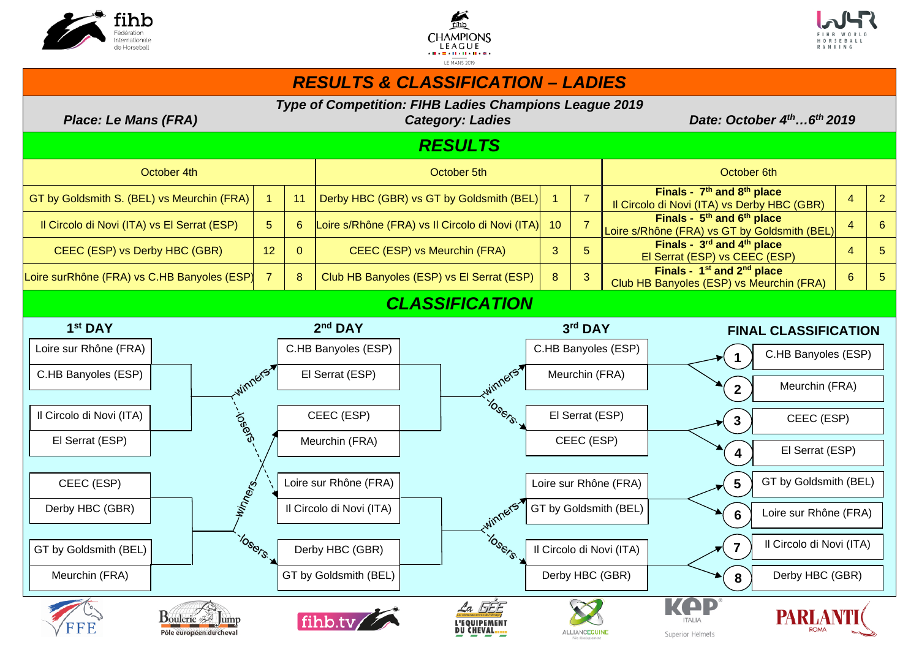





#### *RESULTS & CLASSIFICATION – LADIES Type of Competition: FIHB Ladies Champions League 2019 Place: Le Mans (FRA)* Category: Ladies Date: Date: October 4<sup>th</sup> ...6<sup>th</sup> 2019 *RESULTS*  October 4th October 5th October 6th GT by Goldsmith S. (BEL) vs Meurchin (FRA) 1 11 Derby HBC (GBR) vs GT by Goldsmith (BEL) 1 7 **Finals - 7th and 8th place**  Il Circolo di Novi (ITA) vs Derby HBC (GBR)  $\begin{array}{|c|c|c|c|c|}\n\hline\n1 & 4 & 2 \\
\hline\n\end{array}$ Il Circolo di Novi (ITA) vs El Serrat (ESP) 5 6 Loire s/Rhône (FRA) vs Il Circolo di Novi (ITA) 10 7 **Finals - 5th and 6th place**  Loire s/Rhône (FRA) vs GT by Goldsmith (BEL)  $\begin{array}{|c|c|c|c|c|}\n\hline\n1 & 6 & 6 \\
\hline\n\end{array}$ CEEC (ESP) vs Derby HBC (GBR)  $\begin{array}{ccc} 1 & 12 & 0 & \end{array}$  CEEC (ESP) vs Meurchin (FRA)  $\begin{array}{ccc} 3 & 5 & \end{array}$ El Serrat (ESP) vs CEEC (ESP) 4 5 Loire surRhône (FRA) vs C.HB Banyoles (ESP) 7 8 Club HB Banyoles (ESP) vs El Serrat (ESP) 8 3 **Finals - 1st and 2nd place**  Club HB Banyoles (ESP) vs Meurchin (FRA) 6 5 *CLASSIFICATION*  2<sup>nd</sup> DAY 3rd DAY **1 st DAY 2 FINAL CLASSIFICATION** Loire sur Rhône (FRA) C.HB Banyoles (ESP) C.HB Banyoles (ESP) C.HB Banyoles (ESP) **1**  winners winners' C.HB Banyoles (ESP) El Serrat (ESP) Meurchin (FRA) Meurchin (FRA) **2 INSSERIES** loser<sup>e</sup> Il Circolo di Novi (ITA) CEEC (ESP) El Serrat (ESP) CEEC (ESP) **3**  El Serrat (ESP) CEEC (ESP) Meurchin (FRA) El Serrat (ESP) **4**  GT by Goldsmith (BEL) CEEC (ESP) Winners Loire sur Rhône (FRA) Loire sur Rhône (FRA) **5**  winners Derby HBC (GBR) Il Circolo di Novi (ITA) GT by Goldsmith (BEL) Loire sur Rhône (FRA) **6**  10<sub>Sers.</sub> IDSSOFS Il Circolo di Novi (ITA) **7**  GT by Goldsmith (BEL) Derby HBC (GBR) Il Circolo di Novi (ITA) Meurchin (FRA) GT by Goldsmith (BEL) Derby HBC (GBR) Derby HBC (GBR) **8**   $La$  FFF  $\mathbf{B}_{\text{ouleric}} \otimes \mathbb{F}_{\text{ump}}$ PARLA L'EQUIPEMENT **DU CHEVAL....** Pôle européen du cheval ALLIANCE QUIN Superior Helmets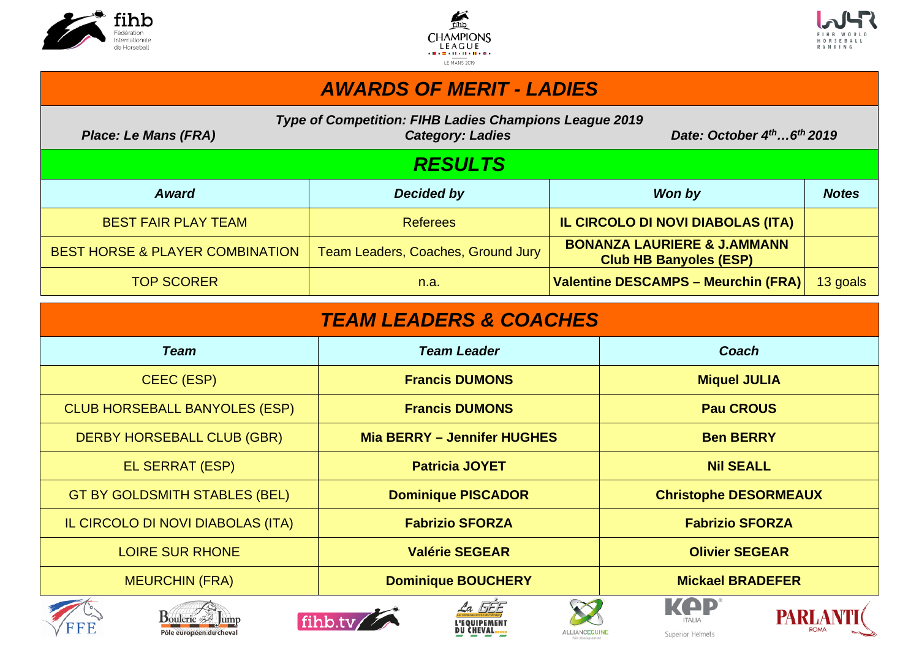





# *AWARDS OF MERIT - LADIES*

| Type of Competition: FIHB Ladies Champions League 2019 |  |
|--------------------------------------------------------|--|
|--------------------------------------------------------|--|

*Place: Le Mans (FRA)* Category: Ladies Date: October 4<sup>th</sup> ...6<sup>th</sup> 2019

# *RESULTS*

| <b>Award</b>                               | Decided by                         | Won by                                                                  | <b>Notes</b> |
|--------------------------------------------|------------------------------------|-------------------------------------------------------------------------|--------------|
| <b>BEST FAIR PLAY TEAM</b>                 | <b>Referees</b>                    | IL CIRCOLO DI NOVI DIABOLAS (ITA)                                       |              |
| <b>BEST HORSE &amp; PLAYER COMBINATION</b> | Team Leaders, Coaches, Ground Jury | <b>BONANZA LAURIERE &amp; J.AMMANN</b><br><b>Club HB Banyoles (ESP)</b> |              |
| <b>TOP SCORER</b>                          | n.a.                               | Valentine DESCAMPS – Meurchin (FRA)                                     | 13 goals     |

| <b>TEAM LEADERS &amp; COACHES</b>    |                                    |                              |  |  |  |  |  |  |  |  |  |  |
|--------------------------------------|------------------------------------|------------------------------|--|--|--|--|--|--|--|--|--|--|
| <b>Team</b>                          | <b>Team Leader</b>                 | Coach                        |  |  |  |  |  |  |  |  |  |  |
| CEEC (ESP)                           | <b>Francis DUMONS</b>              | <b>Miquel JULIA</b>          |  |  |  |  |  |  |  |  |  |  |
| <b>CLUB HORSEBALL BANYOLES (ESP)</b> | <b>Francis DUMONS</b>              | <b>Pau CROUS</b>             |  |  |  |  |  |  |  |  |  |  |
| <b>DERBY HORSEBALL CLUB (GBR)</b>    | <b>Mia BERRY - Jennifer HUGHES</b> | <b>Ben BERRY</b>             |  |  |  |  |  |  |  |  |  |  |
| EL SERRAT (ESP)                      | <b>Patricia JOYET</b>              | <b>Nil SEALL</b>             |  |  |  |  |  |  |  |  |  |  |
| <b>GT BY GOLDSMITH STABLES (BEL)</b> | <b>Dominique PISCADOR</b>          | <b>Christophe DESORMEAUX</b> |  |  |  |  |  |  |  |  |  |  |
| IL CIRCOLO DI NOVI DIABOLAS (ITA)    | <b>Fabrizio SFORZA</b>             | <b>Fabrizio SFORZA</b>       |  |  |  |  |  |  |  |  |  |  |
| <b>LOIRE SUR RHONE</b>               | <b>Valérie SEGEAR</b>              | <b>Olivier SEGEAR</b>        |  |  |  |  |  |  |  |  |  |  |
| <b>MEURCHIN (FRA)</b>                | <b>Dominique BOUCHERY</b>          | <b>Mickael BRADEFER</b>      |  |  |  |  |  |  |  |  |  |  |
| T.                                   | $\sum$<br>$2a$ FEE                 | KOP<br><b>TAINE ANTISE</b>   |  |  |  |  |  |  |  |  |  |  |













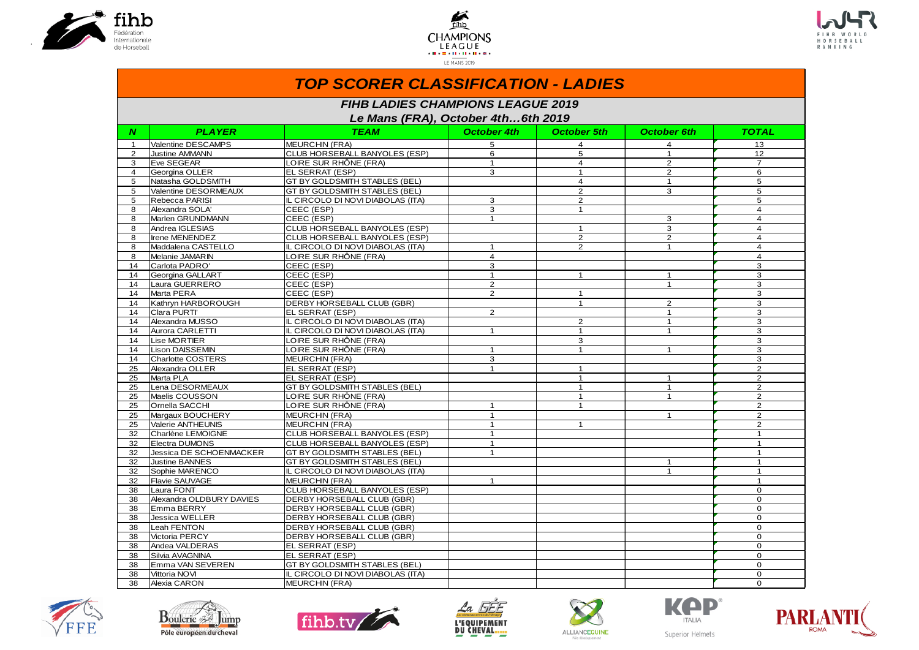





|                | <b>TOP SCORER CLASSIFICATION - LADIES</b> |                                                                                |                    |                |                    |                      |  |  |  |  |  |  |  |
|----------------|-------------------------------------------|--------------------------------------------------------------------------------|--------------------|----------------|--------------------|----------------------|--|--|--|--|--|--|--|
|                |                                           | <b>FIHB LADIES CHAMPIONS LEAGUE 2019</b><br>Le Mans (FRA), October 4th6th 2019 |                    |                |                    |                      |  |  |  |  |  |  |  |
| N              | <b>PLAYER</b>                             | <b>TEAM</b>                                                                    | <b>October 4th</b> | October 5th    | <b>October 6th</b> | TOTAL                |  |  |  |  |  |  |  |
| $\mathbf{1}$   | Valentine DESCAMPS                        | MEURCHIN (FRA)                                                                 | 5                  | $\overline{4}$ | $\overline{4}$     | 13                   |  |  |  |  |  |  |  |
| $\overline{2}$ | Justine AMMANN                            | CLUB HORSEBALL BANYOLES (ESP)                                                  | 6                  | 5              | $\mathbf{1}$       | 12                   |  |  |  |  |  |  |  |
| 3              | <b>Eve SEGEAR</b>                         | LOIRE SUR RHÔNE (FRA)                                                          | $\mathbf{1}$       | $\overline{4}$ | $\overline{2}$     | $\overline{7}$       |  |  |  |  |  |  |  |
| $\overline{4}$ | Georgina OLLER                            | EL SERRAT (ESP)                                                                | 3                  | $\mathbf{1}$   | $\overline{2}$     | 6                    |  |  |  |  |  |  |  |
| 5              | Natasha GOLDSMITH                         | GT BY GOLDSMITH STABLES (BEL)                                                  |                    | $\overline{4}$ | $\mathbf{1}$       | 5                    |  |  |  |  |  |  |  |
| 5              | Valentine DESORMEAUX                      | GT BY GOLDSMITH STABLES (BEL)                                                  |                    | $\overline{2}$ | 3                  | 5                    |  |  |  |  |  |  |  |
| 5              | Rebecca PARISI                            | IL CIRCOLO DI NOVI DIABOLAS (ITA)                                              | 3                  | $\overline{2}$ |                    | 5                    |  |  |  |  |  |  |  |
| 8              | Alexandra SOLA'                           | CEEC (ESP)                                                                     | 3                  | $\mathbf{1}$   |                    | $\overline{4}$       |  |  |  |  |  |  |  |
| 8              | Marlen GRUNDMANN                          | CEEC (ESP)                                                                     | $\mathbf{1}$       |                | 3                  | $\overline{4}$       |  |  |  |  |  |  |  |
| 8              | Andrea IGLESIAS                           | CLUB HORSEBALL BANYOLES (ESP)                                                  |                    | $\mathbf{1}$   | 3                  | $\overline{4}$       |  |  |  |  |  |  |  |
| 8              | Irene MENENDEZ                            | CLUB HORSEBALL BANYOLES (ESP)                                                  |                    | 2              | $\overline{2}$     | $\overline{4}$       |  |  |  |  |  |  |  |
| 8              | Maddalena CASTELLO                        | IL CIRCOLO DI NOVI DIABOLAS (ITA)                                              |                    | $\overline{2}$ | $\mathbf{1}$       | 4                    |  |  |  |  |  |  |  |
| 8              | Melanie JAMARIN                           | LOIRE SUR RHÔNE (FRA)                                                          | $\overline{4}$     |                |                    | $\overline{4}$       |  |  |  |  |  |  |  |
| 14             | Carlota PADRO'                            | CEEC (ESP)                                                                     | 3                  |                |                    | 3                    |  |  |  |  |  |  |  |
| 14             | Georgina GALLART                          | CEEC <sub>(ESP)</sub>                                                          | $\mathbf{1}$       | $\mathbf{1}$   | $\mathbf{1}$       | 3                    |  |  |  |  |  |  |  |
| 14             | Laura GUERRERO                            | CEEC (ESP)                                                                     | 2                  |                | $\mathbf{1}$       | 3                    |  |  |  |  |  |  |  |
| 14             | Marta PERA                                | CEEC (ESP)                                                                     | $\overline{2}$     | $\mathbf{1}$   |                    | 3                    |  |  |  |  |  |  |  |
| 14             | Kathryn HARBOROUGH                        | DERBY HORSEBALL CLUB (GBR)                                                     |                    | $\mathbf{1}$   | $\overline{2}$     | 3                    |  |  |  |  |  |  |  |
| 14             | Clara PURTI'                              | EL SERRAT (ESP)                                                                | $\overline{2}$     |                | $\mathbf{1}$       | 3                    |  |  |  |  |  |  |  |
| 14             | Alexandra MUSSO                           | IL CIRCOLO DI NOVI DIABOLAS (ITA)                                              |                    | 2              | $\mathbf{1}$       | 3                    |  |  |  |  |  |  |  |
| 14             | Aurora CARLETTI                           | IL CIRCOLO DI NOVI DIABOLAS (ITA)                                              | $\mathbf{1}$       | $\mathbf{1}$   | $\mathbf{1}$       | 3                    |  |  |  |  |  |  |  |
| 14             | Lise MORTIER                              | LOIRE SUR RHÔNE (FRA)                                                          |                    | 3              |                    | 3                    |  |  |  |  |  |  |  |
| 14             | <b>Lison DAISSEMIN</b>                    | LOIRE SUR RHÔNE (FRA)                                                          | $\mathbf{1}$       | $\mathbf{1}$   | $\mathbf{1}$       | 3                    |  |  |  |  |  |  |  |
| 14             | Charlotte COSTERS                         | <b>MEURCHIN (FRA)</b>                                                          | 3                  |                |                    | 3                    |  |  |  |  |  |  |  |
| 25             | Alexandra OLLER                           | EL SERRAT (ESP)                                                                |                    | $\mathbf{1}$   |                    | $\overline{2}$       |  |  |  |  |  |  |  |
| 25             | Marta PLA                                 | EL SERRAT (ESP)                                                                |                    | $\mathbf{1}$   | $\mathbf{1}$       | 2                    |  |  |  |  |  |  |  |
| 25             | Lena DESORMEAUX                           | GT BY GOLDSMITH STABLES (BEL)                                                  |                    | $\mathbf{1}$   | $\mathbf{1}$       | $\overline{2}$       |  |  |  |  |  |  |  |
| 25             | Maelis COUSSON                            | LOIRE SUR RHÔNE (FRA)                                                          |                    | $\mathbf{1}$   | $\mathbf{1}$       | $\overline{2}$       |  |  |  |  |  |  |  |
| 25             | Ornella SACCHI                            | LOIRE SUR RHÔNE (FRA)                                                          | $\mathbf{1}$       | $\mathbf{1}$   |                    | 2                    |  |  |  |  |  |  |  |
| 25             | Margaux BOUCHERY                          | <b>MEURCHIN (FRA)</b>                                                          | $\mathbf{1}$       |                | $\mathbf{1}$       | 2                    |  |  |  |  |  |  |  |
| 25             | Valerie ANTHEUNIS                         | <b>MEURCHIN (FRA)</b>                                                          | $\mathbf{1}$       | $\mathbf{1}$   |                    | $\overline{2}$       |  |  |  |  |  |  |  |
| 32             | Charlène LEMOIGNE                         | CLUB HORSEBALL BANYOLES (ESP)                                                  | $\mathbf{1}$       |                |                    | $\mathbf{1}$         |  |  |  |  |  |  |  |
| 32             | Electra DUMONS                            | CLUB HORSEBALL BANYOLES (ESP)                                                  | $\mathbf{1}$       |                |                    | $\mathbf{1}$         |  |  |  |  |  |  |  |
| 32             | Jessica DE SCHOENMACKER                   | <b>GT BY GOLDSMITH STABLES (BEL)</b>                                           | $\mathbf 1$        |                |                    | 1                    |  |  |  |  |  |  |  |
| 32             | <b>Justine BANNES</b>                     | GT BY GOLDSMITH STABLES (BEL)                                                  |                    |                | $\mathbf{1}$       | $\overline{1}$       |  |  |  |  |  |  |  |
| 32             | Sophie MARENCO                            | IL CIRCOLO DI NOVI DIABOLAS (ITA)                                              |                    |                | $\mathbf{1}$       | $\mathbf{1}$         |  |  |  |  |  |  |  |
| 32             | <b>Flavie SAUVAGE</b>                     | <b>MEURCHIN (FRA)</b>                                                          |                    |                |                    | $\mathbf{1}$         |  |  |  |  |  |  |  |
| 38             | Laura FONT                                | CLUB HORSEBALL BANYOLES (ESP)                                                  |                    |                |                    | $\Omega$             |  |  |  |  |  |  |  |
| 38             | Alexandra OLDBURY DAVIES                  | DERBY HORSEBALL CLUB (GBR)                                                     |                    |                |                    | $\Omega$             |  |  |  |  |  |  |  |
| 38             | Emma BERRY                                | DERBY HORSEBALL CLUB (GBR)                                                     |                    |                |                    | $\Omega$<br>$\Omega$ |  |  |  |  |  |  |  |
| 38             | Jessica WELLER                            | DERBY HORSEBALL CLUB (GBR)                                                     |                    |                |                    |                      |  |  |  |  |  |  |  |
| 38             | Leah FENTON                               | <b>DERBY HORSEBALL CLUB (GBR)</b>                                              |                    |                |                    | $\mathbf 0$          |  |  |  |  |  |  |  |
| 38             | Victoria PERCY                            | DERBY HORSEBALL CLUB (GBR)                                                     |                    |                |                    | $\Omega$<br>$\Omega$ |  |  |  |  |  |  |  |
| 38             | Andea VALDERAS<br>Silvia AVAGNINA         | EL SERRAT (ESP)                                                                |                    |                |                    | $\Omega$             |  |  |  |  |  |  |  |
| 38             |                                           | EL SERRAT (ESP)                                                                |                    |                |                    | $\Omega$             |  |  |  |  |  |  |  |
| 38<br>38       | Emma VAN SEVEREN<br>Vittoria NOVI         | GT BY GOLDSMITH STABLES (BEL)<br>IL CIRCOLO DI NOVI DIABOLAS (ITA)             |                    |                |                    | $\mathbf{O}$         |  |  |  |  |  |  |  |
|                |                                           |                                                                                |                    |                |                    | $\mathbf{0}$         |  |  |  |  |  |  |  |
| 38             | Alexia CARON                              | <b>MEURCHIN (FRA)</b>                                                          |                    |                |                    |                      |  |  |  |  |  |  |  |













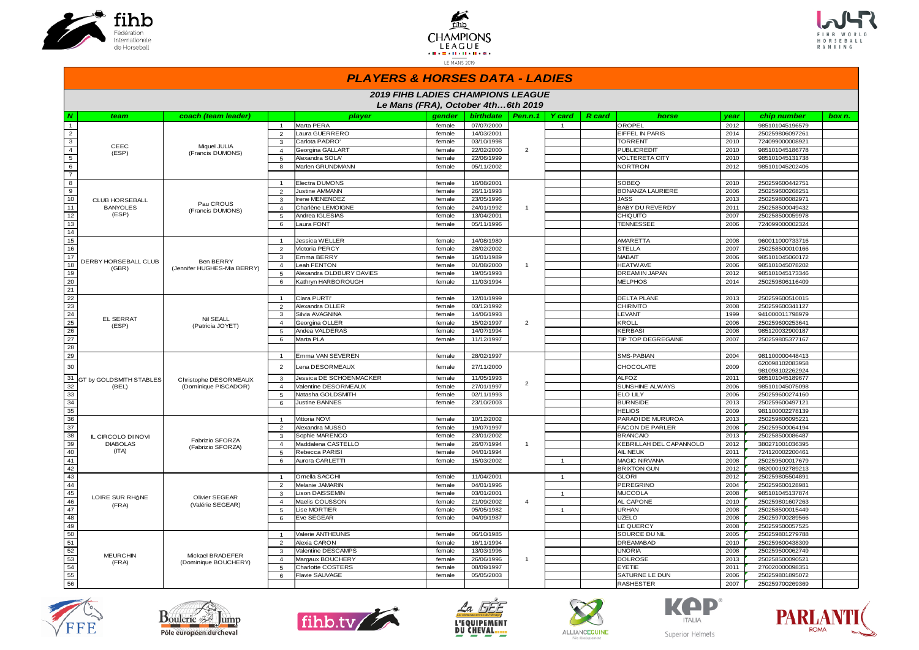





#### *PLAYERS & HORSES DATA - LADIES*

|                         | <b>2019 FIHB LADIES CHAMPIONS LEAGUE</b> |                                                 |                |                                    |        |            |                |                |               |                         |      |                                    |        |
|-------------------------|------------------------------------------|-------------------------------------------------|----------------|------------------------------------|--------|------------|----------------|----------------|---------------|-------------------------|------|------------------------------------|--------|
|                         |                                          |                                                 |                | Le Mans (FRA), October 4th6th 2019 |        |            |                |                |               |                         |      |                                    |        |
| N                       | team                                     | coach (team leader)                             |                | player                             | gender | birthdate  | Pen.n.1        | <b>Y</b> card  | <b>R</b> card | horse                   | vear | chip number                        | box n. |
| 1                       |                                          |                                                 | $\overline{1}$ | Marta PERA                         | female | 07/07/2000 |                | $\overline{1}$ |               | OROPEL                  | 2012 | 985101045196579                    |        |
| $\overline{2}$          |                                          |                                                 | 2              | Laura GUERRERO                     | female | 14/03/2001 |                |                |               | EIFFEL IN PARIS         | 2014 | 250259806097261                    |        |
| $\overline{\mathbf{3}}$ |                                          |                                                 | 3              | Carlota PADRO'                     | female | 03/10/1998 |                |                |               | <b>TORRENT</b>          | 2010 | 724099000008921                    |        |
| $\overline{4}$          | CEEC<br>(ESP)                            | Miquel JULIA<br>(Francis DUMONS)                | $\overline{4}$ | Georgina GALLART                   | female | 22/02/2000 | $\overline{2}$ |                |               | <b>PUBLICREDIT</b>      | 2010 | 985101045186778                    |        |
| $\sqrt{5}$              |                                          |                                                 | 5              | Alexandra SOLA'                    | female | 22/06/1999 |                |                |               | <b>VOLTERETA CITY</b>   | 2010 | 985101045131738                    |        |
| 6                       |                                          |                                                 | 8              | Marlen GRUNDMANN                   | female | 05/11/2002 |                |                |               | <b>NORTRON</b>          | 2012 | 985101045202406                    |        |
| $\overline{7}$          |                                          |                                                 |                |                                    |        |            |                |                |               |                         |      |                                    |        |
| $\boldsymbol{8}$        |                                          |                                                 | $\overline{1}$ | Electra DUMONS                     | female | 16/08/2001 |                |                |               | SOBEQ                   | 2010 | 250259600442751                    |        |
| $\overline{9}$          |                                          |                                                 | $\overline{2}$ | <b>Justine AMMANN</b>              | female | 26/11/1993 |                |                |               | <b>BONANZA LAURIERE</b> | 2006 | 250259600268251                    |        |
| 10                      | <b>CLUB HORSEBALL</b>                    |                                                 | 3              | Irene MENENDEZ                     | female | 23/05/1996 |                |                |               | JASS                    | 2013 | 250259806082971                    |        |
| 11                      | <b>BANYOLES</b>                          | Pau CROUS<br>(Francis DUMONS)                   | $\overline{4}$ | Charlène LEMOIGNE                  | female | 24/01/1992 | $\overline{1}$ |                |               | <b>BABY DU REVERDY</b>  | 2011 | 250258500049432                    |        |
| 12                      | (ESP)                                    |                                                 | 5              | Andrea IGLESIAS                    | female | 13/04/2001 |                |                |               | CHIQUITO                | 2007 | 250258500059978                    |        |
| 13                      |                                          |                                                 | 6              | Laura FONT                         | female | 05/11/1996 |                |                |               | <b>TENNESSEE</b>        | 2006 | 724099000002324                    |        |
| 14                      |                                          |                                                 |                |                                    |        |            |                |                |               |                         |      |                                    |        |
| 15                      |                                          |                                                 | $\overline{1}$ | Jessica WELLER                     | female | 14/08/1980 |                |                |               | AMARETTA                | 2008 | 960011000733716                    |        |
| 16                      |                                          |                                                 | $\overline{2}$ | Victoria PERCY                     | female | 28/02/2002 |                |                |               | <b>STELLA</b>           | 2007 | 250258500010166                    |        |
| 17                      |                                          |                                                 | 3              | Emma BERRY                         | female | 16/01/1989 |                |                |               | <b>MABAIT</b>           | 2006 | 985101045060172                    |        |
| 18                      | DERBY HORSEBALL CLUB<br>(GBR)            | <b>Ben BERRY</b><br>(Jennifer HUGHES-Mia BERRY) | $\overline{4}$ | Leah FENTON                        | female | 01/08/2000 | $\mathbf{1}$   |                |               | <b>HEATWAVE</b>         | 2006 | 985101045078202                    |        |
| 19                      |                                          |                                                 | 5              | Alexandra OLDBURY DAVIES           | female | 19/05/1993 |                |                |               | DREAM IN JAPAN          | 2012 | 985101045173346                    |        |
| 20                      |                                          |                                                 | 6              | Kathryn HARBOROUGH                 | female | 11/03/1994 |                |                |               | <b>MELPHOS</b>          | 2014 | 250259806116409                    |        |
| 21                      |                                          |                                                 |                |                                    |        |            |                |                |               |                         |      |                                    |        |
| 22                      |                                          |                                                 | $\overline{1}$ | Clara PURTI'                       | female | 12/01/1999 |                |                |               | <b>DELTA PLANE</b>      | 2013 | 250259600510015                    |        |
| 23                      |                                          |                                                 | 2              | Alexandra OLLER                    | female | 03/12/1992 |                |                |               | CHIRMITO                | 2008 | 250259600341127                    |        |
| 24                      | <b>EL SERRAT</b>                         | Nil SEALL                                       | 3              | Silvia AVAGNINA                    | female | 14/06/1993 |                |                |               | <b>LEVANT</b>           | 1999 | 941000011798979                    |        |
| 25                      |                                          | (Patricia JOYET)                                | $\overline{4}$ | Georgina OLLER                     | female | 15/02/1997 | $\overline{2}$ |                |               | KROLL                   | 2006 | 250259600253641                    |        |
| 26                      | (ESP)                                    |                                                 | 5              | Andea VALDERAS                     | female | 14/07/1994 |                |                |               | KERBASI                 | 2008 | 985120032900187                    |        |
| 27                      |                                          |                                                 | 6              | Marta PLA                          | female | 11/12/1997 |                |                |               | TIP TOP DEGREGAINE      | 2007 | 250259805377167                    |        |
| 28                      |                                          |                                                 |                |                                    |        |            |                |                |               |                         |      |                                    |        |
| 29                      |                                          |                                                 | $\overline{1}$ | Emma VAN SEVEREN                   | female | 28/02/1997 |                |                |               | SMS-PABIAN              | 2004 | 981100000448413                    |        |
| 30                      |                                          |                                                 | $\overline{2}$ | Lena DESORMEAUX                    | female | 27/11/2000 |                |                |               | CHOCOLATE               | 2009 | 620098102083958<br>981098102262924 |        |
| 31                      | <b>GT by GOLDSMITH STABLES</b>           | Christophe DESORMEAUX                           | $\mathbf{3}$   | Jessica DE SCHOENMACKER            | female | 11/05/1993 |                |                |               | <b>ALFOZ</b>            | 2011 | 985101045189677                    |        |
| 32                      | (BEL)                                    | (Dominique PISCADOR)                            | $\overline{4}$ | Valentine DESORMEAUX               | female | 27/01/1997 | $\overline{2}$ |                |               | SUNSHINE ALWAYS         | 2006 | 985101045075098                    |        |
| 33                      |                                          |                                                 | 5              | Natasha GOLDSMITH                  | female | 02/11/1993 |                |                |               | <b>ELO LILY</b>         | 2006 | 250259600274160                    |        |
| 34                      |                                          |                                                 | 6              | <b>Justine BANNES</b>              | female | 23/10/2003 |                |                |               | <b>BURNSIDE</b>         | 2013 | 250259600497121                    |        |
| 35                      |                                          |                                                 |                |                                    |        |            |                |                |               | <b>HELIOS</b>           | 2009 | 981100002278139                    |        |
| 36                      |                                          |                                                 | $\overline{1}$ | Vittoria NOVI                      | female | 10/12/2002 |                |                |               | PARADI DE MURUROA       | 2013 | 250259806095221                    |        |
| 37                      |                                          |                                                 | $\overline{2}$ | Alexandra MUSSO                    | female | 19/07/1997 |                |                |               | <b>FACON DE PARLER</b>  | 2008 | 250259500064194                    |        |
| 38                      | IL CIRCOLO DI NOVI                       |                                                 | 3              | Sophie MARENCO                     | female | 23/01/2002 |                |                |               | <b>BRANCAIO</b>         | 2013 | 250258500086487                    |        |
| 39                      | <b>DIABOLAS</b>                          | Fabrizio SFORZA                                 | $\overline{4}$ | Maddalena CASTELLO                 | female | 26/07/1994 | $\mathbf{1}$   |                |               | KEBRILLAH DEL CAPANNOLO | 2012 | 380271001036395                    |        |
| 40                      | (ITA)                                    | (Fabrizio SFORZA)                               | 5              | Rebecca PARISI                     | female | 04/01/1994 |                |                |               | AIL NEUK                | 2011 | 724120002200461                    |        |
| 41                      |                                          |                                                 | 6              | Aurora CARLETTI                    | female | 15/03/2002 |                | $\overline{1}$ |               | MAGIC NIRVANA           | 2008 | 250259500017679                    |        |
| 42                      |                                          |                                                 |                |                                    |        |            |                |                |               | <b>BRIXTON GUN</b>      | 2012 | 982000192789213                    |        |
| 43                      |                                          |                                                 | $\overline{1}$ | Ornella SACCHI                     | female | 11/04/2001 |                | $\overline{1}$ |               | <b>GLORI</b>            | 2012 | 250259805504891                    |        |
| 44                      |                                          |                                                 | $\overline{2}$ | Melanie JAMARIN                    | female | 04/01/1996 |                |                |               | PEREGRINO               | 2004 | 250259600128981                    |        |
| 45                      |                                          |                                                 | 3              | <b>Lison DAISSEMIN</b>             | female | 03/01/2001 |                | $\overline{1}$ |               | <b>MUCCOLA</b>          | 2008 | 985101045137874                    |        |
| 46                      | LOIRE SUR RHÔNE                          | Olivier SEGEAR                                  | $\overline{4}$ | Maelis COUSSON                     | female | 21/09/2002 | $\overline{4}$ |                |               | AL CAPONE               | 2010 | 250259801607263                    |        |
| 47                      | (FRA)                                    | (Valérie SEGEAR)                                | 5              | Lise MORTIER                       | female | 05/05/1982 |                | $\mathbf{1}$   |               | <b>URHAN</b>            | 2008 | 250258500015449                    |        |
| 48                      |                                          |                                                 | 6              | Eve SEGEAR                         | female | 04/09/1987 |                |                |               | <b>UZELO</b>            | 2008 | 250259700289566                    |        |
| 49                      |                                          |                                                 |                |                                    |        |            |                |                |               | LE QUERCY               | 2008 | 250259500057525                    |        |
| 50                      |                                          |                                                 | $\mathbf{1}$   | Valerie ANTHEUNIS                  | female | 06/10/1985 |                |                |               | SOURCE DU NIL           | 2005 | 250259801279788                    |        |
| 51                      |                                          |                                                 | $\overline{2}$ | Alexia CARON                       | female | 16/11/1994 |                |                |               | <b>DREAMABAD</b>        | 2010 | 250259600438309                    |        |
| 52                      |                                          |                                                 | 3              | Valentine DESCAMPS                 | female | 13/03/1996 |                |                |               | <b>UNORIA</b>           | 2008 | 250259500062749                    |        |
| 53                      | <b>MEURCHIN</b>                          | Mickael BRADEFER                                | $\overline{4}$ | Margaux BOUCHERY                   | female | 26/06/1996 | $\mathbf{1}$   |                |               | <b>DOLROSE</b>          | 2013 | 250258500090521                    |        |
| 54                      | (FRA)                                    | (Dominique BOUCHERY)                            | 5              | <b>Charlotte COSTERS</b>           | female | 08/09/1997 |                |                |               | EYETIE                  | 2011 | 276020000098351                    |        |
| 55                      |                                          |                                                 | 6              | <b>Flavie SAUVAGE</b>              | female | 05/05/2003 |                |                |               | SATURNE LE DUN          | 2006 | 250259801895072                    |        |
| $\overline{56}$         |                                          |                                                 |                |                                    |        |            |                |                |               | <b>RASHESTER</b>        | 2007 | 250259700269369                    |        |













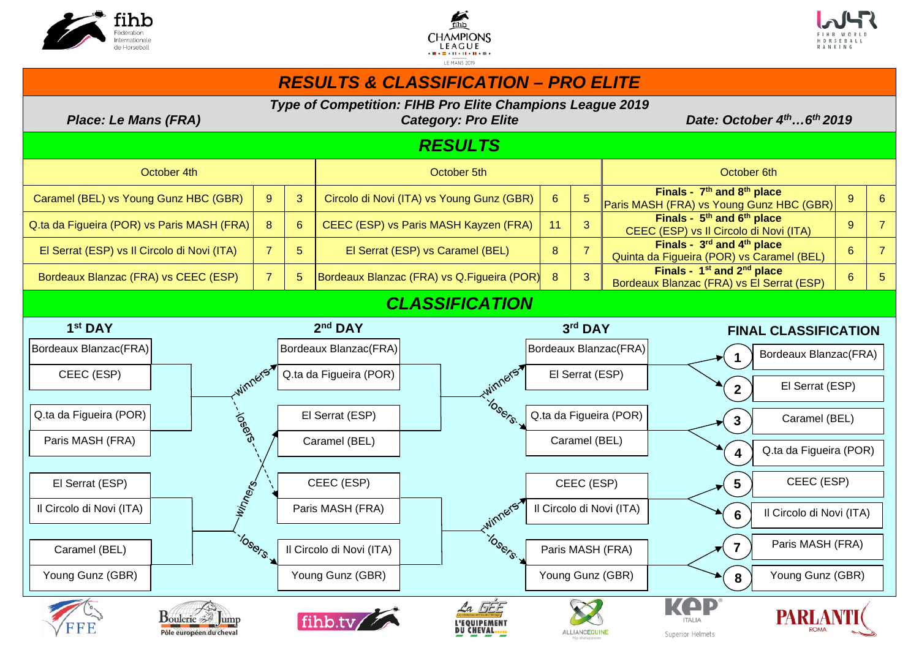





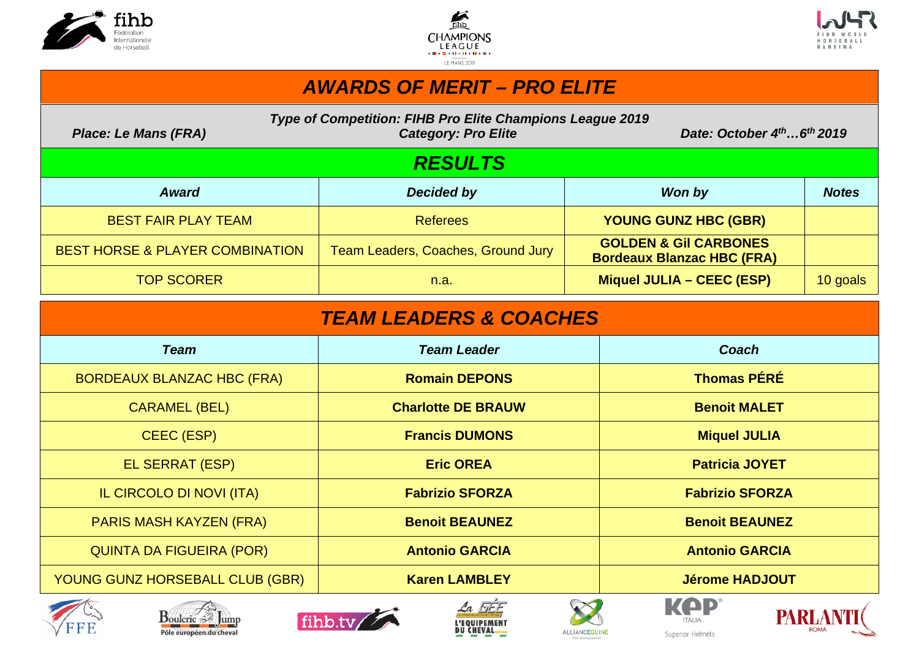





## *AWARDS OF MERIT – PRO ELITE*

| Place: Le Mans (FRA)                       | Type of Competition: FIHB Pro Elite Champions League 2019<br><b>Category: Pro Elite</b> | Date: October $4^{th}6^{th}$ 2019                                     |              |
|--------------------------------------------|-----------------------------------------------------------------------------------------|-----------------------------------------------------------------------|--------------|
|                                            | <b>RESULTS</b>                                                                          |                                                                       |              |
| <b>Award</b>                               | Decided by                                                                              | Won by                                                                | <b>Notes</b> |
| <b>BEST FAIR PLAY TEAM</b>                 | <b>Referees</b>                                                                         | <b>YOUNG GUNZ HBC (GBR)</b>                                           |              |
| <b>BEST HORSE &amp; PLAYER COMBINATION</b> | Team Leaders, Coaches, Ground Jury                                                      | <b>GOLDEN &amp; GII CARBONES</b><br><b>Bordeaux Blanzac HBC (FRA)</b> |              |
| <b>TOP SCORER</b>                          | n.a.                                                                                    | Miquel JULIA - CEEC (ESP)                                             | 10 goals     |

| <b>TEAM LEADERS &amp; COACHES</b>                                |                           |                                 |  |  |  |  |  |  |  |  |  |  |
|------------------------------------------------------------------|---------------------------|---------------------------------|--|--|--|--|--|--|--|--|--|--|
| <b>Team</b>                                                      | <b>Team Leader</b>        | Coach                           |  |  |  |  |  |  |  |  |  |  |
| <b>BORDEAUX BLANZAC HBC (FRA)</b>                                | <b>Romain DEPONS</b>      | <b>Thomas PÉRÉ</b>              |  |  |  |  |  |  |  |  |  |  |
| <b>CARAMEL (BEL)</b>                                             | <b>Charlotte DE BRAUW</b> | <b>Benoit MALET</b>             |  |  |  |  |  |  |  |  |  |  |
| <b>CEEC (ESP)</b>                                                | <b>Francis DUMONS</b>     | <b>Miquel JULIA</b>             |  |  |  |  |  |  |  |  |  |  |
| EL SERRAT (ESP)                                                  | <b>Eric OREA</b>          | <b>Patricia JOYET</b>           |  |  |  |  |  |  |  |  |  |  |
| IL CIRCOLO DI NOVI (ITA)                                         | <b>Fabrizio SFORZA</b>    | <b>Fabrizio SFORZA</b>          |  |  |  |  |  |  |  |  |  |  |
| <b>PARIS MASH KAYZEN (FRA)</b>                                   | <b>Benoit BEAUNEZ</b>     | <b>Benoit BEAUNEZ</b>           |  |  |  |  |  |  |  |  |  |  |
| <b>QUINTA DA FIGUEIRA (POR)</b>                                  | <b>Antonio GARCIA</b>     | <b>Antonio GARCIA</b>           |  |  |  |  |  |  |  |  |  |  |
| YOUNG GUNZ HORSEBALL CLUB (GBR)                                  | <b>Karen LAMBLEY</b>      | <b>Jérome HADJOUT</b>           |  |  |  |  |  |  |  |  |  |  |
| $\overline{\phantom{a}}$<br>and the same of the same of the same | - --<br>$\sim$ $\sim$     | <b>Extract Contract Only 10</b> |  |  |  |  |  |  |  |  |  |  |













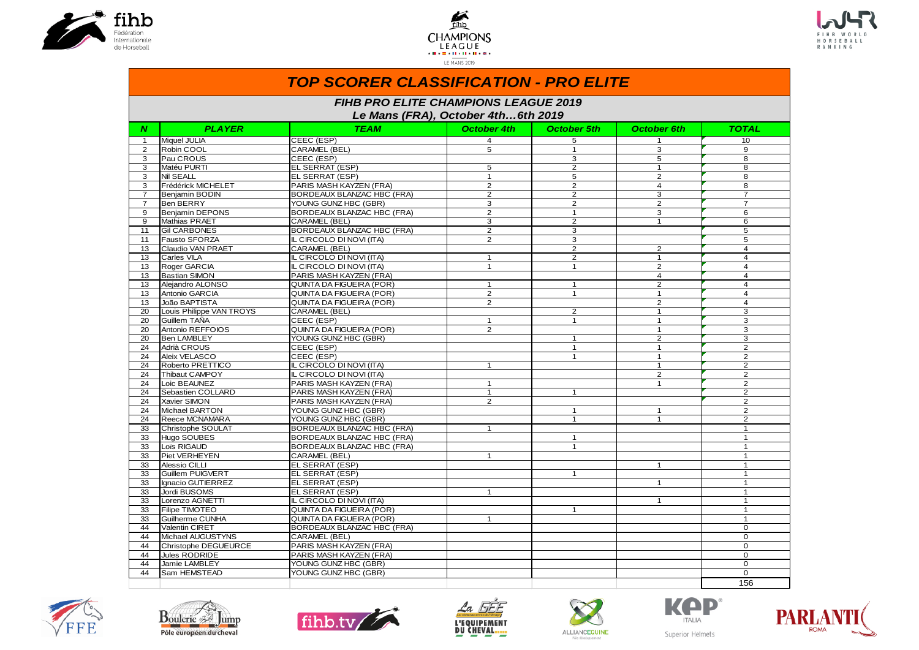





|                | <b>TOP SCORER CLASSIFICATION - PRO ELITE</b>                                                                                                |                                   |                    |                    |                    |                |  |  |  |  |  |  |  |  |
|----------------|---------------------------------------------------------------------------------------------------------------------------------------------|-----------------------------------|--------------------|--------------------|--------------------|----------------|--|--|--|--|--|--|--|--|
|                | <b>FIHB PRO ELITE CHAMPIONS LEAGUE 2019</b><br>Le Mans (FRA), October 4th6th 2019                                                           |                                   |                    |                    |                    |                |  |  |  |  |  |  |  |  |
| N              | <b>PLAYER</b>                                                                                                                               | <b>TEAM</b>                       | <b>October 4th</b> | <b>October 5th</b> | <b>October 6th</b> | <b>TOTAL</b>   |  |  |  |  |  |  |  |  |
| $\mathbf{1}$   | Miquel JULIA                                                                                                                                | CEEC (ESP)                        | 4                  | 5                  | 1                  | 10             |  |  |  |  |  |  |  |  |
| $\overline{2}$ | Robin COOL                                                                                                                                  | CARAMEL (BEL)                     | 5                  | $\mathbf{1}$       | 3                  | 9              |  |  |  |  |  |  |  |  |
| 3              | <b>Pau CROUS</b>                                                                                                                            | CEEC (ESP)                        |                    | 3                  | 5                  | 8              |  |  |  |  |  |  |  |  |
| 3              | Matéu PURTI                                                                                                                                 | EL SERRAT (ESP)                   | 5                  | $\overline{2}$     | $\mathbf{1}$       | 8              |  |  |  |  |  |  |  |  |
| 3              | Nil SEALL                                                                                                                                   | EL SERRAT (ESP)                   | $\mathbf{1}$       | 5                  | 2                  | 8              |  |  |  |  |  |  |  |  |
| 3              | Frédérick MICHELET                                                                                                                          | PARIS MASH KAYZEN (FRA)           | $\overline{2}$     | $\overline{2}$     | $\overline{4}$     | 8              |  |  |  |  |  |  |  |  |
| $\overline{7}$ | Beniamin BODIN                                                                                                                              | BORDEAUX BLANZAC HBC (FRA)        | $\overline{2}$     | $\overline{2}$     | $\overline{3}$     | $\overline{7}$ |  |  |  |  |  |  |  |  |
| $\overline{7}$ | Ben BERRY                                                                                                                                   | YOUNG GUNZ HBC (GBR)              | 3                  | $\overline{2}$     | 2                  | $\overline{7}$ |  |  |  |  |  |  |  |  |
| 9              | Benjamin DEPONS                                                                                                                             | <b>BORDEAUX BLANZAC HBC (FRA)</b> | $\overline{2}$     | $\mathbf{1}$       | 3                  | 6              |  |  |  |  |  |  |  |  |
| 9              | Mathias PRAET                                                                                                                               | CARAMEL (BEL)                     | 3                  | 2                  | $\mathbf{1}$       | 6              |  |  |  |  |  |  |  |  |
| 11             | <b>Gil CARBONES</b>                                                                                                                         | <b>BORDEAUX BLANZAC HBC (FRA)</b> | $\overline{2}$     | 3                  |                    | 5              |  |  |  |  |  |  |  |  |
| 11             | Fausto SFORZA                                                                                                                               | IL CIRCOLO DI NOVI (ITA)          | $\overline{2}$     | 3                  |                    | 5              |  |  |  |  |  |  |  |  |
| 13             | Claudio VAN PRAET                                                                                                                           | CARAMEL (BEL)                     |                    | $\overline{2}$     | $\overline{2}$     | $\overline{4}$ |  |  |  |  |  |  |  |  |
| 13             | Carles VILA                                                                                                                                 | $\mathbf{1}$                      | $\overline{4}$     |                    |                    |                |  |  |  |  |  |  |  |  |
| 13             | IL CIRCOLO DI NOVI (ITA)<br>$\overline{2}$<br>$\mathbf{1}$<br>Roger GARCIA<br>IL CIRCOLO DI NOVI (ITA)<br>$\mathbf{1}$<br>2<br>$\mathbf{1}$ |                                   |                    |                    |                    |                |  |  |  |  |  |  |  |  |
| 13             | <b>Bastian SIMON</b><br>PARIS MASH KAYZEN (FRA)<br>$\overline{4}$                                                                           |                                   |                    |                    |                    |                |  |  |  |  |  |  |  |  |
| 13             | Aleiandro ALONSO                                                                                                                            | QUINTA DA FIGUEIRA (POR)          | $\mathbf{1}$       | $\mathbf{1}$       | 2                  | $\overline{4}$ |  |  |  |  |  |  |  |  |
| 13             | Antonio GARCIA                                                                                                                              | $\mathbf{1}$                      | $\overline{4}$     |                    |                    |                |  |  |  |  |  |  |  |  |
| 13             | João BAPTISTA                                                                                                                               | QUINTA DA FIGUEIRA (POR)          | 2                  |                    | 2                  | $\overline{4}$ |  |  |  |  |  |  |  |  |
| 20             | Louis Philippe VAN TROYS                                                                                                                    | CARAMEL (BEL)                     |                    | 2                  | $\mathbf{1}$       | 3              |  |  |  |  |  |  |  |  |
| 20             | Guillem TAÑA                                                                                                                                | CEEC (ESP)                        | $\mathbf{1}$       | $\mathbf{1}$       | $\mathbf{1}$       | 3              |  |  |  |  |  |  |  |  |
| 20             | Antonio REFFOIOS                                                                                                                            | QUINTA DA FIGUEIRA (POR)          | 2                  |                    | $\mathbf{1}$       | 3              |  |  |  |  |  |  |  |  |
| 20             | Ben LAMBLEY                                                                                                                                 | YOUNG GUNZ HBC (GBR)              |                    | $\mathbf{1}$       | 2                  | 3              |  |  |  |  |  |  |  |  |
| 24             | Adrià CROUS                                                                                                                                 | CEEC (ESP)                        |                    | $\mathbf{1}$       | $\mathbf{1}$       | 2              |  |  |  |  |  |  |  |  |
| 24             | Aleix VELASCO                                                                                                                               | CEEC (ESP)                        |                    | $\mathbf{1}$       | $\overline{1}$     | $\overline{2}$ |  |  |  |  |  |  |  |  |
| 24             | Roberto PRETTICO                                                                                                                            | IL CIRCOLO DI NOVI (ITA)          | $\mathbf{1}$       |                    | $\overline{1}$     | $\overline{2}$ |  |  |  |  |  |  |  |  |
| 24             | Thibaut CAMPOY                                                                                                                              | IL CIRCOLO DI NOVI (ITA)          |                    |                    | 2                  | 2              |  |  |  |  |  |  |  |  |
| 24             | Loic BEAUNEZ                                                                                                                                | PARIS MASH KAYZEN (FRA)           | $\mathbf{1}$       |                    | $\mathbf{1}$       | $\overline{2}$ |  |  |  |  |  |  |  |  |
| 24             | Sebastien COLLARD                                                                                                                           | PARIS MASH KAYZEN (FRA)           | $\mathbf{1}$       | $\mathbf{1}$       |                    | $\overline{2}$ |  |  |  |  |  |  |  |  |
| 24             | Xavier SIMON                                                                                                                                | PARIS MASH KAYZEN (FRA)           | $\overline{2}$     |                    |                    | $\overline{2}$ |  |  |  |  |  |  |  |  |
| 24             | Michael BARTON                                                                                                                              | YOUNG GUNZ HBC (GBR)              |                    | $\mathbf{1}$       | $\mathbf{1}$       | 2              |  |  |  |  |  |  |  |  |
| 24             | Reece MCNAMARA                                                                                                                              | YOUNG GUNZ HBC (GBR)              |                    | $\mathbf{1}$       | $\overline{1}$     | 2              |  |  |  |  |  |  |  |  |
| 33             | Christophe SOULAT                                                                                                                           | <b>BORDEAUX BLANZAC HBC (FRA)</b> | $\mathbf{1}$       |                    |                    | $\mathbf{1}$   |  |  |  |  |  |  |  |  |
| 33             | Hugo SOUBES                                                                                                                                 | BORDEAUX BLANZAC HBC (FRA)        |                    | $\mathbf{1}$       |                    | $\mathbf{1}$   |  |  |  |  |  |  |  |  |
| 33             | Loïs RIGAUD                                                                                                                                 | BORDEAUX BLANZAC HBC (FRA)        |                    | $\mathbf{1}$       |                    | $\mathbf{1}$   |  |  |  |  |  |  |  |  |
| 33             | Piet VERHEYEN                                                                                                                               | CARAMEL (BEL)                     | $\mathbf{1}$       |                    |                    | $\mathbf{1}$   |  |  |  |  |  |  |  |  |
| 33             | Alessio CILLI                                                                                                                               | EL SERRAT (ESP)                   |                    |                    | $\overline{1}$     | $\mathbf{1}$   |  |  |  |  |  |  |  |  |
| 33             | Guillem PUIGVERT                                                                                                                            | EL SERRAT (ESP)                   |                    | $\mathbf{1}$       |                    | $\mathbf{1}$   |  |  |  |  |  |  |  |  |
| 33             | Ilgnacio GUTIERREZ                                                                                                                          | EL SERRAT (ESP)                   |                    |                    | $\mathbf{1}$       | $\mathbf{1}$   |  |  |  |  |  |  |  |  |
| 33             | Jordi BUSOMS                                                                                                                                | EL SERRAT (ESP)                   | $\overline{1}$     |                    |                    | 1              |  |  |  |  |  |  |  |  |
| 33             | Lorenzo AGNETTI                                                                                                                             | IL CIRCOLO DI NOVI (ITA)          |                    |                    | $\mathbf{1}$       | $\overline{1}$ |  |  |  |  |  |  |  |  |
| 33             | Filipe TIMOTEO                                                                                                                              | QUINTA DA FIGUEIRA (POR)          |                    | $\mathbf{1}$       |                    |                |  |  |  |  |  |  |  |  |
| 33             | Guilherme CUNHA                                                                                                                             | <b>QUINTA DA FIGUEIRA (POR)</b>   | $\overline{1}$     |                    |                    | 1              |  |  |  |  |  |  |  |  |
| 44             | Valentin CIRET                                                                                                                              | BORDEAUX BLANZAC HBC (FRA)        |                    |                    |                    | $\Omega$       |  |  |  |  |  |  |  |  |
| 44             | Michael AUGUSTYNS                                                                                                                           | CARAMEL (BEL)                     |                    |                    |                    | $\mathbf 0$    |  |  |  |  |  |  |  |  |
| 44             | Christophe DEGUEURCE                                                                                                                        | PARIS MASH KAYZEN (FRA)           |                    |                    |                    | $\Omega$       |  |  |  |  |  |  |  |  |
| 44             | Jules RODRIDE                                                                                                                               | PARIS MASH KAYZEN (FRA)           |                    |                    |                    | $\Omega$       |  |  |  |  |  |  |  |  |
| 44             | Jamie LAMBLEY                                                                                                                               | YOUNG GUNZ HBC (GBR)              |                    |                    |                    | $\Omega$       |  |  |  |  |  |  |  |  |
| 44             | <b>Sam HEMSTEAD</b>                                                                                                                         | YOUNG GUNZ HBC (GBR)              |                    |                    |                    | $\Omega$       |  |  |  |  |  |  |  |  |
|                |                                                                                                                                             |                                   |                    |                    |                    | 156            |  |  |  |  |  |  |  |  |













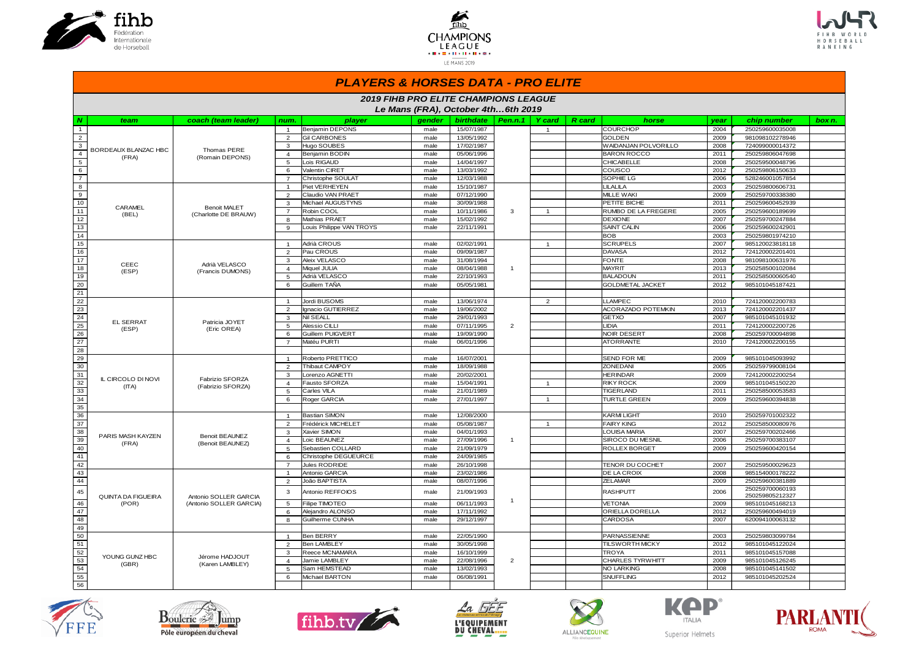





#### *PLAYERS & HORSES DATA - PRO ELITE*

|                 | <b>2019 FIHB PRO ELITE CHAMPIONS LEAGUE</b><br>Le Mans (FRA), October 4th6th 2019 |                         |                |                          |        |                  |                |                                |                         |      |                                    |        |
|-----------------|-----------------------------------------------------------------------------------|-------------------------|----------------|--------------------------|--------|------------------|----------------|--------------------------------|-------------------------|------|------------------------------------|--------|
|                 |                                                                                   |                         |                |                          |        |                  |                |                                |                         |      |                                    |        |
| N               | team                                                                              | coach (team leader)     | num.           | player                   | gender | <b>birthdate</b> | Pen.n.1        | <b>Y</b> card<br><b>R</b> card | horse                   | year | chip number                        | box n. |
| $\mathbf{1}$    |                                                                                   |                         | $\overline{1}$ | Benjamin DEPONS          | male   | 15/07/1987       |                | $\overline{1}$                 | <b>COURCHOP</b>         | 2004 | 250259600035008                    |        |
| $\overline{2}$  |                                                                                   |                         | $\overline{2}$ | <b>Gil CARBONES</b>      | male   | 13/05/1992       |                |                                | <b>GOLDEN</b>           | 2009 | 981098102278946                    |        |
| $\mathbf{3}$    | BORDEAUX BLANZAC HBC                                                              | Thomas PERE             | 3              | Hugo SOUBES              | male   | 17/02/1987       |                |                                | WAIDANJAN POLVORILLO    | 2008 | 724099000014372                    |        |
| $\overline{4}$  | (FRA)                                                                             | (Romain DEPONS)         | $\overline{4}$ | Benjamin BODIN           | male   | 05/06/1996       |                |                                | <b>BARON ROCCO</b>      | 2011 | 250259806047698                    |        |
| $\overline{5}$  |                                                                                   |                         | 5              | Lojs RIGAUD              | male   | 14/04/1997       |                |                                | CHICABELLE              | 2008 | 250259500048796                    |        |
| 6               |                                                                                   |                         | 6              | /alentin CIRET           | male   | 13/03/1992       |                |                                | cousco                  | 2012 | 250259806150633                    |        |
| $\overline{7}$  |                                                                                   |                         | $\overline{7}$ | Christophe SOULAT        | male   | 12/03/1988       |                |                                | SOPHIE LG               | 2006 | 528246001057854                    |        |
| 8               |                                                                                   |                         | $\overline{1}$ | Piet VERHEYEN            | male   | 15/10/1987       |                |                                | LILALILA                | 2003 | 250259800606731                    |        |
| 9               |                                                                                   |                         | $\overline{2}$ | Claudio VAN PRAET        | male   | 07/12/1990       |                |                                | <b>MILLE WAKI</b>       | 2009 | 250259700338380                    |        |
| 10              | CARAMEL                                                                           | <b>Benoit MALET</b>     | 3              | Michael AUGUSTYNS        | male   | 30/09/1988       |                |                                | PETITE BICHE            | 2011 | 250259600452939                    |        |
| 11              | (BEL)                                                                             | (Charlotte DE BRAUW)    | $\overline{7}$ | Robin COOL               | male   | 10/11/1986       | 3              | $\mathbf{1}$                   | RUMBO DE LA FREGERE     | 2005 | 250259600189699                    |        |
| $12$            |                                                                                   |                         | 8              | Mathias PRAET            | male   | 15/02/1992       |                |                                | <b>DEXIONE</b>          | 2007 | 250259700247884                    |        |
| 13              |                                                                                   |                         | 9              | Louis Philippe VAN TROYS | male   | 22/11/1991       |                |                                | <b>SAINT CALIN</b>      | 2006 | 250259600242901                    |        |
| 14              |                                                                                   |                         |                |                          |        |                  |                |                                | <b>BOB</b>              | 2003 | 250259801974210                    |        |
| 15              |                                                                                   |                         | $\mathbf{1}$   | Adrià CROUS              | male   | 02/02/1991       |                | $\mathbf{1}$                   | <b>SCRUPELS</b>         | 2007 | 985120023818118                    |        |
| 16              |                                                                                   |                         | 2              | Pau CROUS                | male   | 09/09/1987       |                |                                | <b>DAVASA</b>           | 2012 | 724120002201401                    |        |
| 17              | CEEC                                                                              | Adrià VELASCO           | $\mathbf{3}$   | Aleix VELASCO            | male   | 31/08/1994       |                |                                | <b>FONTE</b>            | 2008 | 981098100631976                    |        |
| 18              | (ESP)                                                                             | (Francis DUMONS)        | $\overline{4}$ | Miquel JULIA             | male   | 08/04/1988       | $\overline{1}$ |                                | <b>MAYRIT</b>           | 2013 | 250258500102084                    |        |
| 19              |                                                                                   |                         | 5              | Adrià VELASCO            | male   | 22/10/1993       |                |                                | <b>BALADOUN</b>         | 2011 | 250258500060540                    |        |
| 20              |                                                                                   |                         | 6              | Guillem TAÑA             | male   | 05/05/1981       |                |                                | <b>GOLDMETAL JACKET</b> | 2012 | 985101045187421                    |        |
| 21              |                                                                                   |                         |                |                          |        |                  |                |                                |                         |      |                                    |        |
| 22              |                                                                                   |                         | $\overline{1}$ | Jordi BUSOMS             | male   | 13/06/1974       |                | $\overline{2}$                 | <b>LLAMPEC</b>          | 2010 | 724120002200783                    |        |
| 23              |                                                                                   |                         | $\overline{2}$ | Ignacio GUTIERREZ        | male   | 19/06/2002       |                |                                | ACORAZADO POTEMKIN      | 2013 | 724120002201437                    |        |
| 24              | <b>EL SERRAT</b>                                                                  | Patricia JOYET          | $\mathbf{3}$   | <b>Nil SEALL</b>         | male   | 29/01/1993       |                |                                | <b>GETXO</b>            | 2007 | 985101045101932                    |        |
| 25              | (ESP)                                                                             | (Eric OREA)             | 5              | Alessio CILLI            | male   | 07/11/1995       | $\overline{2}$ |                                | <b>LIDIA</b>            | 2011 | 724120002200726                    |        |
| 26              |                                                                                   |                         | 6              | Guillem PUIGVERT         | male   | 19/09/1990       |                |                                | <b>NOIR DESERT</b>      | 2008 | 250259700094898                    |        |
| $\overline{27}$ |                                                                                   |                         | $\overline{7}$ | Matéu PURTI              | male   | 06/01/1996       |                |                                | <b>ATORRANTE</b>        | 2010 | 724120002200155                    |        |
| 28              |                                                                                   |                         |                |                          |        |                  |                |                                |                         |      |                                    |        |
| 29              |                                                                                   |                         | $\overline{1}$ | Roberto PRETTICO         | male   | 16/07/2001       |                |                                | SEND FOR ME             | 2009 | 985101045093992                    |        |
| 30              |                                                                                   |                         | $\overline{2}$ | Thibaut CAMPOY           | male   | 18/09/1988       |                |                                | ZONEDANI                | 2005 | 250259799008104                    |        |
| 31              | IL CIRCOLO DI NOVI                                                                | Fabrizio SFORZA         | 3              | orenzo AGNETTI           | male   | 20/02/2001       |                |                                | <b>HERINDAR</b>         | 2009 | 724120002200254                    |        |
| 32              | (ITA)                                                                             | (Fabrizio SFORZA)       | $\overline{4}$ | austo SFORZA             | male   | 15/04/1991       |                | $\mathbf{1}$                   | <b>RIKY ROCK</b>        | 2009 | 985101045150220                    |        |
| 33              |                                                                                   |                         | 5              | Carles VILA              | male   | 21/01/1989       |                |                                | <b>TIGERLAND</b>        | 2011 | 250258500053583                    |        |
| 34              |                                                                                   |                         | 6              | Roger GARCIA             | male   | 27/01/1997       |                | $\mathbf{1}$                   | <b>TURTLE GREEN</b>     | 2009 | 250259600394838                    |        |
| 35              |                                                                                   |                         |                |                          |        |                  |                |                                |                         |      |                                    |        |
| 36              |                                                                                   |                         | $\overline{1}$ | <b>Bastian SIMON</b>     | male   | 12/08/2000       |                |                                | <b>KARMI LIGHT</b>      | 2010 | 250259701002322                    |        |
| 37              |                                                                                   |                         | $\overline{2}$ | Frédérick MICHELET       | male   | 05/08/1987       |                | $\mathbf{1}$                   | <b>FAIRY KING</b>       | 2012 | 250258500080976                    |        |
| 38              | PARIS MASH KAYZEN                                                                 | <b>Benoit BEAUNEZ</b>   | $\mathbf{3}$   | Xavier SIMON             | male   | 04/01/1993       |                |                                | LOUISA MARIA            | 2007 | 250259700202466                    |        |
| 39              | (FRA)                                                                             | (Benoit BEAUNEZ)        | $\overline{4}$ | oic BEAUNEZ              | male   | 27/09/1996       | $\overline{1}$ |                                | SIROCO DU MESNIL        | 2006 | 250259700383107                    |        |
| 40              |                                                                                   |                         | 5              | Sebastien COLLARD        | male   | 21/09/1979       |                |                                | ROLLEX BORGET           | 2009 | 250259600420154                    |        |
| 41              |                                                                                   |                         | 6              | Christophe DEGUEURCE     | male   | 24/09/1985       |                |                                |                         |      |                                    |        |
| 42              |                                                                                   |                         | $\overline{7}$ | Jules RODRIDE            | male   | 26/10/1998       |                |                                | TENOR DU COCHET         | 2007 | 250259500029623                    |        |
| 43              |                                                                                   |                         | $\overline{1}$ | Antonio GARCIA           | male   | 23/02/1986       |                |                                | DE LA CROIX             | 2008 | 985154000178222                    |        |
| 44              |                                                                                   |                         | 2              | João BAPTISTA            | male   | 08/07/1996       |                |                                | <b>ZELAMAR</b>          | 2009 | 250259600381889                    |        |
| 45              | <b>QUINTA DA FIGUEIRA</b>                                                         | Antonio SOLLER GARCIA   | 3              | Antonio REFFOIOS         | male   | 21/09/1993       |                |                                | RASHPUTT                | 2006 | 250259700060193<br>250259805212327 |        |
| 46              | (POR)                                                                             | (Antonio SOLLER GARCIA) | 5              | Filipe TIMOTEO           | male   | 06/11/1993       | $\overline{1}$ |                                | <b>VETONIA</b>          | 2009 | 985101045168213                    |        |
| 47              |                                                                                   |                         | 6              | Aleiandro ALONSO         | male   | 17/11/1992       |                |                                | ORIELLA DORELLA         | 2012 | 250259600494019                    |        |
| 48<br>49        |                                                                                   |                         | 8              | Guilherme CUNHA          | male   | 29/12/1997       |                |                                | CARDOSA                 | 2007 | 620094100063132                    |        |
| 50              |                                                                                   |                         | $\mathbf{1}$   | <b>Ben BERRY</b>         | male   | 22/05/1990       |                |                                | PARNASSIENNE            | 2003 | 250259803099784                    |        |
| 51              |                                                                                   |                         | $\overline{2}$ | <b>Ben LAMBLEY</b>       | male   | 30/05/1998       |                |                                | <b>TILSWORTH MICKY</b>  | 2012 | 985101045122024                    |        |
| 52              |                                                                                   |                         | 3              | Reece MCNAMARA           | male   | 16/10/1999       |                |                                | TROYA                   | 2011 | 985101045157088                    |        |
| 53              | YOUNG GUNZ HBC                                                                    | Jérome HADJOUT          | $\overline{4}$ | Jamie LAMBLEY            | male   | 22/08/1996       | $\overline{2}$ |                                | CHARLES TYRWHITT        | 2009 | 985101045126245                    |        |
| 54              | (GBR)                                                                             | (Karen LAMBLEY)         | 5              | Sam HEMSTEAD             | male   | 13/02/1993       |                |                                | NO LARKING              | 2008 | 985101045141502                    |        |
| 55              |                                                                                   |                         | 6              | Michael BARTON           | male   | 06/08/1991       |                |                                | <b>SNUFFLING</b>        | 2012 | 985101045202524                    |        |
| 56              |                                                                                   |                         |                |                          |        |                  |                |                                |                         |      |                                    |        |
|                 |                                                                                   |                         |                |                          |        |                  |                |                                |                         |      |                                    |        |













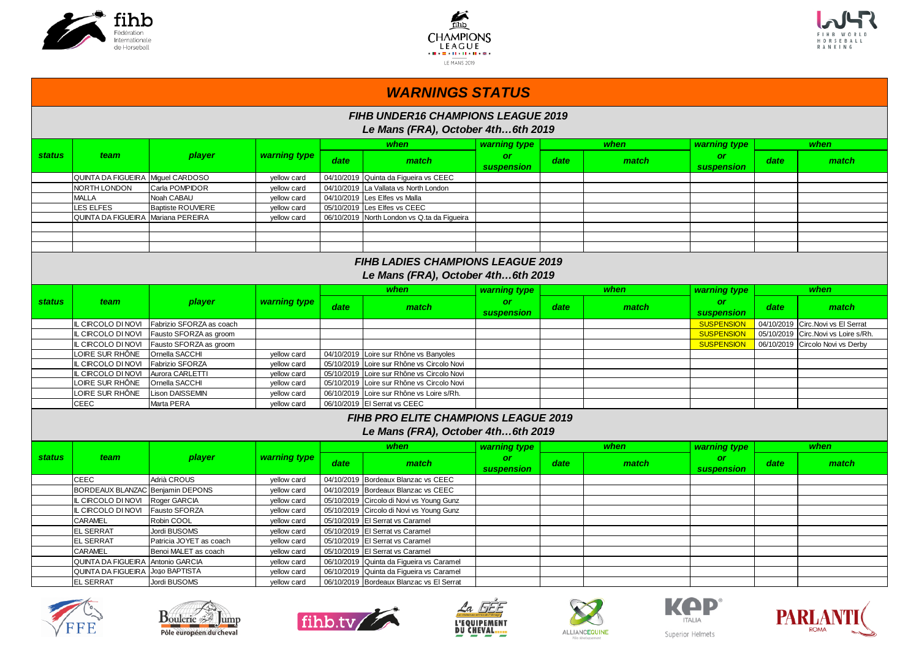





|                                                                                | <b>WARNINGS STATUS</b>             |                          |              |            |                                                                                 |                         |      |       |                         |            |                                     |  |  |  |
|--------------------------------------------------------------------------------|------------------------------------|--------------------------|--------------|------------|---------------------------------------------------------------------------------|-------------------------|------|-------|-------------------------|------------|-------------------------------------|--|--|--|
|                                                                                |                                    |                          |              |            | <b>FIHB UNDER16 CHAMPIONS LEAGUE 2019</b><br>Le Mans (FRA), October 4th6th 2019 |                         |      |       |                         |            |                                     |  |  |  |
|                                                                                |                                    |                          |              |            | when                                                                            | warning type            |      | when  | warning type            |            | when                                |  |  |  |
| <b>status</b>                                                                  | team                               | player                   | warning type | date       | match                                                                           | or<br><b>suspension</b> | date | match | <b>or</b><br>suspension | date       | match                               |  |  |  |
|                                                                                | QUINTA DA FIGUEIRA Miguel CARDOSO  |                          | yellow card  | 04/10/2019 | Quinta da Figueira vs CEEC                                                      |                         |      |       |                         |            |                                     |  |  |  |
|                                                                                | <b>NORTH LONDON</b>                | Carla POMPIDOR           | yellow card  | 04/10/2019 | La Vallata vs North London                                                      |                         |      |       |                         |            |                                     |  |  |  |
|                                                                                | <b>MALLA</b>                       | Noah CABAU               | yellow card  | 04/10/2019 | Les Elfes vs Malla                                                              |                         |      |       |                         |            |                                     |  |  |  |
|                                                                                | <b>ES ELFES</b>                    | <b>Baptiste ROUVIERE</b> | yellow card  | 05/10/2019 | Les Elfes vs CEEC                                                               |                         |      |       |                         |            |                                     |  |  |  |
|                                                                                | QUINTA DA FIGUEIRA Mariana PEREIRA |                          | yellow card  |            | 06/10/2019 North London vs Q.ta da Figueira                                     |                         |      |       |                         |            |                                     |  |  |  |
|                                                                                |                                    |                          |              |            |                                                                                 |                         |      |       |                         |            |                                     |  |  |  |
|                                                                                |                                    |                          |              |            |                                                                                 |                         |      |       |                         |            |                                     |  |  |  |
|                                                                                |                                    |                          |              |            |                                                                                 |                         |      |       |                         |            |                                     |  |  |  |
| <b>FIHB LADIES CHAMPIONS LEAGUE 2019</b><br>Le Mans (FRA), October 4th6th 2019 |                                    |                          |              |            |                                                                                 |                         |      |       |                         |            |                                     |  |  |  |
|                                                                                |                                    |                          |              |            | when                                                                            | warning type            |      | when  | warning type            |            | when                                |  |  |  |
| <b>status</b>                                                                  | team                               | player                   | warning type | date       | match                                                                           | or<br><b>suspension</b> | date | match | <b>or</b><br>suspension | date       | match                               |  |  |  |
|                                                                                | L CIRCOLO DI NOVI                  | Fabrizio SFORZA as coach |              |            |                                                                                 |                         |      |       | <b>SUSPENSION</b>       |            | 04/10/2019 Circ. Novi vs El Serrat  |  |  |  |
|                                                                                | L CIRCOLO DI NOVI                  | Fausto SFORZA as groom   |              |            |                                                                                 |                         |      |       | <b>SUSPENSION</b>       |            | 05/10/2019 Circ. Novi vs Loire s/Rh |  |  |  |
|                                                                                | L CIRCOLO DI NOVI                  | Fausto SFORZA as groom   |              |            |                                                                                 |                         |      |       | <b>SUSPENSION</b>       | 06/10/2019 | Circolo Novi vs Derby               |  |  |  |
|                                                                                | OIRE SUR RHÔNE                     | <b>Ornella SACCHI</b>    | yellow card  |            | 04/10/2019 Loire sur Rhône vs Banyoles                                          |                         |      |       |                         |            |                                     |  |  |  |
|                                                                                | CIRCOLO DI NOVI                    | Fabrizio SFORZA          | yellow card  |            | 05/10/2019 Loire sur Rhône vs Circolo Novi                                      |                         |      |       |                         |            |                                     |  |  |  |
|                                                                                | CIRCOLO DI NOVI                    | Aurora CARLETTI          | vellow card  |            | 05/10/2019 Loire sur Rhône vs Circolo Novi                                      |                         |      |       |                         |            |                                     |  |  |  |
|                                                                                | OIRE SUR RHÔNE                     | Ornella SACCHI           | yellow card  |            | 05/10/2019 Loire sur Rhône vs Circolo Novi                                      |                         |      |       |                         |            |                                     |  |  |  |
|                                                                                | OIRE SUR RHÔNE.                    | <b>Lison DAISSEMIN</b>   | yellow card  |            | 06/10/2019 Loire sur Rhône vs Loire s/Rh.                                       |                         |      |       |                         |            |                                     |  |  |  |
|                                                                                | CEEC                               | Marta PERA               | yellow card  |            | 06/10/2019 El Serrat vs CEEC                                                    |                         |      |       |                         |            |                                     |  |  |  |
|                                                                                |                                    |                          |              |            | FIHB PRO ELITE CHAMPIONS LEAGUE 2019<br>Le Mans (FRA), October 4th6th 2019      |                         |      |       |                         |            |                                     |  |  |  |
|                                                                                |                                    |                          |              |            | when                                                                            | warning type            |      | when  | warning type            |            | when                                |  |  |  |
| <b>status</b>                                                                  | team                               | player                   | warning type | date       | match                                                                           | or<br>suspension        | date | match | <b>or</b><br>suspension | date       | match                               |  |  |  |
|                                                                                | CEEC                               | Adrià CROUS              | yellow card  |            | 04/10/2019 Bordeaux Blanzac vs CEEC                                             |                         |      |       |                         |            |                                     |  |  |  |
|                                                                                | BORDEAUX BLANZAC Benjamin DEPONS   |                          | yellow card  | 04/10/2019 | Bordeaux Blanzac vs CEEC                                                        |                         |      |       |                         |            |                                     |  |  |  |
|                                                                                | CIRCOLO DI NOVI                    | Roger GARCIA             | yellow card  |            | 05/10/2019 Circolo di Novi vs Young Gunz                                        |                         |      |       |                         |            |                                     |  |  |  |
|                                                                                | CIRCOLO DI NOVI                    | Fausto SFORZA            | yellow card  | 05/10/2019 | Circolo di Novi vs Young Gunz                                                   |                         |      |       |                         |            |                                     |  |  |  |
|                                                                                | CARAMEL                            | Robin COOL               | yellow card  | 05/10/2019 | El Serrat vs Caramel                                                            |                         |      |       |                         |            |                                     |  |  |  |
|                                                                                | EL SERRAT                          | Jordi BUSOMS             | yellow card  | 05/10/2019 | El Serrat vs Caramel                                                            |                         |      |       |                         |            |                                     |  |  |  |
|                                                                                | <b>EL SERRAT</b>                   | Patricia JOYET as coach  | yellow card  | 05/10/2019 | El Serrat vs Caramel                                                            |                         |      |       |                         |            |                                     |  |  |  |
|                                                                                | CARAMEL                            | Benoi MALET as coach     | yellow card  | 05/10/2019 | El Serrat vs Caramel                                                            |                         |      |       |                         |            |                                     |  |  |  |
|                                                                                | QUINTA DA FIGUEIRA                 | Antonio GARCIA           | yellow card  | 06/10/2019 | Quinta da Figueira vs Caramel                                                   |                         |      |       |                         |            |                                     |  |  |  |
|                                                                                | QUINTA DA FIGUEIRA                 | João BAPTISTA            | yellow card  |            | 06/10/2019 Quinta da Figueira vs Caramel                                        |                         |      |       |                         |            |                                     |  |  |  |
|                                                                                | <b>EL SERRAT</b>                   | Jordi BUSOMS             | yellow card  |            | 06/10/2019 Bordeaux Blanzac vs El Serrat                                        |                         |      |       |                         |            |                                     |  |  |  |













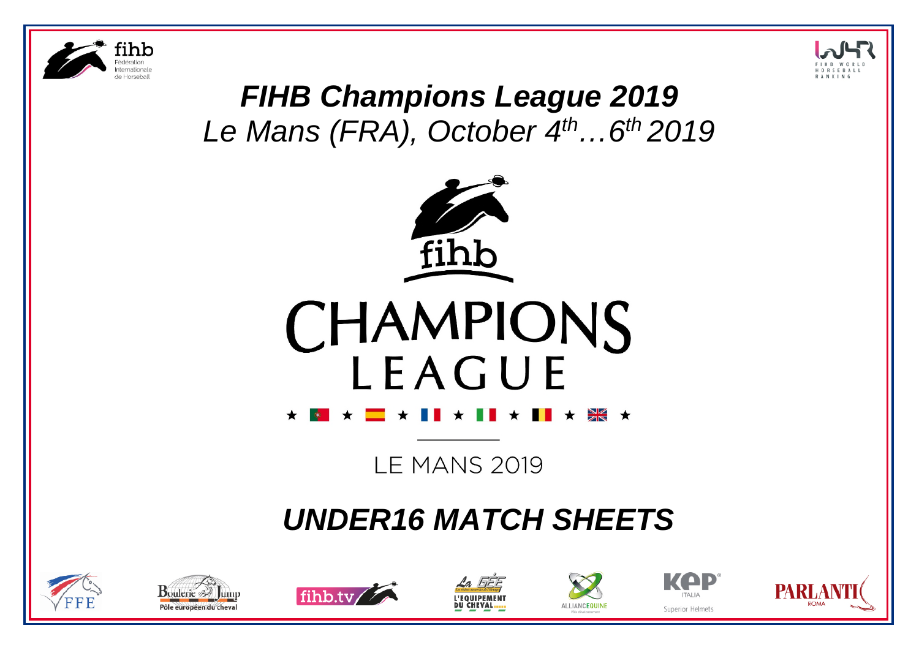



# *FIHB Champions League 2019 Le Mans (FRA), October 4th…6th 2019*





**LE MANS 2019** 

# *UNDER16 MATCH SHEETS*













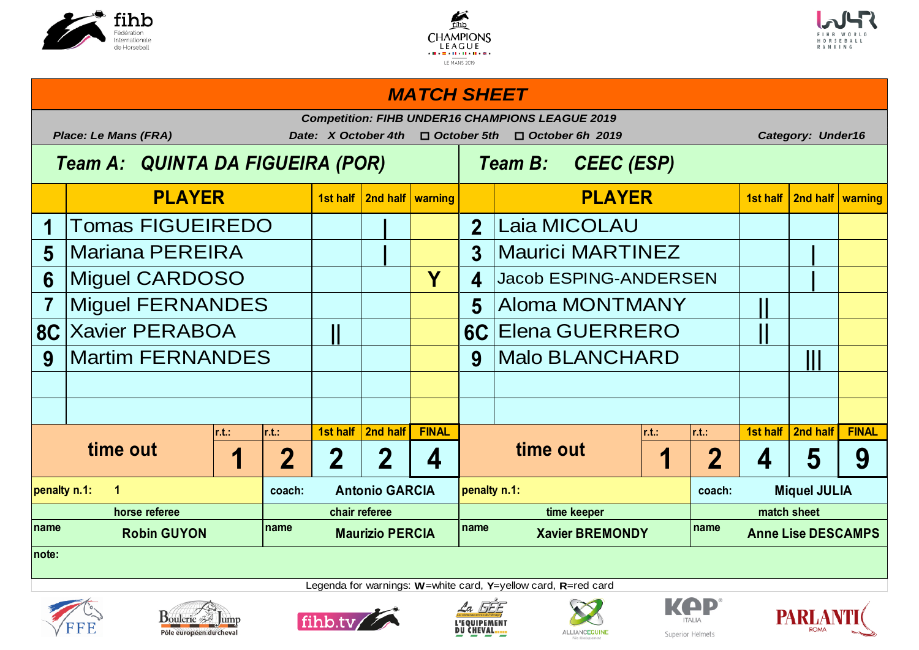





### *MATCH SHEET*

|              | <b>Competition: FIHB UNDER16 CHAMPIONS LEAGUE 2019</b><br><b>Place: Le Mans (FRA)</b><br>Date: X October 4th<br>$\Box$ October 5th<br><b>Category: Under16</b><br>$\Box$ October 6h 2019 |        |               |                        |          |              |                        |                                     |        |       |                           |          |              |  |
|--------------|------------------------------------------------------------------------------------------------------------------------------------------------------------------------------------------|--------|---------------|------------------------|----------|--------------|------------------------|-------------------------------------|--------|-------|---------------------------|----------|--------------|--|
|              | Team A: QUINTA DA FIGUEIRA (POR)                                                                                                                                                         |        |               |                        |          |              |                        | <b>CEEC (ESP)</b><br><b>Team B:</b> |        |       |                           |          |              |  |
|              | <b>PLAYER</b>                                                                                                                                                                            |        |               | 1st half               | 2nd half | warning      |                        | <b>PLAYER</b>                       |        |       | 1st half                  | 2nd half | warning      |  |
|              | <b>Tomas FIGUEIREDO</b>                                                                                                                                                                  |        |               |                        |          |              | $\overline{2}$         | Laia MICOLAU                        |        |       |                           |          |              |  |
| 5            | <b>Mariana PEREIRA</b>                                                                                                                                                                   |        |               |                        |          |              | 3                      | <b>Maurici MARTINEZ</b>             |        |       |                           |          |              |  |
| 6            | <b>Miguel CARDOSO</b>                                                                                                                                                                    |        |               |                        |          | Y            | 4                      | <b>Jacob ESPING-ANDERSEN</b>        |        |       |                           |          |              |  |
|              | Miguel FERNANDES                                                                                                                                                                         |        |               |                        |          |              | 5                      | <b>Aloma MONTMANY</b>               |        |       |                           |          |              |  |
|              | <b>8C Xavier PERABOA</b>                                                                                                                                                                 |        |               |                        |          | <b>6C</b>    | <b>Elena GUERRERO</b>  |                                     |        |       |                           |          |              |  |
| 9            | <b>Martim FERNANDES</b>                                                                                                                                                                  |        |               |                        |          |              | 9                      | <b>Malo BLANCHARD</b>               |        |       |                           |          |              |  |
|              |                                                                                                                                                                                          |        |               |                        |          |              |                        |                                     |        |       |                           |          |              |  |
|              |                                                                                                                                                                                          |        |               |                        |          |              |                        |                                     |        |       |                           |          |              |  |
|              |                                                                                                                                                                                          | r.t.:  | $\vert$ r.t.: | 1st half               | 2nd half | <b>FINAL</b> |                        |                                     | r.t.   | r.t.: | 1st half                  | 2nd half | <b>FINAL</b> |  |
|              | time out                                                                                                                                                                                 | 2      | 2             | 7                      | 4        |              | time out               |                                     | 2      | 4     | 5                         | 9        |              |  |
| penalty n.1: | $\blacktriangleleft$                                                                                                                                                                     | coach: |               | <b>Antonio GARCIA</b>  |          | penalty n.1: |                        |                                     | coach: |       | <b>Miquel JULIA</b>       |          |              |  |
|              | horse referee                                                                                                                                                                            |        | chair referee |                        |          |              | time keeper            |                                     |        |       | match sheet               |          |              |  |
| Iname        | <b>Robin GUYON</b>                                                                                                                                                                       | name   |               | <b>Maurizio PERCIA</b> |          | name         | <b>Xavier BREMONDY</b> |                                     | name   |       | <b>Anne Lise DESCAMPS</b> |          |              |  |
| note:        |                                                                                                                                                                                          |        |               |                        |          |              |                        |                                     |        |       |                           |          |              |  |













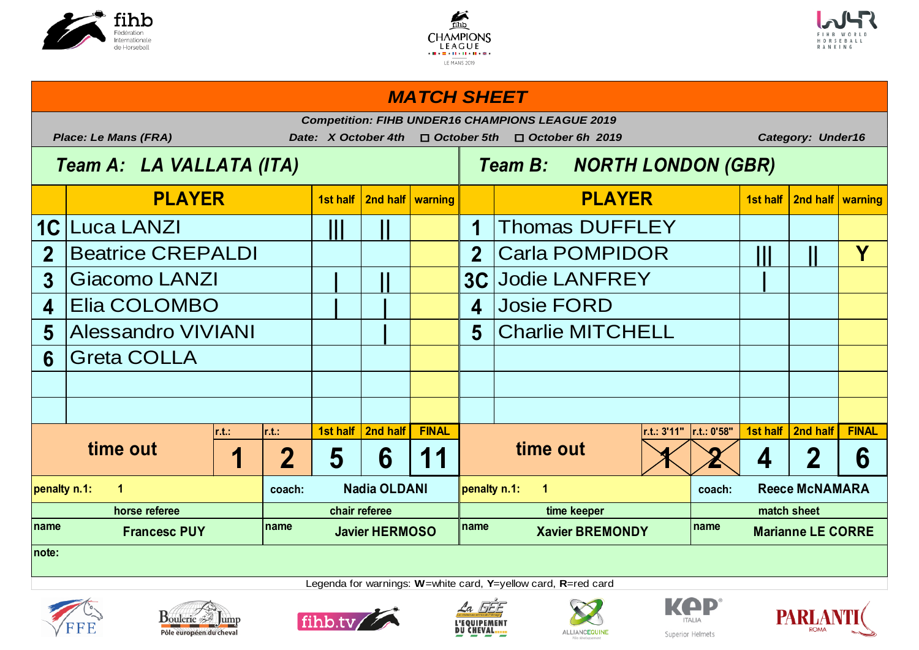





### *MATCH SHEET*

|                  |                             |        |               |                                                                                              |                    |                     |                         | <b>Competition: FIHB UNDER16 CHAMPIONS LEAGUE 2019</b> |                          |                          |                       |                         |              |
|------------------|-----------------------------|--------|---------------|----------------------------------------------------------------------------------------------|--------------------|---------------------|-------------------------|--------------------------------------------------------|--------------------------|--------------------------|-----------------------|-------------------------|--------------|
|                  | <b>Place: Le Mans (FRA)</b> |        |               | Date: X October 4th                                                                          |                    | $\Box$ October 5th  |                         | $\Box$ October 6h 2019                                 |                          | <b>Category: Under16</b> |                       |                         |              |
|                  | Team A: LA VALLATA (ITA)    |        |               |                                                                                              |                    |                     |                         | <b>NORTH LONDON (GBR)</b><br><b>Team B:</b>            |                          |                          |                       |                         |              |
|                  | <b>PLAYER</b>               |        |               | 1st half                                                                                     | 2nd half   warning |                     |                         | <b>PLAYER</b>                                          |                          |                          | 1st half              | 2nd half   warning      |              |
| <b>1C</b>        | <b>Luca LANZI</b>           |        |               |                                                                                              |                    |                     |                         | <b>Thomas DUFFLEY</b>                                  |                          |                          |                       |                         |              |
| $\overline{2}$   | <b>Beatrice CREPALDI</b>    |        |               |                                                                                              |                    |                     | $\overline{2}$          | <b>Carla POMPIDOR</b>                                  |                          |                          |                       | Y                       |              |
| $\overline{3}$   | Giacomo LANZI               |        |               |                                                                                              |                    |                     |                         | <b>3C Jodie LANFREY</b>                                |                          |                          |                       |                         |              |
| $\blacktriangle$ | Elia COLOMBO                |        |               |                                                                                              |                    | $\blacktriangle$    | <b>Josie FORD</b>       |                                                        |                          |                          |                       |                         |              |
| 5                | <b>Alessandro VIVIANI</b>   |        |               |                                                                                              |                    | 5                   | <b>Charlie MITCHELL</b> |                                                        |                          |                          |                       |                         |              |
| 6                | <b>Greta COLLA</b>          |        |               |                                                                                              |                    |                     |                         |                                                        |                          |                          |                       |                         |              |
|                  |                             |        |               |                                                                                              |                    |                     |                         |                                                        |                          |                          |                       |                         |              |
|                  |                             |        |               |                                                                                              |                    |                     |                         |                                                        |                          |                          |                       |                         |              |
|                  |                             | r.t.   | $\vert$ r.t.: | 1st half                                                                                     | 2nd half           | <b>FINAL</b>        |                         |                                                        | r.t.: 3'11"  r.t.: 0'58" |                          |                       | 1st half   2nd half     | <b>FINAL</b> |
|                  | time out                    |        | $\bf{2}$      | 5                                                                                            | 6                  | $\blacksquare$<br>1 |                         | time out                                               |                          |                          | 4                     | $\overline{\mathbf{2}}$ | 6            |
| penalty n.1:     | $\mathbf 1$                 | coach: |               | <b>Nadia OLDANI</b>                                                                          |                    | penalty n.1:        | $\mathbf 1$             |                                                        | coach:                   |                          | <b>Reece McNAMARA</b> |                         |              |
|                  | horse referee               |        | chair referee |                                                                                              |                    |                     | time keeper             |                                                        |                          |                          | match sheet           |                         |              |
| <b>Iname</b>     | <b>Francesc PUY</b>         | name   |               | name<br>Iname<br><b>Xavier BREMONDY</b><br><b>Javier HERMOSO</b><br><b>Marianne LE CORRE</b> |                    |                     |                         |                                                        |                          |                          |                       |                         |              |
| Inote:           |                             |        |               |                                                                                              |                    |                     |                         |                                                        |                          |                          |                       |                         |              |









Legenda for warnings: **W**=white card, **Y**=yellow card, **R**=red card





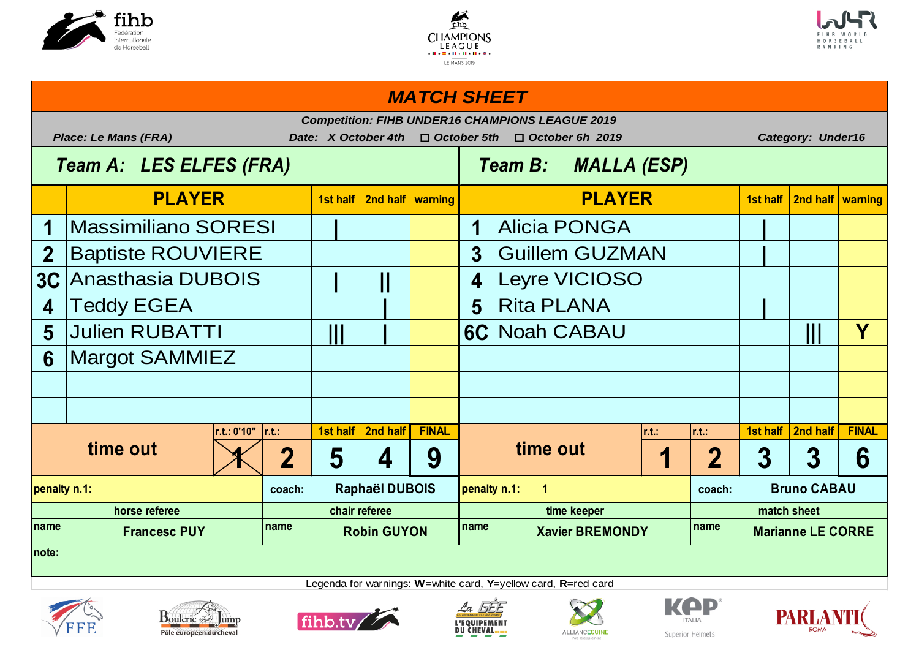





# **1st half 2nd half warning 1st half 2nd half warning 1 | 1 |** Massimiliano SORESI Alicia PONGA 2 Baptiste ROUVIERE  $\begin{array}{|c|c|c|c|c|c|}\hline \text{3} & \text{Guillem GUZMAN} & \text{ }\end{array}$ **3C** Anasthasia DUBOIS Let  $\begin{array}{|c|c|c|c|c|c|} \hline \text{1 & \text{4} & \text{Leyre VICIOSO} \hline \end{array}$ **4 | 5 |** Teddy EGEA Rita PLANA **5 ||| | 6C ||| Y** Julien RUBATTI Noah CABAU **6 r.t.: 0'10" r.t.: 1st half 2nd half FINAL r.t.: r.t.: 1st half 2nd half FINAL**  $\left| \left. \left. \right. \right| \left. \right| \left. \right| \left. \right| \left. \right| \left. \right| \left. \right| \left. \right| \left. \right| \left. \right| \left. \right| \left. \right| \left. \right| \left. \right| \left. \right| \left. \right| \left. \right| \left. \right| \left. \right| \left. \right| \left. \right| \left. \right| \left. \right| \left. \right| \left. \right| \left. \right| \left. \right| \left. \right| \left. \right| \left. \right| \left. \right| \left. \right| \left. \right| \left. \right| \left. \right| \$ **coach: coach: penalty n.1: Raphaël DUBOIS penalty n.1: 1 Bruno CABAU** name **12.1 Francesc PUY name Robin GUYON name Xavier BREMONDY name horse referee chair referee time keeper match sheet Marianne LE CORRE note: time out time out** Margot SAMMIEZ **PLAYER PLAYER** *MATCH SHEET Competition: FIHB UNDER16 CHAMPIONS LEAGUE 2019 Place: Le Mans (FRA) Date: X October 4th* o *October 5th* o *October 6h 2019 Category: Under16 Team A: LES ELFES (FRA) Team B: MALLA (ESP)*









Legenda for warnings: **W**=white card, **Y**=yellow card, **R**=red card





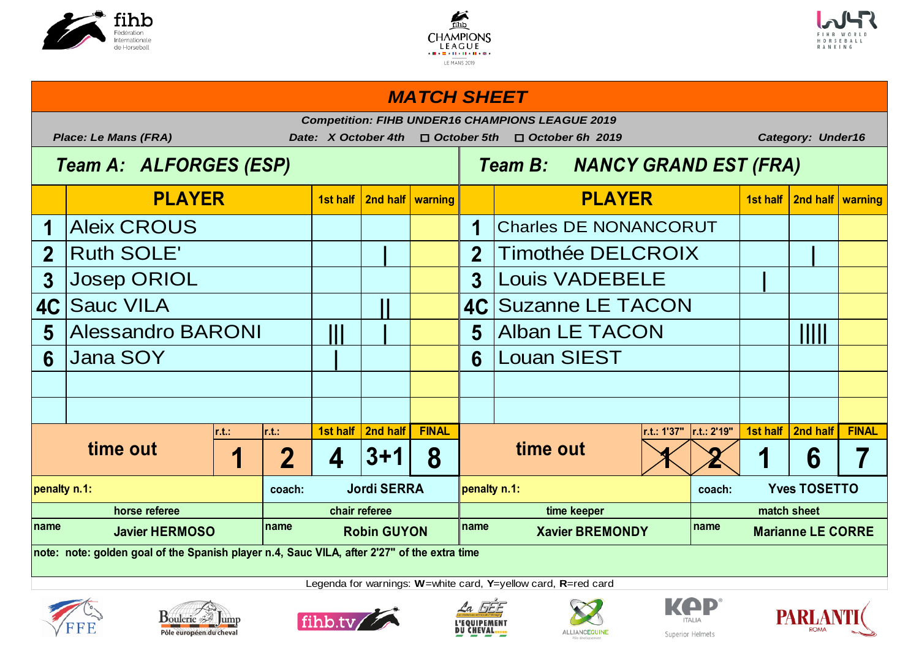





### **1st half 2nd half warning 1st half 2nd half warning** Aleix CROUS | | | | | | | **2 | 2 |** Ruth SOLE' Timothée DELCROIX **3 3 |** Josep ORIOL Louis VADEBELE **4C**  $|$  **Sauc VILA 1988 1989 1989 1989 1980 1980 5** Alessandro BARONI | || | | | | | 5 | Alban LE TACON | | | | | | | | | | | | | **6 | 6 r.t.: r.t.: 1st half 2nd half FINAL r.t.: 1'37" r.t.: 2'19" 1st half 2nd half FINAL 1** | **2** | **4** | **3+1** | **8** | **1 1 1 1 1 6** | **7** | **1 1 6** | **7** | **coach: coach: coach: coach: coach: coach: coach: coach: coach: coach: coach: coach: coach: coach: coach: coach: coach: coach: coach: coach: coach: coach: coach: coach: coach name name name name penalty n.1: Jordi SERRA penalty n.1: Yves TOSETTO horse referee chair referee time keeper match sheet Marianne LE CORRE note: note: golden goal of the Spanish player n.4, Sauc VILA, after 2'27" of the extra time time out time out Suzanne LE TACON** Louan SIEST Charles DE NONANCORUT **PLAYER PLAYER** *MATCH SHEET Competition: FIHB UNDER16 CHAMPIONS LEAGUE 2019 Place: Le Mans (FRA) Date: X October 4th* o *October 5th* o *October 6h 2019 Category: Under16 Team A: ALFORGES (ESP) Team B: NANCY GRAND EST (FRA)*













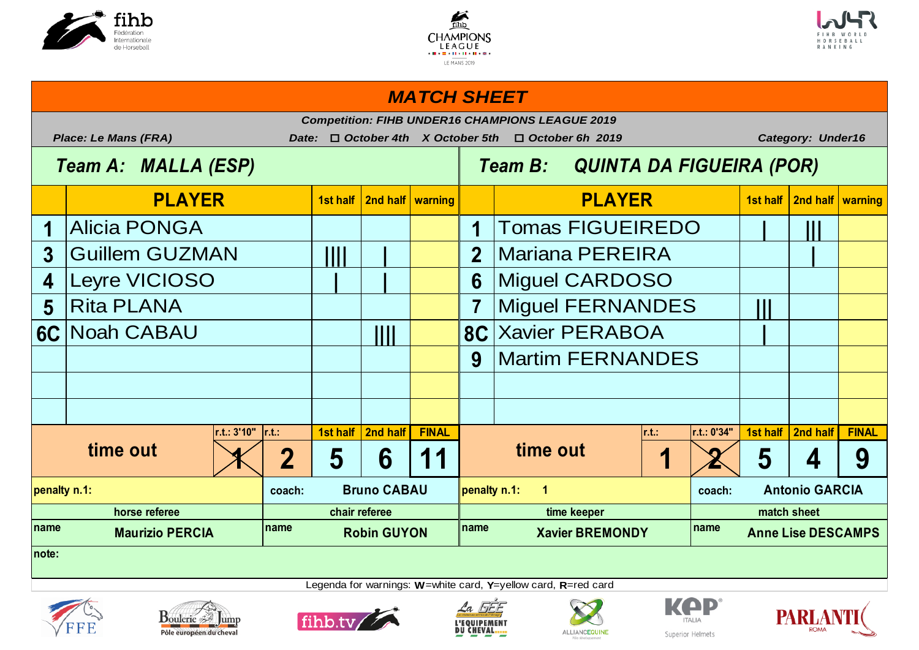





### *MATCH SHEET*

|              | <b>Place: Le Mans (FRA)</b> |             | Date:                                                                                      |                    |          | $\Box$ October 4th X October 5th |                       | <b>Competition: FIHB UNDER16 CHAMPIONS LEAGUE 2019</b><br>$\Box$ October 6h 2019 |               |             | <b>Category: Under16</b> |          |              |
|--------------|-----------------------------|-------------|--------------------------------------------------------------------------------------------|--------------------|----------|----------------------------------|-----------------------|----------------------------------------------------------------------------------|---------------|-------------|--------------------------|----------|--------------|
|              | Team A: MALLA (ESP)         |             |                                                                                            |                    |          |                                  |                       | QUINTA DA FIGUEIRA (POR)<br><b>Team B:</b>                                       |               |             |                          |          |              |
|              | <b>PLAYER</b>               |             |                                                                                            | 1st half           |          | 2nd half   warning               |                       |                                                                                  | <b>PLAYER</b> |             | 1st half                 | 2nd half | warning      |
|              | <b>Alicia PONGA</b>         |             |                                                                                            |                    |          |                                  | 1                     | <b>Tomas FIGUEIREDO</b>                                                          |               |             |                          |          |              |
| 3            | <b>Guillem GUZMAN</b>       |             |                                                                                            | W                  |          |                                  | $\overline{2}$        | <b>Mariana PEREIRA</b>                                                           |               |             |                          |          |              |
| 4            | <b>Leyre VICIOSO</b>        |             |                                                                                            |                    |          |                                  | 6                     | <b>Miguel CARDOSO</b>                                                            |               |             |                          |          |              |
| 5            | <b>Rita PLANA</b>           |             |                                                                                            |                    |          |                                  |                       | <b>Miguel FERNANDES</b>                                                          |               |             |                          |          |              |
|              | 6C Noah CABAU               |             |                                                                                            | Ш                  |          | 8C <sub>1</sub>                  | <b>Xavier PERABOA</b> |                                                                                  |               |             |                          |          |              |
|              |                             |             |                                                                                            |                    |          |                                  | 9                     | <b>Martim FERNANDES</b>                                                          |               |             |                          |          |              |
|              |                             |             |                                                                                            |                    |          |                                  |                       |                                                                                  |               |             |                          |          |              |
|              |                             |             |                                                                                            |                    |          |                                  |                       |                                                                                  |               |             |                          |          |              |
|              |                             | r.t.: 3'10" | $\vert$ r.t.:                                                                              | 1st half           | 2nd half | <b>FINAL</b>                     |                       |                                                                                  | r.t.          | r.t.: 0'34" | 1st half                 | 2nd half | <b>FINAL</b> |
|              | time out                    | 2           | 5                                                                                          | 6                  | 11       |                                  | time out              |                                                                                  |               | 5           | 4                        | 9        |              |
| penalty n.1: |                             | coach:      |                                                                                            | <b>Bruno CABAU</b> |          | penalty n.1:                     | $\blacktriangleleft$  |                                                                                  | coach:        |             | <b>Antonio GARCIA</b>    |          |              |
|              | horse referee               |             | chair referee                                                                              |                    |          |                                  | time keeper           |                                                                                  |               |             | match sheet              |          |              |
| Iname        | <b>Maurizio PERCIA</b>      | name        | name<br>Iname<br><b>Robin GUYON</b><br><b>Xavier BREMONDY</b><br><b>Anne Lise DESCAMPS</b> |                    |          |                                  |                       |                                                                                  |               |             |                          |          |              |
| Inote:       |                             |             |                                                                                            |                    |          |                                  |                       |                                                                                  |               |             |                          |          |              |













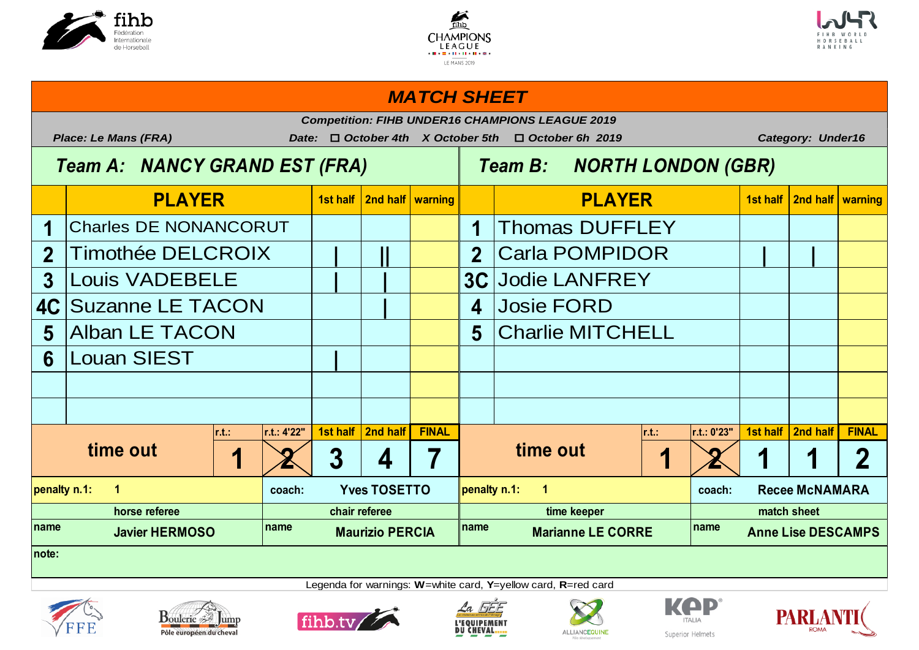





# 1st half | 2nd half | warning | **1st half all and half and half and half warning** in the state of the **1st half warning** 1 Charles DE NONANCORUT | | | | | | | 1 Thomas DUFFLEY 2 Timothée DELCROIX  $\begin{array}{|c|c|c|c|c|c|c|c|c|} \hline \textbf{1} & \textbf{2} & \textbf{Carla POMPIDOR} \ \hline \end{array}$ **3 | | 3C** Louis VADEBELE Jodie LANFREY **4C** Suzanne LE TACON  $\begin{array}{|c|c|c|c|c|c|} \hline & & & & & 4 \end{array}$  **4** Josie FORD **5 5** Alban LE TACON Charlie MITCHELL **6 |** Louan SIEST **r.t.: r.t.: 4'22" 1st half 2nd half FINAL r.t.: r.t.: 0'23" 1st half 2nd half FINAL 1** 2 3 4 7 **1 <b>1 1 2** 1 1 2 **coach: coach: name name name name penalty n.1: 1 Yves TOSETTO penalty n.1: 1 Recee McNAMARA horse referee chair referee time keeper match sheet Javier HERMOSO Maurizio PERCIA Marianne LE CORRE Anne Lise DESCAMPS note: time out 1 2 3 4 7 time out PLAYER PLAYER** *MATCH SHEET Competition: FIHB UNDER16 CHAMPIONS LEAGUE 2019 Place: Le Mans (FRA) Date:* o *October 4th X October 5th* o *October 6h 2019 Category: Under16 Team A: NANCY GRAND EST (FRA) Team B: NORTH LONDON (GBR)*









Legenda for warnings: **W**=white card, **Y**=yellow card, **R**=red card





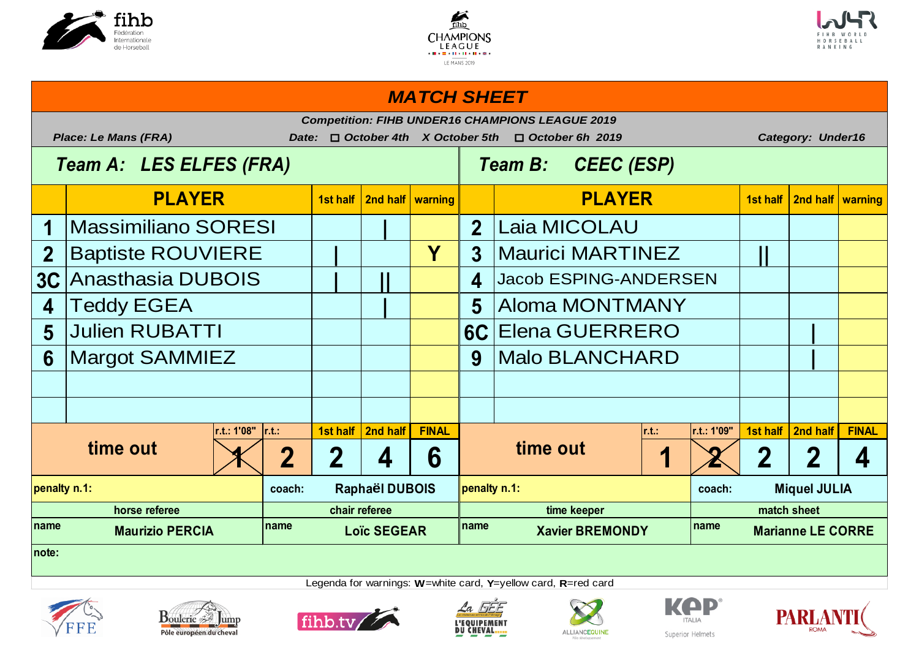





# **1st half 2nd half warning 1st half 2nd half warning 1 | 2** Massimiliano SORESI Laia MICOLAU 2 **Baptiste ROUVIERE**  $\begin{array}{|c|c|c|c|c|}\n\hline\n\text{|} & \text{|} & \text{|} & \text{|} & \text{Maurici MARTINEZ} & \text{|} & \text{|} \end{array}$ **3C | || 4 4 | 5 5 6C |** Julien RUBATTI Elena GUERRERO **6 9 |** Margot SAMMIEZ Malo BLANCHARD **r.t.: 1'08" r.t.: 1st half 2nd half FINAL r.t.: r.t.: 1'09" 1st half 2nd half FINAL**  $1 \times 2 \times 2 \times 4 \times 6$  **time out**  $1 \times 2 \times 2 \times 4$ **coach: coach: penalty n.1: Raphaël DUBOIS penalty n.1: Miquel JULIA** name **name name name name name name name name name name name name PLAYER PLAYER** *MATCH SHEET Competition: FIHB UNDER16 CHAMPIONS LEAGUE 2019 Place: Le Mans (FRA) Date:* o *October 4th X October 5th* o *October 6h 2019 Category: Under16 Team A: LES ELFES (FRA) Team B: CEEC (ESP)* **Jacob ESPING-ANDERSEN** Aloma MONTMANY **time out**  $\begin{array}{|c|c|c|c|c|}\hline \text{time out} & \text{if} & \text{if} & \text{if} & \text{if} & \text{if} & \text{if} & \text{if} & \text{if} & \text{if} & \text{if} & \text{if} & \text{if} & \text{if} & \text{if} & \text{if} & \text{if} & \text{if} & \text{if} & \text{if} & \text{if} & \text{if} & \text{if} & \text{if} & \text{if} & \text{if} & \text{if} & \text{if} & \text{if} & \text{if} & \text{if} & \text{if$ **horse referee chair referee time keeper match sheet Marianne LE CORRE note:**













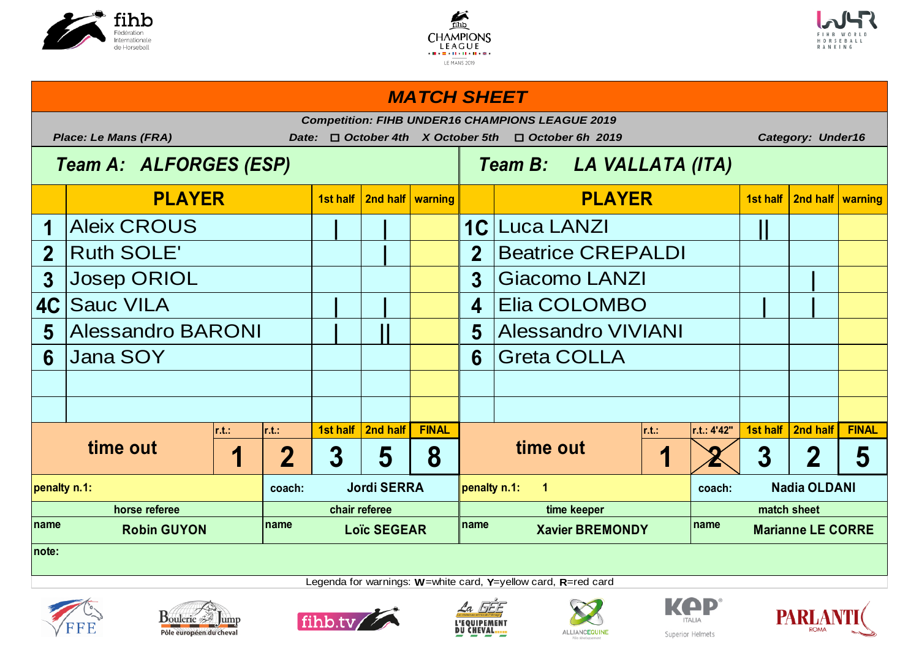





### *MATCH SHEET*

|                | <b>Place: Le Mans (FRA)</b>                       |                          | Date:         |                    |          |                    | <b>Competition: FIHB UNDER16 CHAMPIONS LEAGUE 2019</b><br>$\Box$ October 4th X October 5th<br>$\Box$ October 6h 2019 |                                                                           |                          |                 |             | <b>Category: Under16</b> |                         |              |
|----------------|---------------------------------------------------|--------------------------|---------------|--------------------|----------|--------------------|----------------------------------------------------------------------------------------------------------------------|---------------------------------------------------------------------------|--------------------------|-----------------|-------------|--------------------------|-------------------------|--------------|
|                | Team A: ALFORGES (ESP)                            |                          |               |                    |          |                    |                                                                                                                      |                                                                           | Team B: LA VALLATA (ITA) |                 |             |                          |                         |              |
|                | <b>PLAYER</b>                                     |                          |               | 1st half           |          | 2nd half   warning |                                                                                                                      |                                                                           | <b>PLAYER</b>            |                 |             | 1st half                 | 2nd half   warning      |              |
|                | <b>Aleix CROUS</b>                                |                          |               |                    |          |                    | 1C                                                                                                                   | <b>Luca LANZI</b>                                                         |                          |                 |             |                          |                         |              |
| $\overline{2}$ | <b>Ruth SOLE'</b>                                 |                          |               |                    |          |                    | $\overline{2}$                                                                                                       |                                                                           | <b>Beatrice CREPALDI</b> |                 |             |                          |                         |              |
| $\overline{3}$ | <b>Josep ORIOL</b>                                |                          |               |                    |          |                    | 3                                                                                                                    |                                                                           | Giacomo LANZI            |                 |             |                          |                         |              |
| 4C             | <b>Sauc VILA</b>                                  |                          |               |                    |          |                    | $\overline{\mathbf{4}}$                                                                                              |                                                                           | Elia COLOMBO             |                 |             |                          |                         |              |
| 5              | <b>Alessandro BARONI</b>                          |                          |               |                    |          | 5                  | <b>Alessandro VIVIANI</b>                                                                                            |                                                                           |                          |                 |             |                          |                         |              |
| 6              | <b>Jana SOY</b>                                   |                          |               |                    |          |                    | 6                                                                                                                    | <b>Greta COLLA</b>                                                        |                          |                 |             |                          |                         |              |
|                |                                                   |                          |               |                    |          |                    |                                                                                                                      |                                                                           |                          |                 |             |                          |                         |              |
|                |                                                   |                          |               |                    |          |                    |                                                                                                                      |                                                                           |                          |                 |             |                          |                         |              |
|                |                                                   | r.t.                     | $\vert$ r.t.: | 1st half           | 2nd half | <b>FINAL</b>       |                                                                                                                      |                                                                           |                          | $\mathsf{r.t.}$ | r.t.: 4'42" | 1st half                 | 2nd half                | <b>FINAL</b> |
|                | time out                                          | $\overline{\phantom{a}}$ | 2             | $\overline{3}$     | 5        | 8                  |                                                                                                                      | time out                                                                  |                          | ø               |             | 3                        | $\overline{\mathbf{2}}$ | 5            |
| penalty n.1:   |                                                   | coach:                   |               | <b>Jordi SERRA</b> |          | penalty n.1:       | $\blacktriangleleft$                                                                                                 |                                                                           |                          | coach:          |             | <b>Nadia OLDANI</b>      |                         |              |
|                | horse referee<br>chair referee                    |                          |               |                    |          |                    |                                                                                                                      | time keeper                                                               |                          |                 |             |                          | match sheet             |              |
| Iname          | Iname<br><b>Robin GUYON</b><br><b>Loïc SEGEAR</b> |                          |               |                    |          |                    |                                                                                                                      | <b>name</b><br>name<br><b>Xavier BREMONDY</b><br><b>Marianne LE CORRE</b> |                          |                 |             |                          |                         |              |
| Inote:         |                                                   |                          |               |                    |          |                    |                                                                                                                      |                                                                           |                          |                 |             |                          |                         |              |









Legenda for warnings: **W**=white card, **Y**=yellow card, **R**=red card





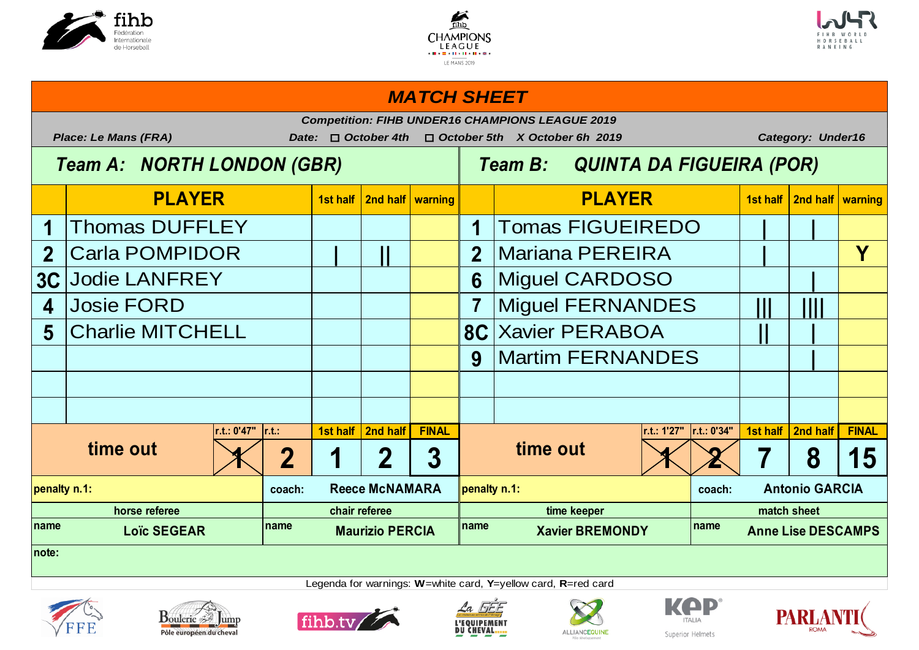





# **1st half 2nd half warning 1st half 2nd half warning** 1 Thomas DUFFLEY Tomas FIGUEIREDO Tomas FIGUEIREDO Tomas FIGUEIREDO **2 | || 2 | Y** Carla POMPIDOR Mariana PEREIRA **3C** Jodie LANFREY **Abuse 1 April 1 April 1 April 1 April 1 April 1 April 1 April 1 April 1 April 1 April 1 April 1 April 1 April 1 April 1 April 1 April 1 April 1 April 1 April 1 April 1 April 1 April 1 April 1 April 1 Ap 4 7 ||| ||||** Josie FORD Miguel FERNANDES **5 8C || |** Charlie MITCHELL Xavier PERABOA **9 |** Martim FERNANDES **r.t.: 0'47" r.t.: 1st half 2nd half FINAL r.t.: 1'27" r.t.: 0'34" 1st half 2nd half FINAL**  $1 \times 2$  | 1 | 2 | 3 |  $1 \times 12$  | 3 |  $15$ **coach: coach: penalty n.1: Reece McNAMARA penalty n.1: Antonio GARCIA name name name name PLAYER PLAYER** *MATCH SHEET Competition: FIHB UNDER16 CHAMPIONS LEAGUE 2019* Place: Le Mans (FRA) Date: □ October 4th □ October 5th X October 6h 2019 Category: Under16  *Team A: NORTH LONDON (GBR) Team B: QUINTA DA FIGUEIRA (POR)* **time out time out horse referee chair referee time keeper match sheet Loïc SEGEAR Maurizio PERCIA Xavier BREMONDY Anne Lise DESCAMPS note:**









Legenda for warnings: **W**=white card, **Y**=yellow card, **R**=red card





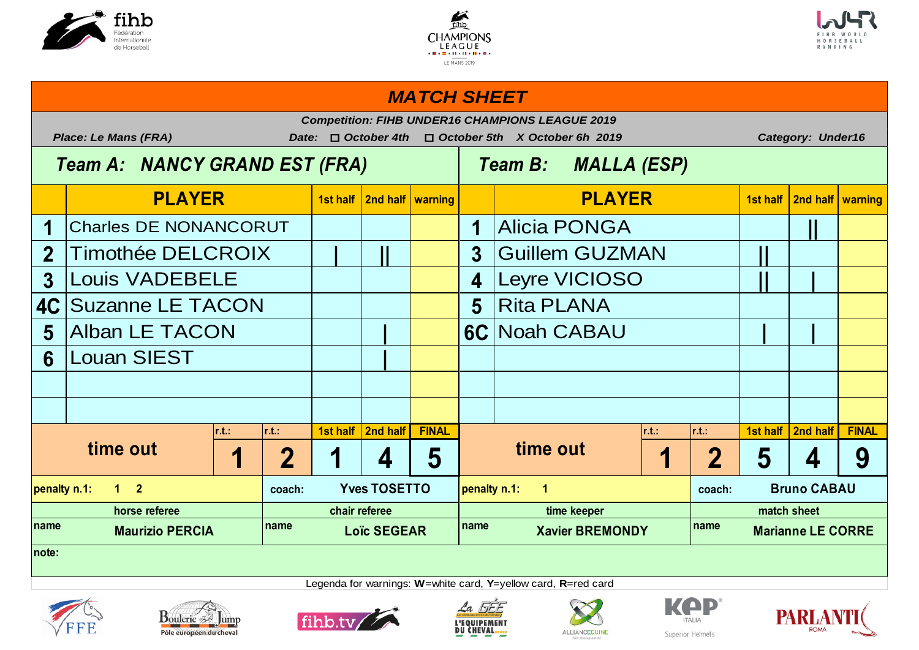





# **1st half 2nd half warning 1st half 2nd half warning** 1 Charles DE NONANCORUT | | | | | | | | | | Alicia PONGA | | | | | | 2 Timothée DELCROIX  $|| \cdot || ||$   $|| \cdot ||$  3 Guillem GUZMAN  $||$ **3 4 || |** Louis VADEBELE Leyre VICIOSO **4C** Suzanne LE TACON Ringley Rita PLANA **5 | 6C | |** Alban LE TACON Noah CABAU **6 |** Louan SIEST **r.t.: r.t.: 1st half 2nd half FINAL r.t.: r.t.: 1st half 2nd half FINAL** 1 2 1 4 5 **1** 1 2 5 4 9 **coach: coach: name name name name PLAYER PLAYER** *MATCH SHEET Competition: FIHB UNDER16 CHAMPIONS LEAGUE 2019 Place: Le Mans (FRA) Date:* o *October 4th* o *October 5th X October 6h 2019 Category: Under16 Team A: NANCY GRAND EST (FRA) Team B: MALLA (ESP)* **time out time out penalty n.1: 1 2 Yves TOSETTO penalty n.1: 1 Bruno CABAU horse referee chair referee time keeper match sheet Marianne LE CORRE note:**









Legenda for warnings: **W**=white card, **Y**=yellow card, **R**=red card





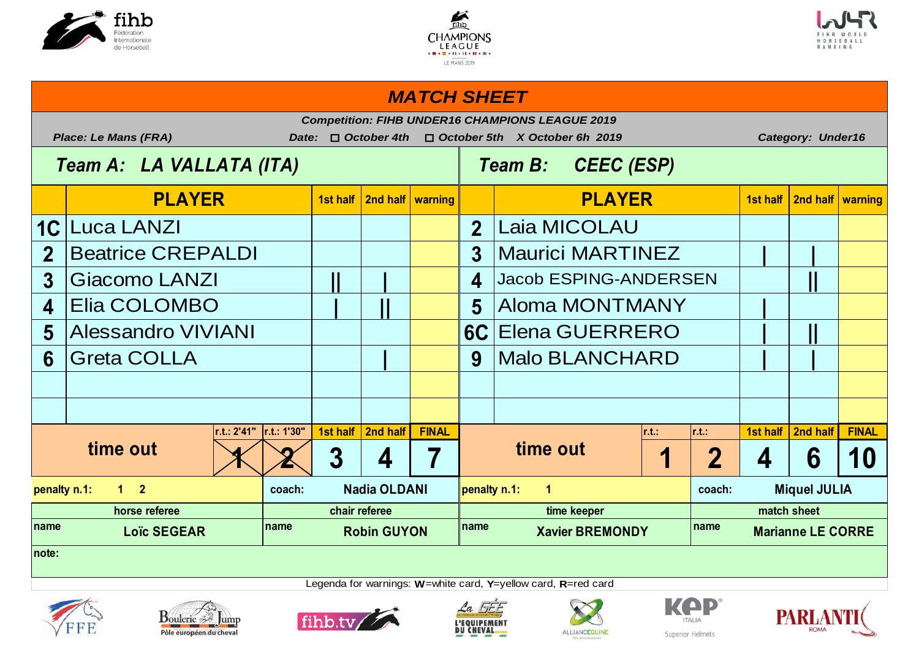





# **1st half 2nd half warning 1st half 2nd half warning** 1C Luca LANZI **12 2** 2 Beatrice CREPALDI **Maurici MARTINEZ 3 || | 4 ||** Giacomo LANZI Jacob ESPING-ANDERSEN **4 | || 5 |** Elia COLOMBO Aloma MONTMANY **5 6C | ||** Alessandro VIVIANI Elena GUERRERO **6** Greta COLLA **Alternative College & Branch** Malo BLANCHARD **Alternative College & Branch** Malo BLANCHARD **Alternative r.t.: 2'41" r.t.: 1'30" 1st half 2nd half FINAL r.t.: r.t.: 1st half 2nd half FINAL**  $1 \times 2 3 | 4 | 7 |$   $1 | 2 | 4 | 6 | 10$ **coach: coach:** name **1.8** Loïc SEGEAR **name name name name name name name name name PLAYER PLAYER** *MATCH SHEET Competition: FIHB UNDER16 CHAMPIONS LEAGUE 2019 Place: Le Mans (FRA) Date:* o *October 4th* o *October 5th X October 6h 2019 Category: Under16 Team A: LA VALLATA (ITA) Team B: CEEC (ESP)* Laia MICOLAU **time out x x 3 4 7 time out penalty n.1: 1 2 Nadia OLDANI penalty n.1: 1 Miquel JULIA horse referee chair referee time keeper match sheet Marianne LE CORRE note:**













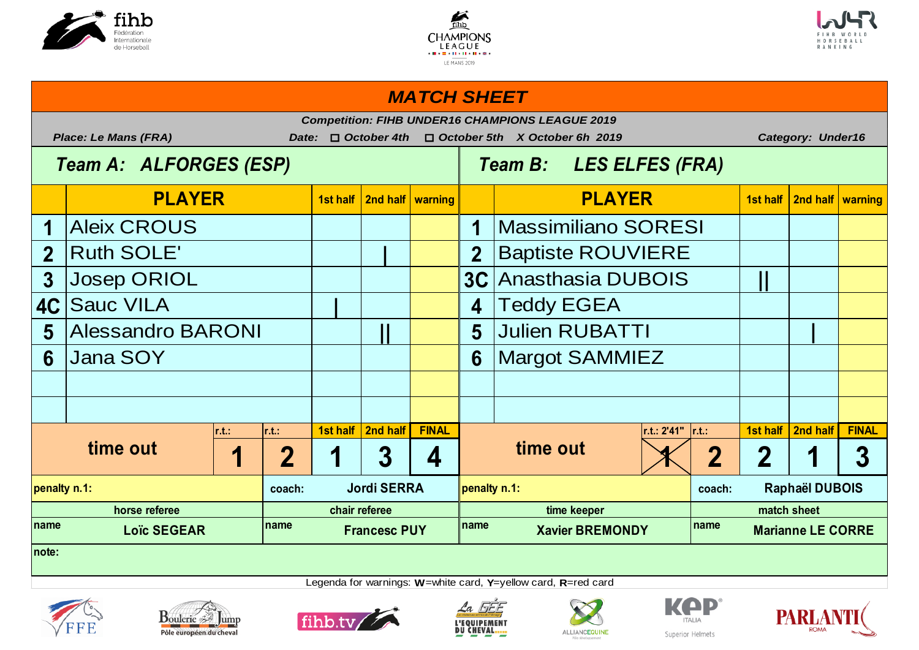





### **1st half 2nd half warning 1st half 2nd half warning** Aleix CROUS | | | | | | | **2 | 2 3 Josep ORIOL 1 1 1 1 1 1 1 3C** *Anasthasia DUBOIS* **1 1 4C | 4 5** Alessandro BARONI | | | | | 5 Julien RUBATTI | | | **6 6 r.t.: r.t.: 1st half 2nd half FINAL r.t.: 2'41" r.t.: 1st half 2nd half FINAL 1 2 1 3 4 1 2 2 1 3 coach: coach: coach: coach: coach: coach: coach: coach: coach: coach: coach: coach: coach: coach: coach: coach: coach: coach: coach: coach: coach: coach: coach: coach: coach** name **19.18.18 Loïc SEGEAR name name name name name name name name name PLAYER PLAYER** *MATCH SHEET Competition: FIHB UNDER16 CHAMPIONS LEAGUE 2019 Place: Le Mans (FRA) Date:* o *October 4th* o *October 5th X October 6h 2019 Category: Under16 Team A: ALFORGES (ESP) Team B: LES ELFES (FRA)* Massimiliano SORESI **Baptiste ROUVIERE Teddy EGEA Margot SAMMIEZ time out time out penalty n.1: Jordi SERRA penalty n.1: Raphaël DUBOIS horse referee chair referee time keeper match sheet Marianne LE CORRE note:**









Legenda for warnings: **W**=white card, **Y**=yellow card, **R**=red card





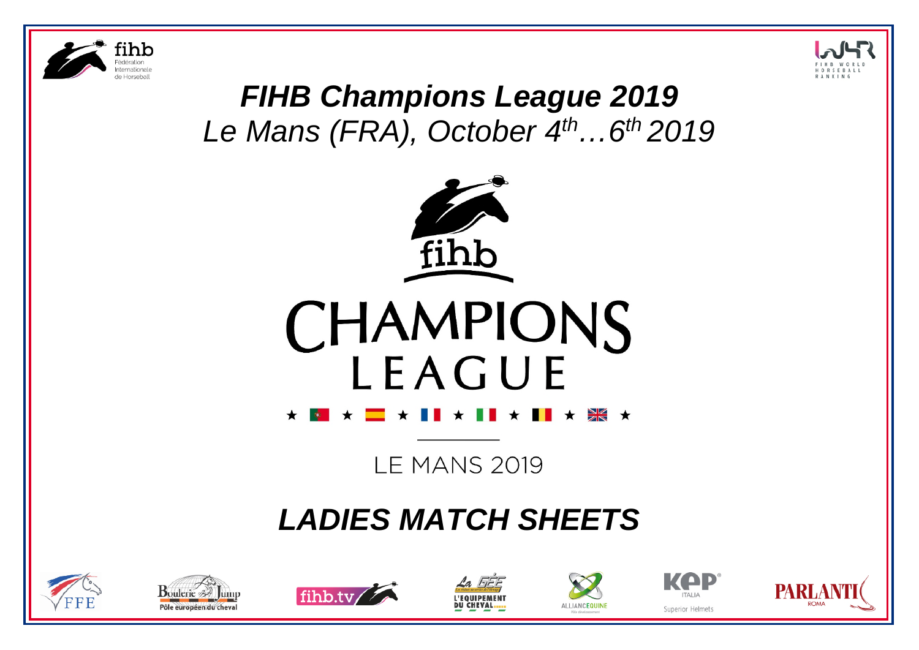



# *FIHB Champions League 2019 Le Mans (FRA), October 4th…6th 2019*





**LE MANS 2019** 

# *LADIES MATCH SHEETS*













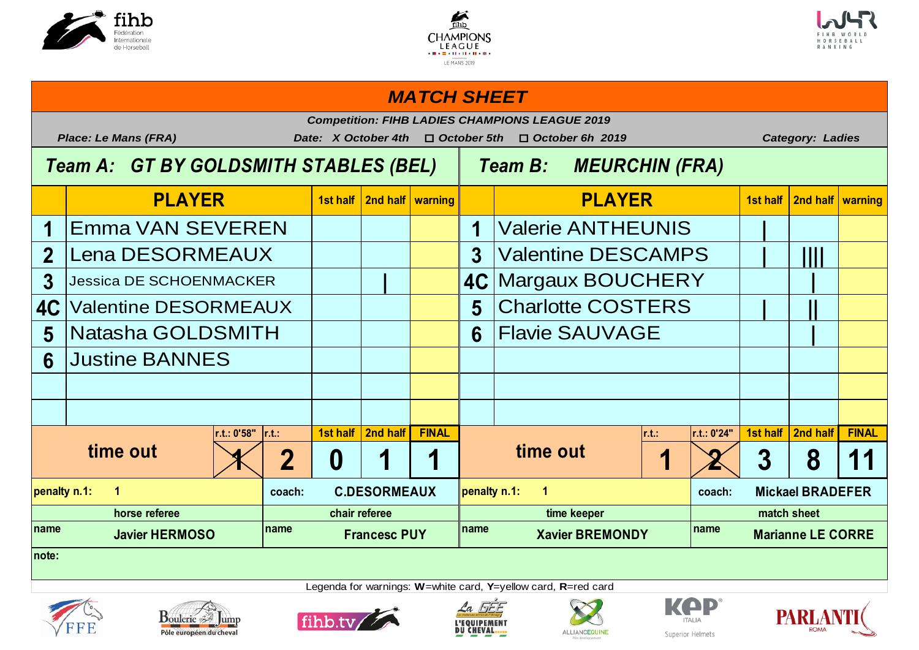





# **1st half 2nd half warning 1st half 2nd half warning** 1 **Emma VAN SEVEREN | | | | | | | | 1** | Valerie ANTHEUNIS | | 2 Lena DESORMEAUX  $\begin{array}{|c|c|c|c|c|c|c|c|} \hline \text{3} & \text{Valentine DESCAMPS} & & & & \text{]]} \hline \end{array}$ **3 | 4C |** Jessica DE SCHOENMACKER Margaux BOUCHERY **4C**  $\vert$  Valentine DESORMEAUX  $\vert$   $\vert$   $\vert$   $\vert$   $\vert$  **5**  $\vert$  Charlotte COSTERS  $\vert$   $\vert$   $\vert$   $\vert$   $\vert$ **5 Natasha GOLDSMITH**  $\begin{bmatrix} 1 & 1 & 1 \end{bmatrix}$  **6 Flavie SAUVAGE**  $\begin{bmatrix} 1 & 1 \end{bmatrix}$ **6 r.t.: 0'58" r.t.: 1st half 2nd half FINAL r.t.: r.t.: 0'24" 1st half 2nd half FINAL**  $\left| 2 \right| 0 \left| 1 \right| 1$  time out  $\left| 1 \right| 2 \left| 3 \right| 8 \left| 11 \right|$ **coach: C.DESORMEAUX penalty n.1:** 1 name **name name name name name name name name name name name name penalty n.1: 1 C.DESORMEAUX penalty n.1: 1 Mickael BRADEFER horse referee chair referee time keeper match sheet Marianne LE CORRE note: time out time out** Justine BANNES **PLAYER PLAYER** *MATCH SHEET Competition: FIHB LADIES CHAMPIONS LEAGUE 2019 Place: Le Mans (FRA) Date: X October 4th* o *October 5th* o *October 6h 2019 Category: Ladies Team A: GT BY GOLDSMITH STABLES (BEL) Team B: MEURCHIN (FRA)*















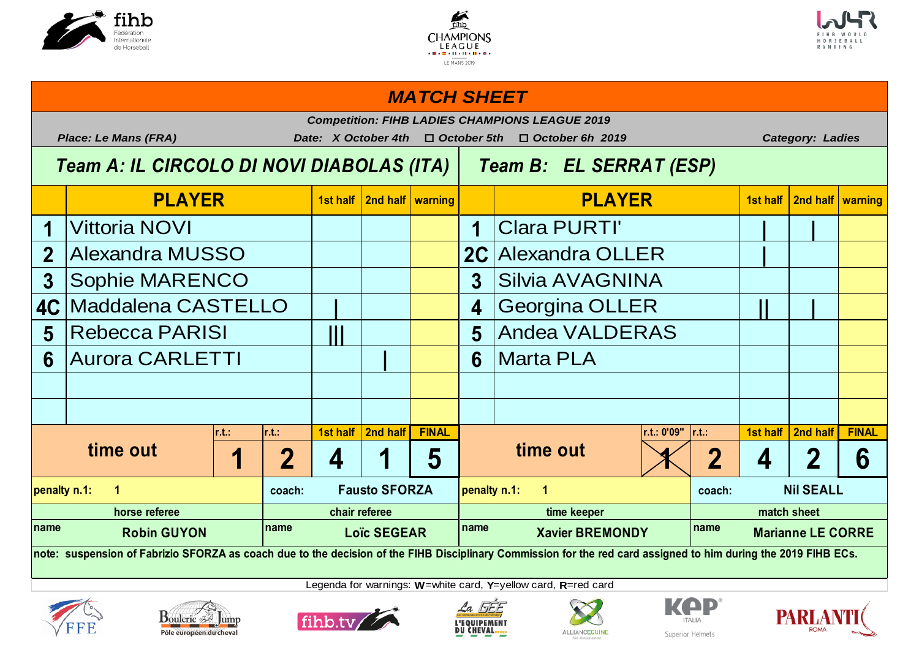





# **1st half 2nd half warning 1st half 2nd half warning 1 1 | |** Vittoria NOVI Clara PURTI' 2 Alexandra MUSSO **Alexandra OLLER** 3 Sophie MARENCO  $\begin{array}{|c|c|c|c|c|c|c|c|c|} \hline \text{3} & \text{Silvia AVAGNINA} \ \hline \end{array}$ **4C | 4 || |** Maddalena CASTELLO Georgina OLLER **5 Rebecca PARISI 11 1 1 1 5** 6 Aurora CARLETTI **| | | | | | | 6** | Marta PLA **r.t.: r.t.: 1st half 2nd half FINAL r.t.: 0'09" r.t.: 1st half 2nd half FINAL 1 2 4 1 5 1 2 4 2 6 coach: Causto SFORZA penalty n.1:** 1 name **name name name name name name name name name name name name penalty n.1: 1 Fausto SFORZA penalty n.1: 1 Nil SEALL horse referee chair referee time keeper match sheet Marianne LE CORRE time out**  $\begin{array}{|c|c|c|c|c|}\n\hline\n\text{1} & \text{2} & \text{4} & \text{1} & \text{5} & \text{time out} \\
\hline\n\end{array}$ **Andea VALDERAS PLAYER PLAYER** *MATCH SHEET Competition: FIHB LADIES CHAMPIONS LEAGUE 2019 Place: Le Mans (FRA) Date: X October 4th* o *October 5th* o *October 6h 2019 Category: Ladies Team A: IL CIRCOLO DI NOVI DIABOLAS (ITA) Team B: EL SERRAT (ESP)*

**note: suspension of Fabrizio SFORZA as coach due to the decision of the FIHB Disciplinary Commission for the red card assigned to him during the 2019 FIHB ECs.**















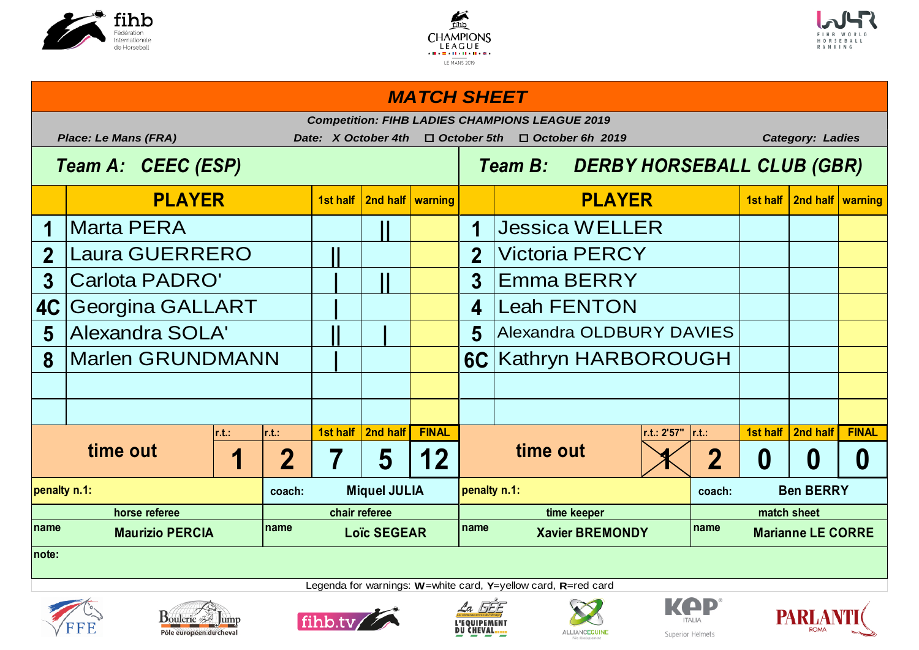





### *MATCH SHEET*

|                                                          | <b>Competition: FIHB LADIES CHAMPIONS LEAGUE 2019</b><br><b>Place: Le Mans (FRA)</b><br>Date: X October 4th<br>$\Box$ October 5th<br>$\Box$ October 6h 2019<br><b>Category: Ladies</b> |      |          |          |                                     |                                    |                          |                                                                      |               |                  |                                         |                               |                  |
|----------------------------------------------------------|----------------------------------------------------------------------------------------------------------------------------------------------------------------------------------------|------|----------|----------|-------------------------------------|------------------------------------|--------------------------|----------------------------------------------------------------------|---------------|------------------|-----------------------------------------|-------------------------------|------------------|
|                                                          | Team A: CEEC (ESP)                                                                                                                                                                     |      |          |          |                                     | Team B: DERBY HORSEBALL CLUB (GBR) |                          |                                                                      |               |                  |                                         |                               |                  |
|                                                          | <b>PLAYER</b>                                                                                                                                                                          |      |          | 1st half | 2nd half   warning                  |                                    |                          |                                                                      | <b>PLAYER</b> |                  |                                         | 1st half   2nd half   warning |                  |
|                                                          | <b>Marta PERA</b>                                                                                                                                                                      |      |          |          |                                     |                                    | 1                        | <b>Jessica WELLER</b>                                                |               |                  |                                         |                               |                  |
| $\overline{2}$                                           | <b>Laura GUERRERO</b>                                                                                                                                                                  |      |          |          | 2 <sup>1</sup>                      | <b>Victoria PERCY</b>              |                          |                                                                      |               |                  |                                         |                               |                  |
| 3                                                        | <b>Carlota PADRO'</b>                                                                                                                                                                  |      |          |          | $\overline{3}$                      | <b>Emma BERRY</b>                  |                          |                                                                      |               |                  |                                         |                               |                  |
| 4C                                                       | <b>Georgina GALLART</b>                                                                                                                                                                |      |          |          | 4                                   | <b>Leah FENTON</b>                 |                          |                                                                      |               |                  |                                         |                               |                  |
| 5                                                        | <b>Alexandra SOLA'</b>                                                                                                                                                                 |      |          |          |                                     | 5                                  | Alexandra OLDBURY DAVIES |                                                                      |               |                  |                                         |                               |                  |
| 8                                                        | <b>Marlen GRUNDMANN</b>                                                                                                                                                                |      |          |          |                                     | 6C Kathryn HARBOROUGH              |                          |                                                                      |               |                  |                                         |                               |                  |
|                                                          |                                                                                                                                                                                        |      |          |          |                                     |                                    |                          |                                                                      |               |                  |                                         |                               |                  |
|                                                          |                                                                                                                                                                                        |      |          |          |                                     |                                    |                          |                                                                      |               |                  |                                         |                               |                  |
|                                                          | time out                                                                                                                                                                               | r.t. | $r.t.$ : | 7        | 1st half   2nd half                 | <b>FINAL</b>                       |                          | time out                                                             | r.t.: 2'57"   | $\vert$ r.t.:    |                                         | 1st half   2nd half           | <b>FINAL</b>     |
| $\overline{2}$<br>1                                      |                                                                                                                                                                                        |      |          |          | 5                                   | 12                                 |                          |                                                                      |               | $\overline{2}$   | $\boldsymbol{0}$                        | $\boldsymbol{0}$              | $\boldsymbol{0}$ |
| <b>Miquel JULIA</b><br>penalty n.1:<br>coach:            |                                                                                                                                                                                        |      |          |          |                                     |                                    | penalty n.1:             |                                                                      | coach:        | <b>Ben BERRY</b> |                                         |                               |                  |
| horse referee<br>Iname<br>name<br><b>Maurizio PERCIA</b> |                                                                                                                                                                                        |      |          |          | chair referee<br><b>Loïc SEGEAR</b> |                                    |                          | time keeper<br>$\blacksquare$ name<br>name<br><b>Xavier BREMONDY</b> |               |                  | match sheet<br><b>Marianne LE CORRE</b> |                               |                  |
| note:                                                    |                                                                                                                                                                                        |      |          |          |                                     |                                    |                          |                                                                      |               |                  |                                         |                               |                  |
|                                                          | Legenda for warnings: $W$ = white card, $Y$ = yellow card, $R$ = red card                                                                                                              |      |          |          |                                     |                                    |                          |                                                                      |               |                  |                                         |                               |                  |













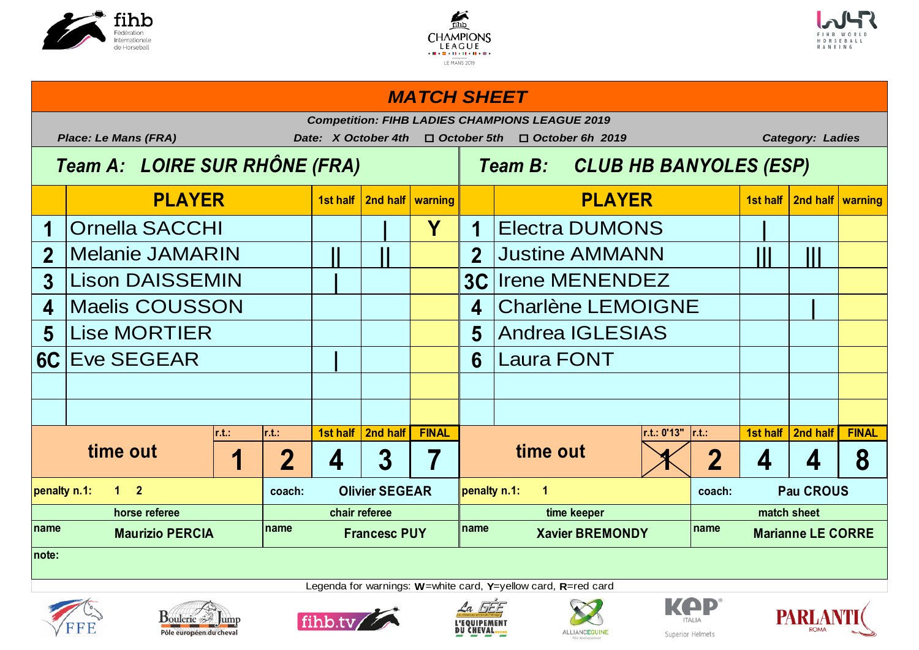





### **1st half 2nd half warning 1st half 2nd half warning 1 | Y 1 |** Ornella SACCHI Electra DUMONS **2 || || 2 ||| |||** Melanie JAMARIN Justine AMMANN **3 | 3C** 4 |Maelis COUSSON  $\begin{array}{|c|c|c|c|c|c|} \hline \end{array}$  4 |Charlène LEMOIGNE | | **5** Lise MORTIER THE RESERVE THE RESERVE THE RESERVE THE RESERVE THE RESERVE THE RESERVE THE RESERVE THE RESERVE **6C | 6** Eve SEGEAR Laura FONT **r.t.: r.t.: 1st half 2nd half FINAL r.t.: 0'13" r.t.: 1st half 2nd half FINAL 1 2 4 3 7 1 2 4 4 8 coach: Clivier SEGEAR penalty n.1:** 1 **name name name name penalty n.1: 1 2 Olivier SEGEAR penalty n.1: 1 Pau CROUS horse referee chair referee time keeper match sheet Marianne LE CORRE note: time out 1** | 2 | 4 | 3 | 7 | time out Andrea IGLESIAS **Irene MENENDEZ PLAYER PLAYER** *MATCH SHEET Competition: FIHB LADIES CHAMPIONS LEAGUE 2019 Place: Le Mans (FRA) Date: X October 4th* o *October 5th* o *October 6h 2019 Category: Ladies Team A: LOIRE SUR RHÔNE (FRA) Team B: CLUB HB BANYOLES (ESP)*













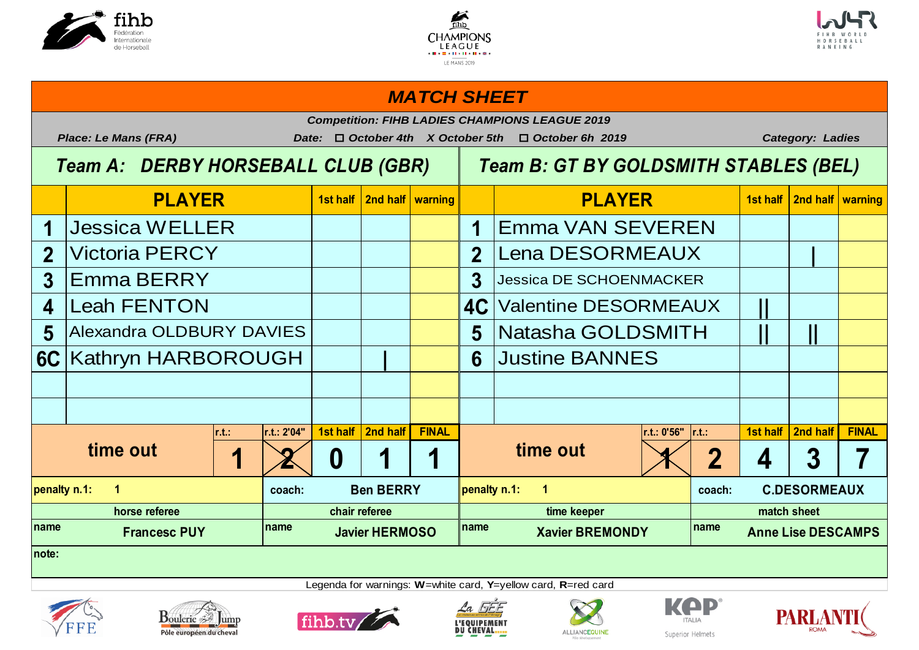





### **1st half 2nd half warning 1st half 2nd half warning 1 1 1 1 1 1 1 1 1 1** 2 Victoria PERCY **Replace 1 2 Lena DESORMEAUX 3 Emma BERRY 1 1 1 1 3 4** Leah FENTON **Reference In Line 14C** Valentine DESORMEAUX | **|| 5** Alexandra OLDBURY DAVIES  $\begin{array}{|c|c|c|c|c|c|c|c|c|} \hline \end{array}$  5 Natasha GOLDSMITH  $\begin{array}{|c|c|c|c|c|c|c|c|c|} \hline \end{array}$ **6C** Kathryn HARBOROUGH  $\vert$  | | | 6 Justine BANNES **r.t.: r.t.: 2'04" 1st half 2nd half FINAL r.t.: 0'56" r.t.: 1st half 2nd half FINAL** 1 2 0 1 1 1 **time out**  $\begin{array}{|c|c|c|c|c|}\n\hline\n1 & 2 & 4 & 3 & 7\n\end{array}$ **coach: Ben BERRY loenalty n.1:** 1 name **12.1 The Little Example 2.1 The MEGALE STATE STATE MEGALE PREMOND POINT PRIME PREMONDY PRIME PREMONDY PRIME PLAYER PLAYER** *MATCH SHEET Competition: FIHB LADIES CHAMPIONS LEAGUE 2019 Place: Le Mans (FRA) Date:* o *October 4th X October 5th* o *October 6h 2019 Category: Ladies Team A: DERBY HORSEBALL CLUB (GBR) Team B: GT BY GOLDSMITH STABLES (BEL)* Emma VAN SEVEREN **Jessica DE SCHOENMACKER time out 1 2 0 1 1 ime out penalty n.1: 1 Ben BERRY penalty n.1: 1 C.DESORMEAUX horse referee chair referee time keeper match sheet Anne Lise DESCAMPS note:**













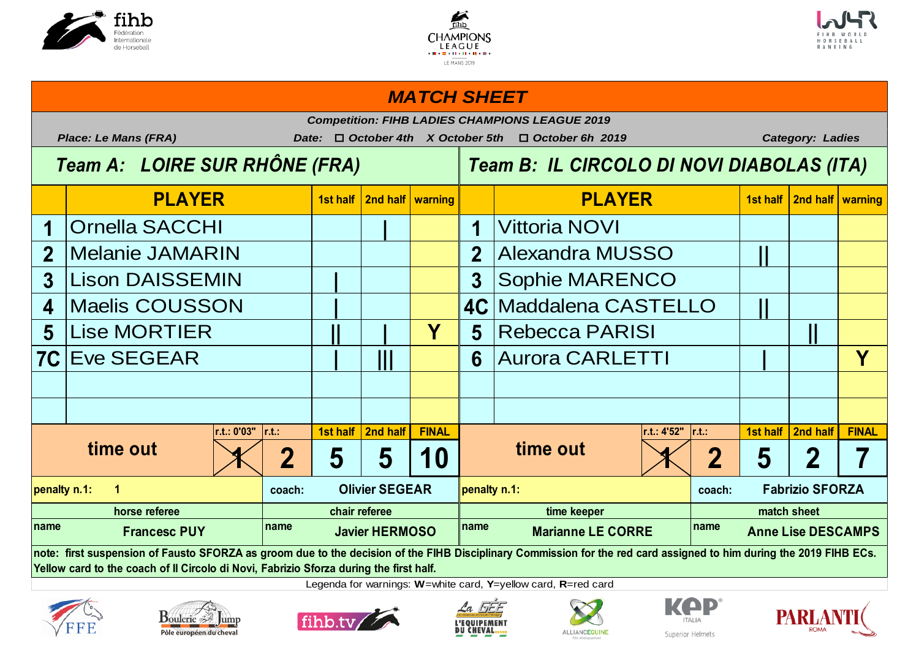





## **1st half 2nd half warning 1st half 2nd half warning 1 | 1** Ornella SACCHI Vittoria NOVI **2 2 ||** Melanie JAMARIN Alexandra MUSSO **3 | 3 4** | Maelis COUSSON | | | | | | | | | | 4C | Maddalena CASTELLO | || **5 || | Y 5 ||** Lise MORTIER Rebecca PARISI **7C | ||| 6 | Y** Eve SEGEAR Aurora CARLETTI **r.t.: 0'03" r.t.: 1st half 2nd half FINAL r.t.: 4'52" r.t.: 1st half 2nd half FINAL**  $\left| \left( \left. \right. \right. \right| \left. \right. \left. \right| \left. \right. \left. \right| \left. \right| \left. \right| \left. \right| \left. \right| \left. \right| \left. \right| \left. \right| \left. \right| \left. \right| \left. \right| \left. \right| \left. \right| \left. \right| \left. \right| \left. \right| \left. \right| \left. \right| \left. \right| \left. \right| \left. \right| \left. \right| \left. \right| \left. \right| \left. \right| \left. \right| \left. \right| \left. \right| \left. \right| \left. \right| \left. \$ **coach: Clivier SEGEAR penalty n.1: coach: coach: coach: name name name name penalty n.1: 1 Olivier SEGEAR penalty n.1: Fabrizio SFORZA horse referee chair referee time keeper match sheet Francesc PUY Javier HERMOSO Marianne LE CORRE Anne Lise DESCAMPS note: first suspension of Fausto SFORZA as groom due to the decision of the FIHB Disciplinary Commission for the red card assigned to him during the 2019 FIHB ECs. time out**  $\begin{array}{|c|c|c|c|c|}\hline \text{time out} & \text{if} & \text{if} & \text{if} & \text{if} & \text{if} & \text{if} & \text{if} & \text{if} & \text{if} & \text{if} & \text{if} & \text{if} & \text{if} & \text{if} & \text{if} & \text{if} & \text{if} & \text{if} & \text{if} & \text{if} & \text{if} & \text{if} & \text{if} & \text{if} & \text{if} & \text{if} & \text{if} & \text{if} & \text{if} & \text{if} & \text{if$ Sophie MARENCO **PLAYER PLAYER** *MATCH SHEET Competition: FIHB LADIES CHAMPIONS LEAGUE 2019 Place: Le Mans (FRA) Date:* o *October 4th X October 5th* o *October 6h 2019 Category: Ladies Team A: LOIRE SUR RHÔNE (FRA) Team B: IL CIRCOLO DI NOVI DIABOLAS (ITA)*

**Yellow card to the coach of Il Circolo di Novi, Fabrizio Sforza during the first half.**













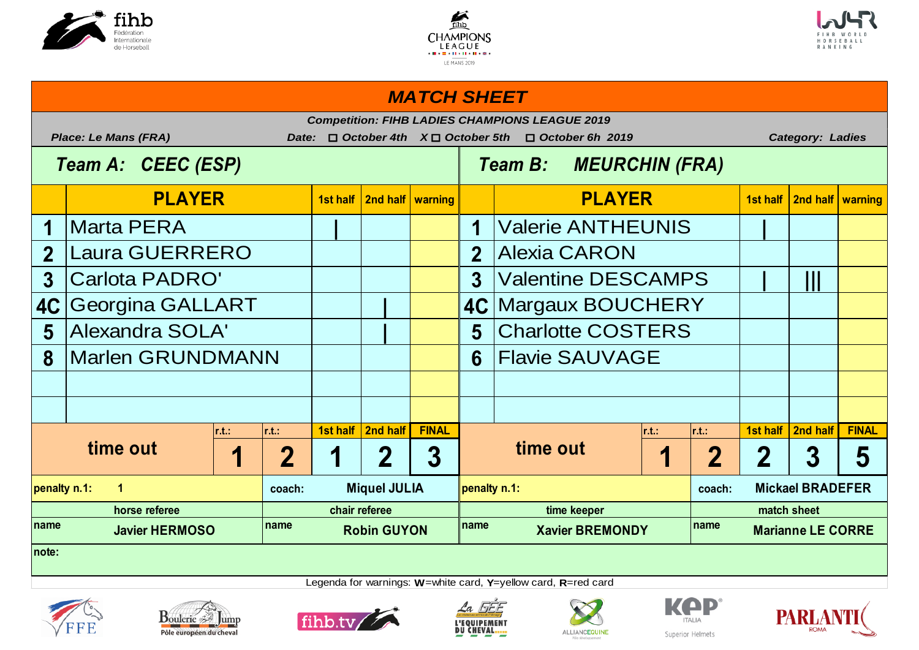





### *MATCH SHEET*

|                                       | <b>Competition: FIHB LADIES CHAMPIONS LEAGUE 2019</b><br><b>Place: Le Mans (FRA)</b><br><b>Category: Ladies</b><br>$\Box$ October 4th<br>$X \Box$ October 5th<br>$\Box$ October 6h 2019<br>Date: |      |                 |                    |                               |                                        |                                         |                           |                |                               |                         |                     |              |  |
|---------------------------------------|--------------------------------------------------------------------------------------------------------------------------------------------------------------------------------------------------|------|-----------------|--------------------|-------------------------------|----------------------------------------|-----------------------------------------|---------------------------|----------------|-------------------------------|-------------------------|---------------------|--------------|--|
| Team A: CEEC (ESP)                    |                                                                                                                                                                                                  |      |                 |                    |                               |                                        | <b>MEURCHIN (FRA)</b><br><b>Team B:</b> |                           |                |                               |                         |                     |              |  |
|                                       | <b>PLAYER</b>                                                                                                                                                                                    |      |                 |                    | 1st half   2nd half   warning |                                        |                                         | <b>PLAYER</b>             |                | 1st half   2nd half   warning |                         |                     |              |  |
|                                       | Marta PERA                                                                                                                                                                                       |      |                 |                    |                               |                                        | 1                                       | <b>Valerie ANTHEUNIS</b>  |                |                               |                         |                     |              |  |
| $\overline{2}$                        | <b>Laura GUERRERO</b>                                                                                                                                                                            |      |                 |                    |                               |                                        | $\overline{2}$                          | Alexia CARON              |                |                               |                         |                     |              |  |
| $3\phantom{a}$                        | <b>Carlota PADRO'</b>                                                                                                                                                                            |      |                 |                    |                               |                                        | 3 <sup>1</sup>                          | <b>Valentine DESCAMPS</b> |                | T                             |                         |                     |              |  |
| 4C                                    | <b>Georgina GALLART</b>                                                                                                                                                                          |      |                 |                    |                               |                                        |                                         | 4C Margaux BOUCHERY       |                |                               |                         |                     |              |  |
| 5                                     | <b>Alexandra SOLA'</b>                                                                                                                                                                           |      |                 |                    |                               |                                        | 5                                       | <b>Charlotte COSTERS</b>  |                |                               |                         |                     |              |  |
| 8                                     | Marlen GRUNDMANN                                                                                                                                                                                 |      |                 |                    | 6                             | <b>Flavie SAUVAGE</b>                  |                                         |                           |                |                               |                         |                     |              |  |
|                                       |                                                                                                                                                                                                  |      |                 |                    |                               |                                        |                                         |                           |                |                               |                         |                     |              |  |
|                                       |                                                                                                                                                                                                  |      |                 |                    |                               |                                        |                                         |                           |                |                               |                         |                     |              |  |
|                                       |                                                                                                                                                                                                  | r.t. | $\mathsf{r.t.}$ |                    | 1st half   2nd half           | <b>FINAL</b>                           |                                         | r.t.                      |                | r.t.:                         |                         | 1st half   2nd half | <b>FINAL</b> |  |
| time out<br>$\mathbf 2$<br>1          |                                                                                                                                                                                                  |      | 1               | 2                  | 3                             |                                        | time out                                | 1                         | $\overline{2}$ | $\mathbf 2$                   | 3                       | 5                   |              |  |
| penalty n.1:<br>$\mathbf 1$<br>coach: |                                                                                                                                                                                                  |      |                 |                    | <b>Miquel JULIA</b>           |                                        | penalty n.1:                            |                           |                | coach:                        | <b>Mickael BRADEFER</b> |                     |              |  |
| horse referee                         |                                                                                                                                                                                                  |      |                 |                    | chair referee                 |                                        | time keeper                             |                           |                |                               | match sheet             |                     |              |  |
| Iname                                 | <b>Javier HERMOSO</b>                                                                                                                                                                            | name |                 | <b>Robin GUYON</b> |                               | name<br>name<br><b>Xavier BREMONDY</b> |                                         |                           |                | <b>Marianne LE CORRE</b>      |                         |                     |              |  |
| Inote:                                |                                                                                                                                                                                                  |      |                 |                    |                               |                                        |                                         |                           |                |                               |                         |                     |              |  |









Legenda for warnings: **W**=white card, **Y**=yellow card, **R**=red card





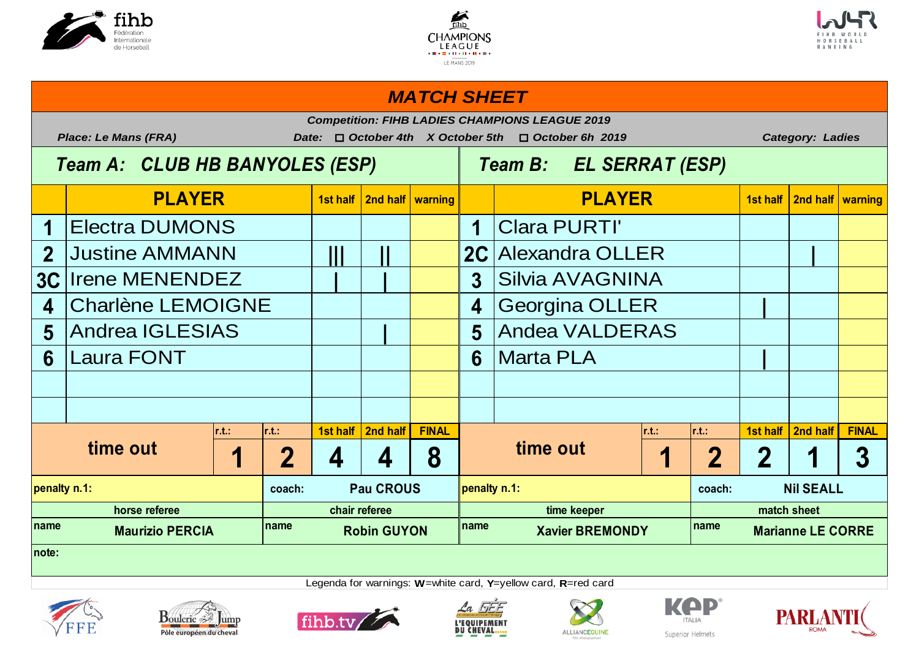





### **1st half 2nd half warning 1st half 2nd half warning** 1 **Electra DUMONS 1 2 | 2010 | 1 | 1 | Clara PURTI' 2 ||| || 2C |** Justine AMMANN Alexandra OLLER **3C | | 3** Irene MENENDEZ Silvia AVAGNINA 4 Charlène LEMOIGNE  $\vert \vert$   $\vert$   $\vert$   $\vert$  4 Georgina OLLER  $\vert$   $\vert$ **5** Andrea IGLESIAS | | | | | 5 **6 6 | r.t.: r.t.: 1st half 2nd half FINAL r.t.: r.t.: 1st half 2nd half FINAL** 1 2 4 4 8 **1 1 2 2 1 3 coach: Pau CROUS logarity n.1: coach: coach: coach: name name name name PLAYER PLAYER** *MATCH SHEET Competition: FIHB LADIES CHAMPIONS LEAGUE 2019 Place: Le Mans (FRA) Date:* o *October 4th X October 5th* o *October 6h 2019 Category: Ladies Team A: CLUB HB BANYOLES (ESP) Team B: EL SERRAT (ESP)* **Andea VALDERAS** Laura FONT No. All No. 1 (1) No. 1 (1) Narta PLA **time out time out penalty n.1: Pau CROUS penalty n.1: Nil SEALL horse referee chair referee time keeper match sheet Marianne LE CORRE note:**













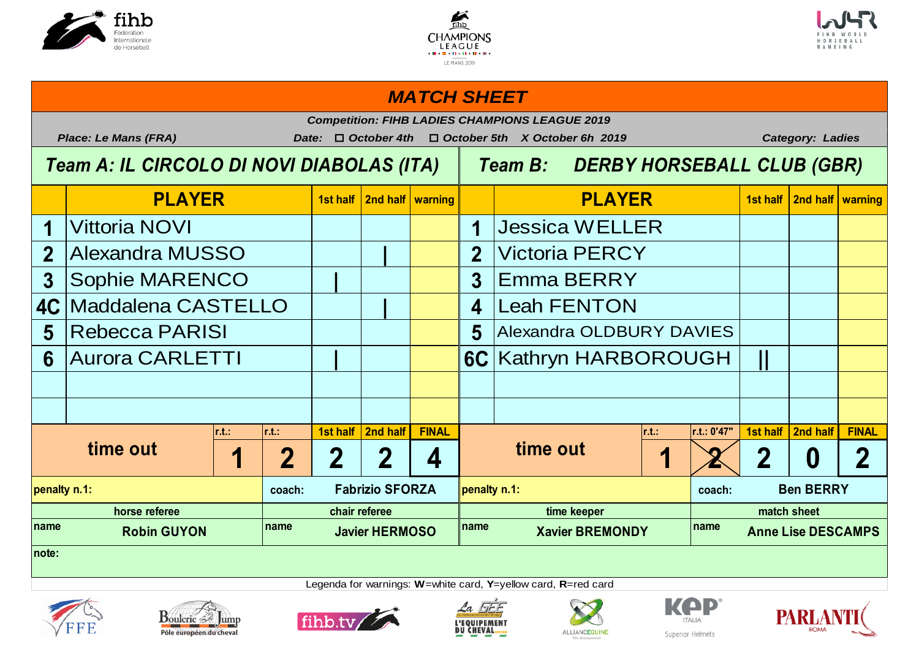





### **1st half 2nd half warning 1st half 2nd half warning 1 1 1 1 1 1 1 1 1 1 2 | 2 3 | 3** Sophie MARENCO Emma BERRY **4C** | Maddalena CASTELLO | Leah FENTON **5 Rebecca PARISI 1 1 1 1 5 6 | 6C ||** Aurora CARLETTI Kathryn HARBOROUGH **r.t.: r.t.: 1st half 2nd half FINAL r.t.: r.t.: 0'47" 1st half 2nd half FINAL** 1 2 2 2 4 **1 <b>1 2** 2 0 2 **coach: coach: penalty n.1: Fabrizio SFORZA penalty n.1: Ben BERRY** name **name name name name name name name name name name name name PLAYER PLAYER** *MATCH SHEET Competition: FIHB LADIES CHAMPIONS LEAGUE 2019 Place: Le Mans (FRA) Date:* o *October 4th* o *October 5th X October 6h 2019 Category: Ladies Team A: IL CIRCOLO DI NOVI DIABOLAS (ITA) Team B: DERBY HORSEBALL CLUB (GBR)* **Jessica WELLER Victoria PERCY Alexandra OLDBURY DAVIES time out 1** | 2 | 2 | 2 | 4 | **time out horse referee chair referee time keeper match sheet Anne Lise DESCAMPS note:**













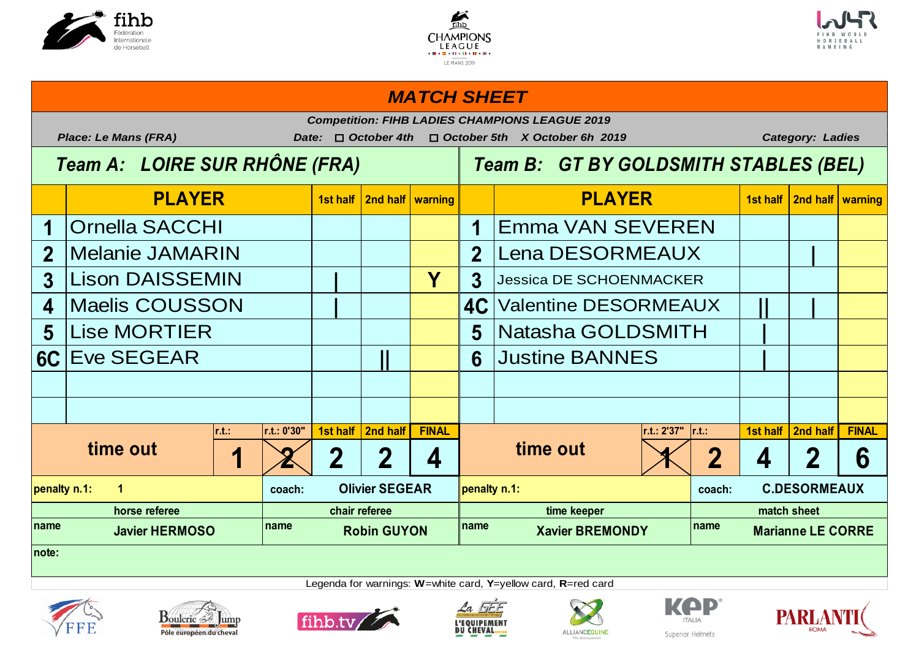





## **1st half 2nd half warning 1st half 2nd half warning 1 1 1 1 1 1 1 1 1 1 2 2 |** Melanie JAMARIN Lena DESORMEAUX **3** Lison DAISSEMIN JUNEAU JUNEAU JUNEAU 3 Jessica DE SCHOENMACKER **4 | 4C || |** Maelis COUSSON Valentine DESORMEAUX 5 Lise MORTIER  $\begin{array}{|c|c|c|c|c|c|c|c|c|} \hline \text{5} & \text{Natasha GOLDSMITH} & \text{1} \ \hline \end{array}$ **6C** Eve SEGEAR **All Contracts (Expending Light Section 1) r.t.: r.t.: 0'30" 1st half 2nd half FINAL r.t.: 2'37" r.t.: 1st half 2nd half FINAL 1 2 2 2 4 1 2 4 2 6 coach: Clivier SEGEAR penalty n.1: coach: coach: coach: name name name name PLAYER PLAYER** *MATCH SHEET Competition: FIHB LADIES CHAMPIONS LEAGUE 2019 Place: Le Mans (FRA) Date:* o *October 4th* o *October 5th X October 6h 2019 Category: Ladies Team A: LOIRE SUR RHÔNE (FRA) Team B: GT BY GOLDSMITH STABLES (BEL)* Emma VAN SEVEREN **time out 1 2 2 2 4 time out penalty n.1: 1 Olivier SEGEAR penalty n.1: C.DESORMEAUX horse referee chair referee time keeper match sheet Marianne LE CORRE note:**









Legenda for warnings: **W**=white card, **Y**=yellow card, **R**=red card





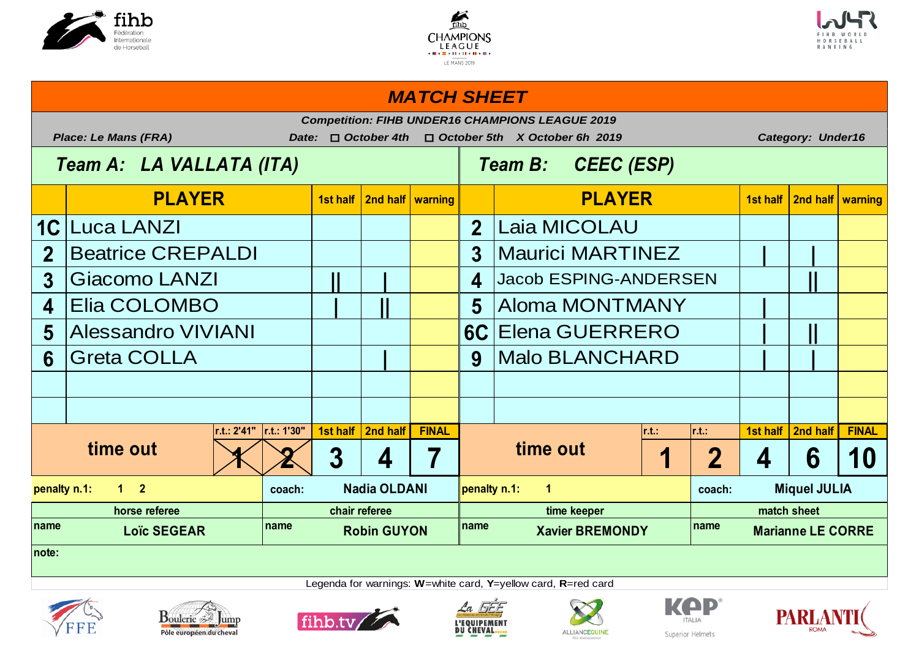





# **1st half 2nd half warning 1st half 2nd half warning 1C 2** 2 Beatrice CREPALDI  $\begin{array}{|c|c|c|c|c|c|c|c|} \hline \text{3} & \text{Maurici MARTINEZ} & & & \text{]} \hline \end{array}$ **3 || | 4 ||** Giacomo LANZI Jacob ESPING-ANDERSEN **4 | || 5 |** Elia COLOMBO Aloma MONTMANY **5 6C | ||** Alessandro VIVIANI Elena GUERRERO **6 | 9 | |** Greta COLLA Malo BLANCHARD **r.t.: 2'41" r.t.: 1'30" 1st half 2nd half FINAL r.t.: r.t.: 1st half 2nd half FINAL**  $1 \times 2 3 | 4 | 7 |$   $1 | 2 | 4 | 6 | 10$ **coach: coach:** name **1.8** Loïc SEGEAR **name name name name name name name name name PLAYER PLAYER** *MATCH SHEET Competition: FIHB UNDER16 CHAMPIONS LEAGUE 2019 Place: Le Mans (FRA) Date:* o *October 4th* o *October 5th X October 6h 2019 Category: Under16 Team A: LA VALLATA (ITA) Team B: CEEC (ESP)* Laia MICOLAU **time out time out penalty n.1: 1 2 Nadia OLDANI penalty n.1: 1 Miquel JULIA horse referee chair referee time keeper match sheet Marianne LE CORRE note:**













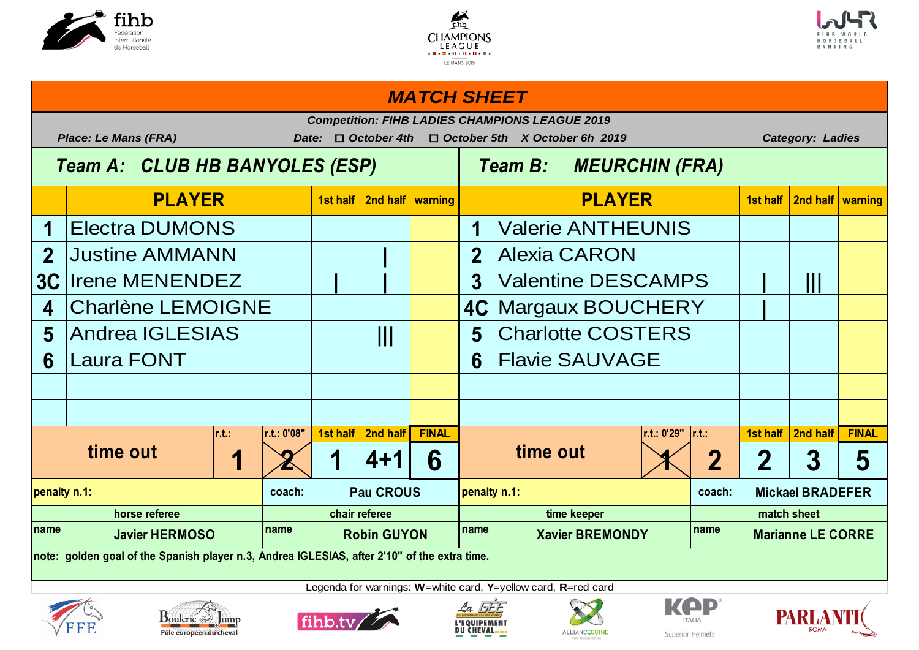





### **1st half 2nd half warning 1st half 2nd half warning 1 Electra DUMONS 1 1 1 1 2 | 2** Justine AMMANN Alexia CARON **3C | | 3 | |||** Irene MENENDEZ Valentine DESCAMPS 4 Charlène LEMOIGNE | | | | | 4C Margaux BOUCHERY | | **5** Andrea IGLESIAS | | | | | | | | | 5 **6 Laura FONT 1 1 1 6 r.t.: r.t.: 0'08" 1st half 2nd half FINAL r.t.: 0'29" r.t.: 1st half 2nd half FINAL 1 2 1 4+1 6 1 2 2 3 5 coach: Pau CROUS loenalty n.1: coach: coach: coach:** name **19.18 Javier HERMOSO** Promine Robin GUYON Promine Xavier BREMONDY Promine Legenda for warnings: **W**=white card, **Y**=yellow card, **R**=red card **penalty n.1: Pau CROUS penalty n.1: Mickael BRADEFER horse referee chair referee time keeper match sheet Marianne LE CORRE note: golden goal of the Spanish player n.3, Andrea IGLESIAS, after 2'10" of the extra time. time out 1 2 1 4+1 6** time out Charlotte COSTERS **Flavie SAUVAGE** Valerie ANTHEUNIS **PLAYER PLAYER** *MATCH SHEET Competition: FIHB LADIES CHAMPIONS LEAGUE 2019 Place: Le Mans (FRA) Date:* o *October 4th* o *October 5th X October 6h 2019 Category: Ladies Team A: CLUB HB BANYOLES (ESP) Team B: MEURCHIN (FRA)*













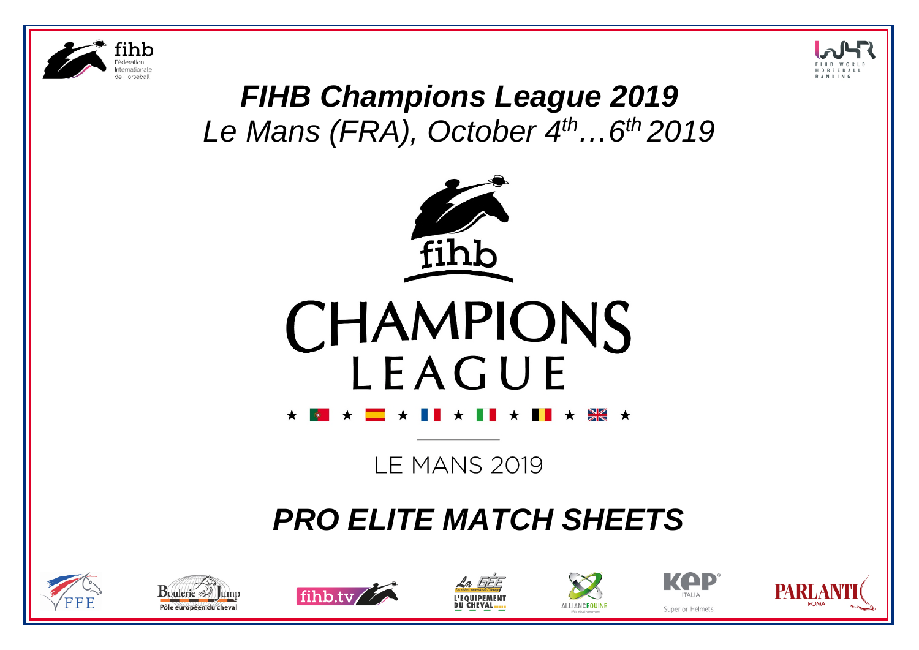



# *FIHB Champions League 2019 Le Mans (FRA), October 4th…6th 2019*





**LE MANS 2019** 

# *PRO ELITE MATCH SHEETS*













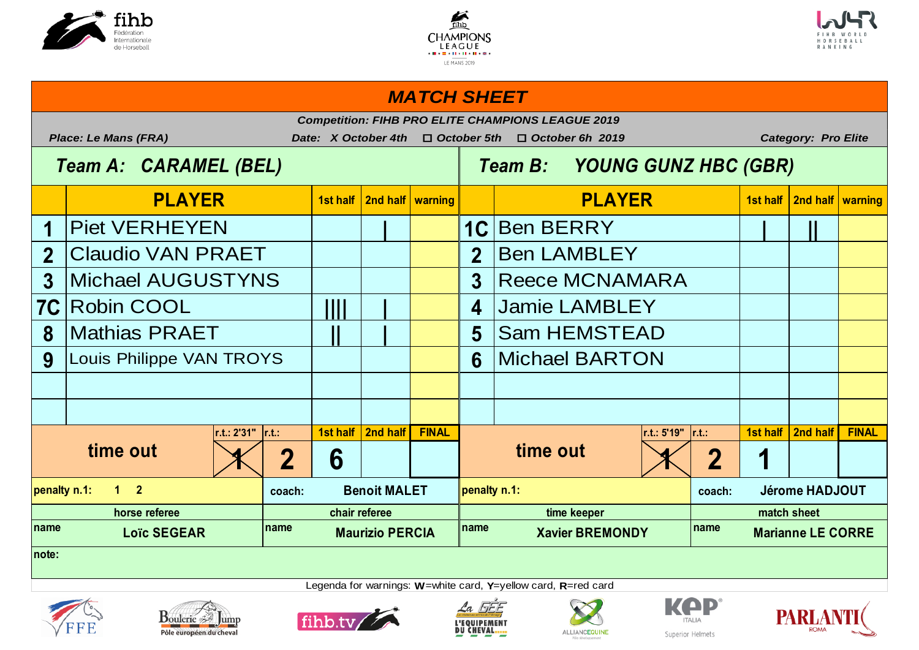





### *MATCH SHEET*

| <b>Competition: FIHB PRO ELITE CHAMPIONS LEAGUE 2019</b><br>Date: X October 4th<br>$\Box$ October 5th |                             |                              |                        |                               |                                        |                       |                                                                           |               |             |                          |          |                     |              |
|-------------------------------------------------------------------------------------------------------|-----------------------------|------------------------------|------------------------|-------------------------------|----------------------------------------|-----------------------|---------------------------------------------------------------------------|---------------|-------------|--------------------------|----------|---------------------|--------------|
|                                                                                                       | <b>Place: Le Mans (FRA)</b> |                              | $\Box$ October 6h 2019 |                               | <b>Category: Pro Elite</b>             |                       |                                                                           |               |             |                          |          |                     |              |
|                                                                                                       | Team A: CARAMEL (BEL)       | Team B: YOUNG GUNZ HBC (GBR) |                        |                               |                                        |                       |                                                                           |               |             |                          |          |                     |              |
|                                                                                                       | <b>PLAYER</b>               |                              |                        | 1st half   2nd half   warning |                                        |                       |                                                                           | <b>PLAYER</b> |             |                          | 1st half | 2nd half   warning  |              |
|                                                                                                       | <b>Piet VERHEYEN</b>        |                              |                        |                               |                                        |                       | 1C Ben BERRY                                                              |               |             |                          |          |                     |              |
| $\overline{2}$                                                                                        | <b>Claudio VAN PRAET</b>    |                              |                        |                               | 2 <sup>1</sup>                         | <b>Ben LAMBLEY</b>    |                                                                           |               |             |                          |          |                     |              |
| $\overline{3}$                                                                                        | <b>Michael AUGUSTYNS</b>    |                              |                        |                               | 3                                      | <b>Reece MCNAMARA</b> |                                                                           |               |             |                          |          |                     |              |
| <b>7C</b>                                                                                             | <b>Robin COOL</b>           | Ш                            |                        |                               | $\overline{\mathbf{4}}$                | <b>Jamie LAMBLEY</b>  |                                                                           |               |             |                          |          |                     |              |
| 8                                                                                                     | <b>Mathias PRAET</b>        |                              |                        |                               | 5                                      | <b>Sam HEMSTEAD</b>   |                                                                           |               |             |                          |          |                     |              |
| 9                                                                                                     | Louis Philippe VAN TROYS    |                              |                        |                               | 6                                      | <b>Michael BARTON</b> |                                                                           |               |             |                          |          |                     |              |
|                                                                                                       |                             |                              |                        |                               |                                        |                       |                                                                           |               |             |                          |          |                     |              |
|                                                                                                       |                             |                              |                        |                               |                                        |                       |                                                                           |               |             |                          |          |                     |              |
|                                                                                                       | r.t.: 2'31"                 | r.t.                         |                        | 1st half   2nd half           | <b>FINAL</b>                           |                       |                                                                           | r.t.: 5'19"   |             | $\vert$ r.t.:            |          | 1st half   2nd half | <b>FINAL</b> |
|                                                                                                       | time out<br>2               |                              | 6                      |                               |                                        |                       | time out                                                                  |               |             | $\overline{\mathbf{2}}$  | 1        |                     |              |
| penalty n.1:                                                                                          | $1 \quad 2$                 |                              | <b>Benoit MALET</b>    |                               | penalty n.1:                           |                       |                                                                           |               | coach:      | <b>Jérome HADJOUT</b>    |          |                     |              |
| horse referee                                                                                         |                             |                              |                        | chair referee                 |                                        | time keeper           |                                                                           |               | match sheet |                          |          |                     |              |
| name                                                                                                  | <b>Loïc SEGEAR</b>          |                              | <b>Maurizio PERCIA</b> |                               | name<br>name<br><b>Xavier BREMONDY</b> |                       |                                                                           |               |             | <b>Marianne LE CORRE</b> |          |                     |              |
| note:                                                                                                 |                             |                              |                        |                               |                                        |                       |                                                                           |               |             |                          |          |                     |              |
|                                                                                                       |                             |                              |                        |                               |                                        |                       | Legenda for warnings: $W$ = white card, $Y$ = yellow card, $R$ = red card |               |             |                          |          |                     |              |













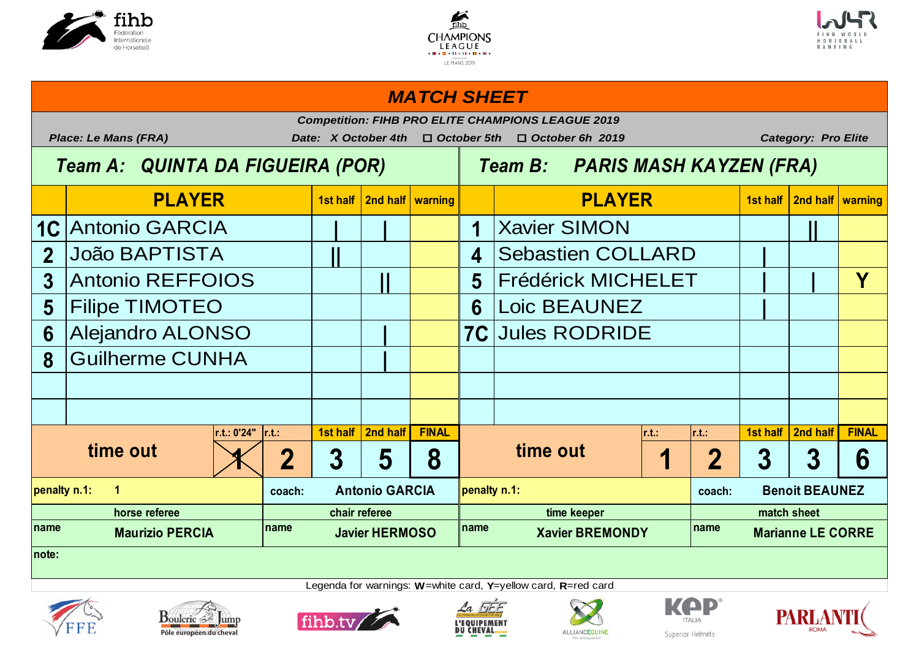





# **1st half 2nd half warning 1st half 2nd half warning** 1C Antonio GARCIA  $\begin{array}{|c|c|c|c|c|c|c|c|c|} \hline \multicolumn{1}{|c|}{\text{1}} & \multicolumn{1}{|c|}{\text{Xavier SIMON}} \hline \end{array}$ 2 João BAPTISTA  $\begin{array}{|c|c|c|c|c|c|}\hline \textbf{1} & \textbf{4} & \text{Sebastien COLLARD} & \textbf{1} \ \hline \end{array}$ **3 || 5 | | Y** Antonio REFFOIOS Frédérick MICHELET **5 6 |** Filipe TIMOTEO Loic BEAUNEZ 6 Alejandro ALONSO **Jules RODRIDE 8 |** Guilherme CUNHA **r.t.: 0'24" r.t.: 1st half 2nd half FINAL r.t.: r.t.: 1st half 2nd half FINAL 1 2 3 5 8 1 2 3 3 6 coach: Antonio GARCIA penalty n.1: coach: coach: coach: name name name name penalty n.1: 1 Antonio GARCIA penalty n.1: Benoit BEAUNEZ horse referee chair referee time keeper match sheet Marianne LE CORRE note: time out**  $\begin{array}{|c|c|c|c|c|}\hline \text{time out} & \text{if} & \text{if} & \text{if} & \text{if} & \text{if} & \text{if} & \text{if} & \text{if} & \text{if} & \text{if} & \text{if} & \text{if} & \text{if} & \text{if} & \text{if} & \text{if} & \text{if} & \text{if} & \text{if} & \text{if} & \text{if} & \text{if} & \text{if} & \text{if} & \text{if} & \text{if} & \text{if} & \text{if} & \text{if} & \text{if} & \text{if$ **PLAYER PLAYER** *MATCH SHEET Competition: FIHB PRO ELITE CHAMPIONS LEAGUE 2019 Place: Le Mans (FRA) Date: X October 4th* o *October 5th* o *October 6h 2019 Category: Pro Elite Team A: QUINTA DA FIGUEIRA (POR) Team B: PARIS MASH KAYZEN (FRA)*









Legenda for warnings: **W**=white card, **Y**=yellow card, **R**=red card





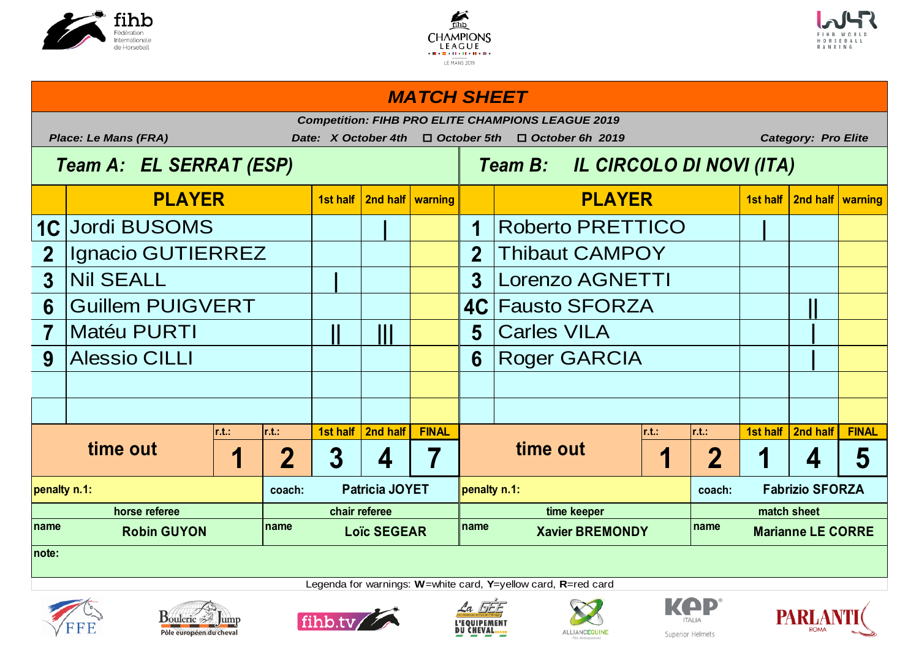





### *MATCH SHEET*

|                         | <b>Competition: FIHB PRO ELITE CHAMPIONS LEAGUE 2019</b><br>Date: X October 4th<br>$\Box$ October 5th |                  |                   |                    |                       |                                                                     |              |               |                                  |               |             |          |              |  |
|-------------------------|-------------------------------------------------------------------------------------------------------|------------------|-------------------|--------------------|-----------------------|---------------------------------------------------------------------|--------------|---------------|----------------------------------|---------------|-------------|----------|--------------|--|
|                         | <b>Place: Le Mans (FRA)</b><br>Team A: EL SERRAT (ESP)                                                |                  |                   |                    |                       | <b>Category: Pro Elite</b><br>$\Box$ October 6h 2019                |              |               |                                  |               |             |          |              |  |
|                         |                                                                                                       |                  |                   |                    |                       | Team B: IL CIRCOLO DI NOVI (ITA)                                    |              |               |                                  |               |             |          |              |  |
|                         | <b>PLAYER</b>                                                                                         |                  |                   |                    | 2nd half   warning    |                                                                     |              | <b>PLAYER</b> |                                  | 1st half      | 2nd half    | warning  |              |  |
| 1C                      | <b>Jordi BUSOMS</b>                                                                                   |                  |                   |                    | 1                     | <b>Roberto PRETTICO</b>                                             |              |               |                                  |               |             |          |              |  |
| $\overline{2}$          | Ignacio GUTIERREZ                                                                                     |                  |                   |                    | 2 <sup>1</sup>        | <b>Thibaut CAMPOY</b>                                               |              |               |                                  |               |             |          |              |  |
| 3                       | <b>Nil SEALL</b>                                                                                      |                  |                   |                    | $\overline{3}$        | Lorenzo AGNETTI                                                     |              |               |                                  |               |             |          |              |  |
| $6\phantom{1}6$         | <b>Guillem PUIGVERT</b>                                                                               |                  |                   |                    |                       | <b>4C Fausto SFORZA</b>                                             |              |               |                                  |               |             |          |              |  |
| $\overline{\mathbf{7}}$ | <b>Matéu PURTI</b>                                                                                    |                  | Ш                 |                    | 5                     | <b>Carles VILA</b>                                                  |              |               |                                  |               |             |          |              |  |
| 9                       | <b>Alessio CILLI</b>                                                                                  |                  |                   |                    | 6                     | <b>Roger GARCIA</b>                                                 |              |               |                                  |               |             |          |              |  |
|                         |                                                                                                       |                  |                   |                    |                       |                                                                     |              |               |                                  |               |             |          |              |  |
|                         |                                                                                                       |                  |                   |                    |                       |                                                                     |              |               |                                  |               |             |          |              |  |
|                         |                                                                                                       | $\mathsf{r.t.}:$ | $\mathsf{lr.t.:}$ | 1st half           | 2nd half              | <b>FINAL</b>                                                        |              |               | r.t.                             | $\vert$ r.t.: | 1st half    | 2nd half | <b>FINAL</b> |  |
| time out                |                                                                                                       |                  | $\mathbf 2$       | 3                  | 4                     |                                                                     |              | time out      |                                  | $\mathbf 2$   |             | 4        | 5            |  |
| penalty n.1:<br>coach:  |                                                                                                       |                  |                   |                    | <b>Patricia JOYET</b> |                                                                     | penalty n.1: |               | <b>Fabrizio SFORZA</b><br>coach: |               |             |          |              |  |
| horse referee           |                                                                                                       |                  |                   |                    | chair referee         |                                                                     | time keeper  |               |                                  |               | match sheet |          |              |  |
| Iname                   | <b>Robin GUYON</b>                                                                                    | name             |                   | <b>Loïc SEGEAR</b> |                       | Iname<br>name<br><b>Xavier BREMONDY</b><br><b>Marianne LE CORRE</b> |              |               |                                  |               |             |          |              |  |
| note:                   |                                                                                                       |                  |                   |                    |                       |                                                                     |              |               |                                  |               |             |          |              |  |













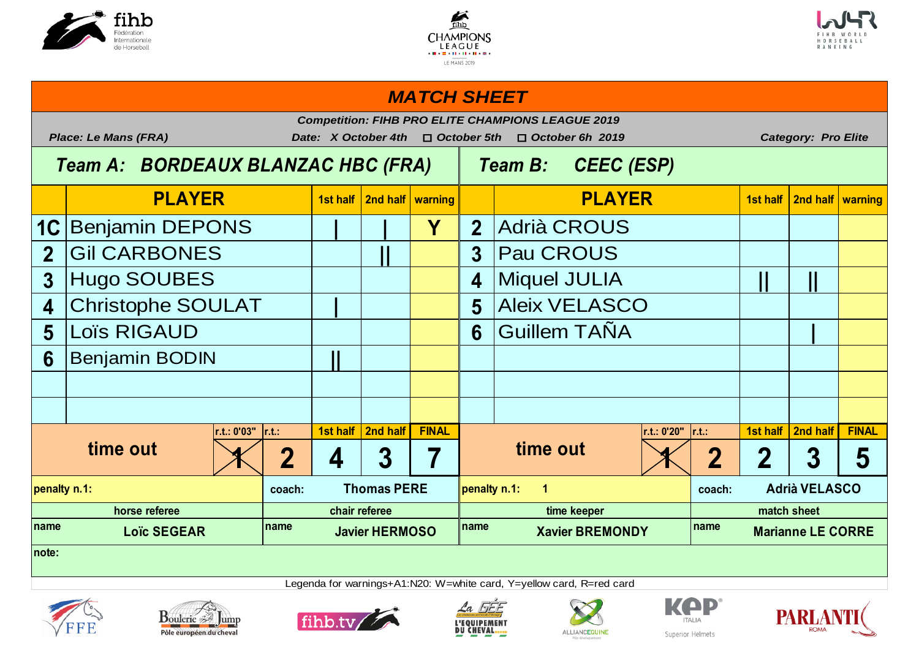





# **1st half 2nd half warning 1st half 2nd half warning 1C | | Y 2** Benjamin DEPONS Adrià CROUS 2 Gil CARBONES **Pau CROUS 3 4 || ||** Hugo SOUBES Miquel JULIA 4 Christophe SOULAT **Aleix VELASCO 5**  $\begin{bmatrix} \text{Loïs RIGAUD} \end{bmatrix}$  **6**  $\begin{bmatrix} \text{Guillem TAÑA} \end{bmatrix}$ **6 ||** Benjamin BODIN **r.t.: 0'03" r.t.: 1st half 2nd half FINAL r.t.: 0'20" r.t.: 1st half 2nd half FINAL**  $\left| \left( \left. \right. \right. \right| \left. \left. \right. \right| \left. \left. \right| \left. \right| \left. \right| \left. \right| \left. \right| \left. \right| \left. \right| \left. \right| \left. \right| \left. \right| \left. \right| \left. \right| \left. \right| \left. \right| \left. \right| \left. \right| \left. \right| \left. \right| \left. \right| \left. \right| \left. \right| \left. \right| \left. \right| \left. \right| \left. \right| \left. \right| \left. \right| \left. \right| \left. \right| \left. \right| \left. \right| \$ **coach: Coach: Coach: Coach: Coach: coach: coach: coach: coach: coach: coach: coach: coach: coach: coach: coach: coach: coach: coach: coach: coach: coach: coach: coach: coach** name **19.18.19 Loïc SEGEAR name and a lavier HERMOSO name and a label a label a label a label a label a label a label a label a label a label a label a label a label a label a label a label a label a label a label a la penalty n.1: Thomas PERE penalty n.1: 1 Adrià VELASCO horse referee chair referee time keeper match sheet Marianne LE CORRE note: time out time out PLAYER PLAYER** *MATCH SHEET Competition: FIHB PRO ELITE CHAMPIONS LEAGUE 2019 Place: Le Mans (FRA) Date: X October 4th* o *October 5th* o *October 6h 2019 Category: Pro Elite Team A: BORDEAUX BLANZAC HBC (FRA) Team B: CEEC (ESP)*









Legenda for warnings+A1:N20: W=white card, Y=yellow card, R=red card





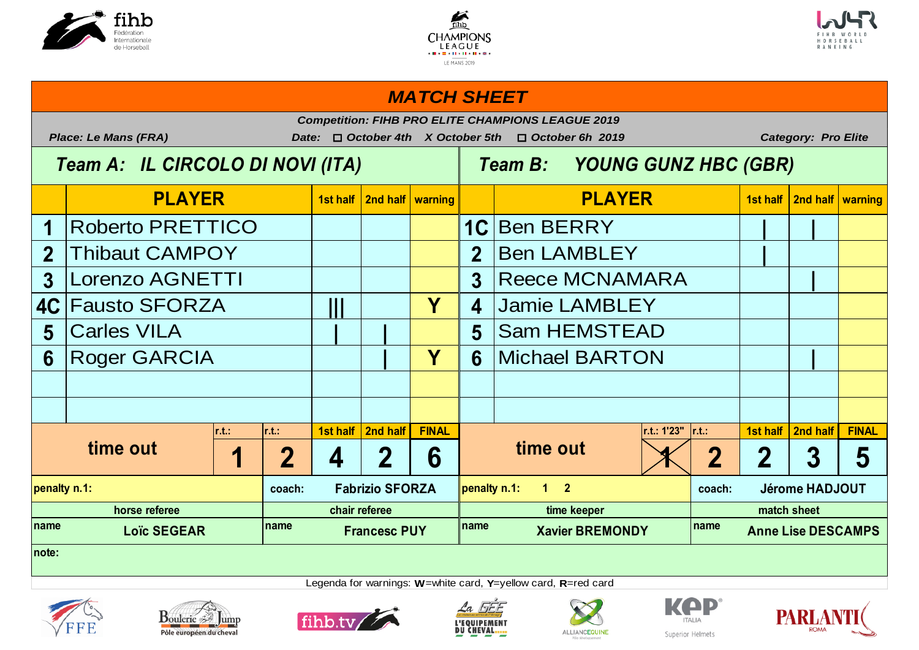





### **1st half 2nd half warning 1st half 2nd half warning 1 1C | |** Roberto PRETTICO Ben BERRY 2 Thibaut CAMPOY **Bullet LAMBLEY** Ben LAMBLEY 3 Lorenzo AGNETTI **Reece MCNAMARA** Reece MCNAMARA **4C ||| Y 4 5 | | 5 6 | Y 6 |** Roger GARCIA Michael BARTON **r.t.: r.t.: 1st half 2nd half FINAL r.t.: 1'23" r.t.: 1st half 2nd half FINAL 1 2 4 2 6 1 2 2 3 5 coach: coach:** name **19.19.19.19 Loïc SEGEAR name name name name name name name name name penalty n.1: Fabrizio SFORZA penalty n.1: 1 2 Jérome HADJOUT horse referee chair referee time keeper match sheet Loïc SEGEAR Francesc PUY Xavier BREMONDY Anne Lise DESCAMPS note: time out time out** Jamie LAMBLEY Sam HEMSTEAD **PLAYER PLAYER** *MATCH SHEET Competition: FIHB PRO ELITE CHAMPIONS LEAGUE 2019 Place: Le Mans (FRA) Date:* o *October 4th X October 5th* o *October 6h 2019 Category: Pro Elite Team A: IL CIRCOLO DI NOVI (ITA) Team B: YOUNG GUNZ HBC (GBR)*









Legenda for warnings: **W**=white card, **Y**=yellow card, **R**=red card





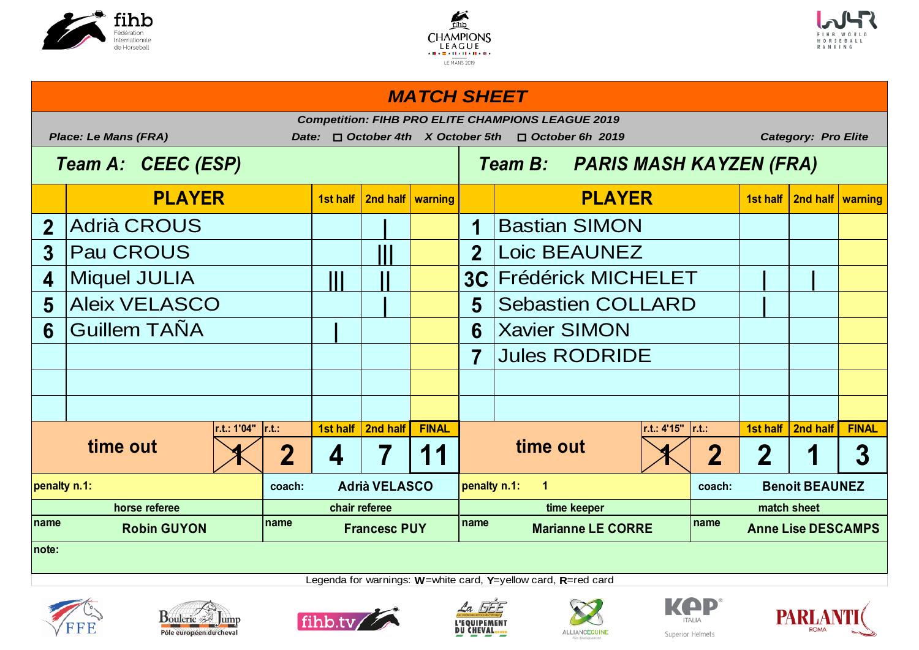





### **1st half 2nd half warning 1st half 2nd half warning** 2 Adrià CROUS **Bastian SIMON 3**  $\vert$ Pau CROUS  $\vert$   $\vert$   $\vert$   $\vert$  **2 4** Miquel JULIA  $|| \ || \ || \ || \ || \ || \ || \$  3C Frédérick MICHELET  $|| \ || \ || \ || \ || \$ **5** Aleix VELASCO Sebastien COLLARD | **6** Guillem TAÑA  $\vert \vert \vert$  **6** Xavier SIMON **7 r.t.: 1'04" r.t.: 1st half 2nd half FINAL r.t.: 4'15" r.t.: 1st half 2nd half FINAL**  $\left| \left( \left. \right. \right. \right| 2 \left| \left. \right. 4 \left| \right. 7 \left| \left. 11 \right| \right. \right|$  time out  $\left| \left. \right| \left. \right| 2 \left| \left. \right| 2 \left| \left. \right| 1 \right| \left| \left. 3 \right| \right|$ **coach: coach: name name name name** penalty n.1: coach: Adrià VELASCO <mark>|penalty n.1: 1</mark> coach: Benoit BEAUNEZ **horse referee chair referee time keeper match sheet Robin GUYON Francesc PUY Marianne LE CORRE Anne Lise DESCAMPS note: time out**  $\begin{array}{|c|c|c|c|c|}\hline \text{time out} & \text{if} & \text{if} & \text{if} & \text{if} & \text{if} & \text{if} & \text{if} & \text{if} & \text{if} & \text{if} & \text{if} & \text{if} & \text{if} & \text{if} & \text{if} & \text{if} & \text{if} & \text{if} & \text{if} & \text{if} & \text{if} & \text{if} & \text{if} & \text{if} & \text{if} & \text{if} & \text{if} & \text{if} & \text{if} & \text{if} & \text{if$ Jules RODRIDE Loic BEAUNEZ **PLAYER PLAYER** *MATCH SHEET Competition: FIHB PRO ELITE CHAMPIONS LEAGUE 2019 Place: Le Mans (FRA) Date:* o *October 4th X October 5th* o *October 6h 2019 Category: Pro Elite Team A: CEEC (ESP) Team B: PARIS MASH KAYZEN (FRA)*













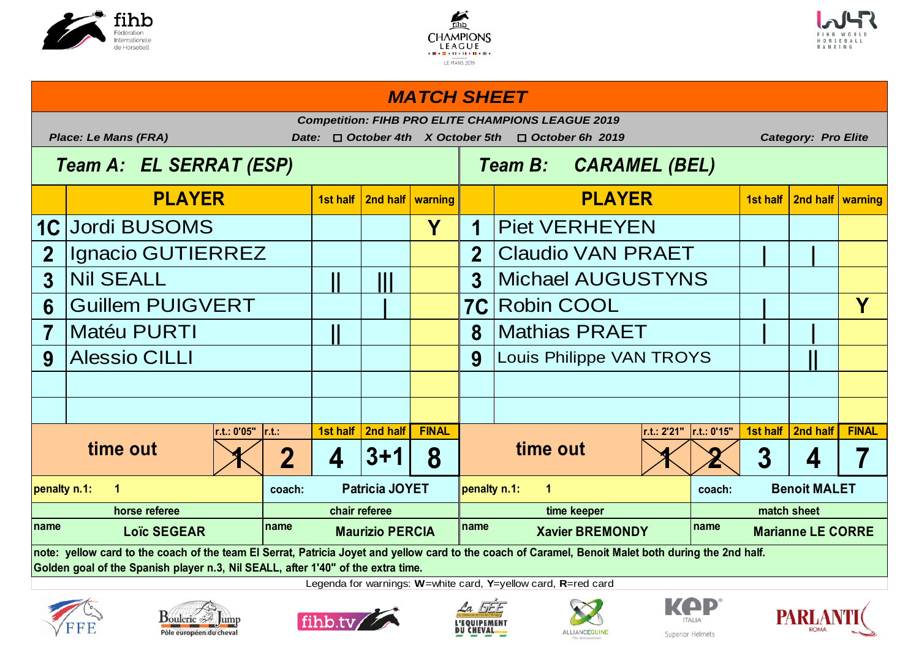





### **1st half 2nd half warning 1st half 2nd half warning 1C Y 1 2 2 | |** Ignacio GUTIERREZ Claudio VAN PRAET **3 || ||| 3 6** Guillem PUIGVERT RODING ROBIN COOL **7 |** Matéu PURTI | | | | 8 |Mathias PRAET | | | **9 9 ||** Alessio CILLI Louis Philippe VAN TROYS **r.t.: 0'05" r.t.: 1st half 2nd half FINAL r.t.: 2'21" r.t.: 0'15" 1st half 2nd half FINAL**  $\left| \left| \left( \left| \left( \left| \left| \left| \left| \left| \right| \right| \right| \right) \right| \right) \right| \right| \right| \right| = 1$  3 4 7 **coach: Patricia JOYET penalty n.1: 1 coach: coach: coach: name name name name PLAYER PLAYER** *MATCH SHEET Competition: FIHB PRO ELITE CHAMPIONS LEAGUE 2019 Place: Le Mans (FRA) Date:* o *October 4th X October 5th* o *October 6h 2019 Category: Pro Elite Team A: EL SERRAT (ESP) Team B: CARAMEL (BEL)* **Piet VERHEYEN** Michael AUGUSTYNS **time out**  $\begin{array}{|c|c|c|c|c|}\hline \text{time out} & \text{if} & \text{if} & \text{if} & \text{if} & \text{if} & \text{if} & \text{if} & \text{if} & \text{if} & \text{if} & \text{if} & \text{if} & \text{if} & \text{if} & \text{if} & \text{if} & \text{if} & \text{if} & \text{if} & \text{if} & \text{if} & \text{if} & \text{if} & \text{if} & \text{if} & \text{if} & \text{if} & \text{if} & \text{if} & \text{if} & \text{if$ **penalty n.1: 1 Patricia JOYET penalty n.1: 1 Benoit MALET horse referee chair referee time keeper match sheet Marianne LE CORRE note: yellow card to the coach of the team El Serrat, Patricia Joyet and yellow card to the coach of Caramel, Benoit Malet both during the 2nd half. Golden goal of the Spanish player n.3, Nil SEALL, after 1'40" of the extra time.**













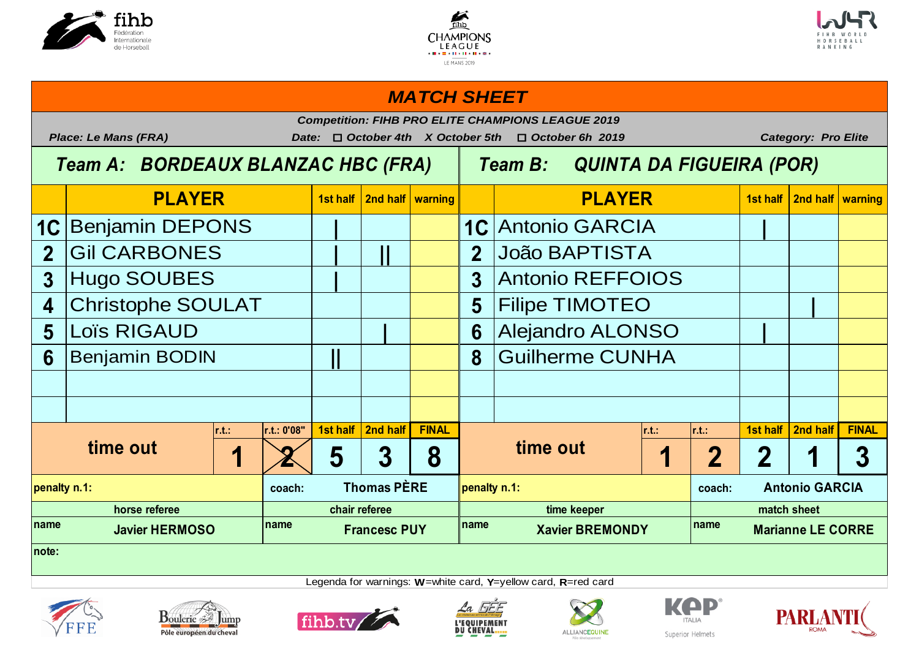





### **1st half 2nd half warning 1st half 2nd half warning** 1C Benjamin DEPONS | | | | | | 1C Antonio GARCIA | | **2 | || 2 3** Hugo SOUBES **Antonio REFFOIOS** 4 Christophe SOULAT  $\begin{array}{|c|c|c|c|c|c|} \hline \textbf{4} & \textbf{5} & \textbf{Filipe}} \textbf{TMOTEO} & & & \textbf{1} & \textbf{1} \ \hline \end{array}$ **5** Loïs RIGAUD **Alejandro ALONSO 6** Benjamin BODIN **1 | | | | | | 8 r.t.: r.t.: 0'08" 1st half 2nd half FINAL r.t.: r.t.: 1st half 2nd half FINAL** 1 2 5 3 8 **1 <b>1 2 3** 1 3 **coach: Coach: Coach: Coach: Coach: Coach: coach: coach: coach: coach: coach: coach: coach: name name name name PLAYER PLAYER** *MATCH SHEET Competition: FIHB PRO ELITE CHAMPIONS LEAGUE 2019 Place: Le Mans (FRA) Date:* o *October 4th X October 5th* o *October 6h 2019 Category: Pro Elite Team A: BORDEAUX BLANZAC HBC (FRA) Team B: QUINTA DA FIGUEIRA (POR)* João BAPTISTA **Guilherme CUNHA time out 1 2 5 3 8 time out penalty n.1: Thomas PÈRE penalty n.1: Antonio GARCIA horse referee chair referee time keeper match sheet Javier HERMOSO Francesc PUY Xavier BREMONDY Marianne LE CORRE note:**









Legenda for warnings: **W**=white card, **Y**=yellow card, **R**=red card





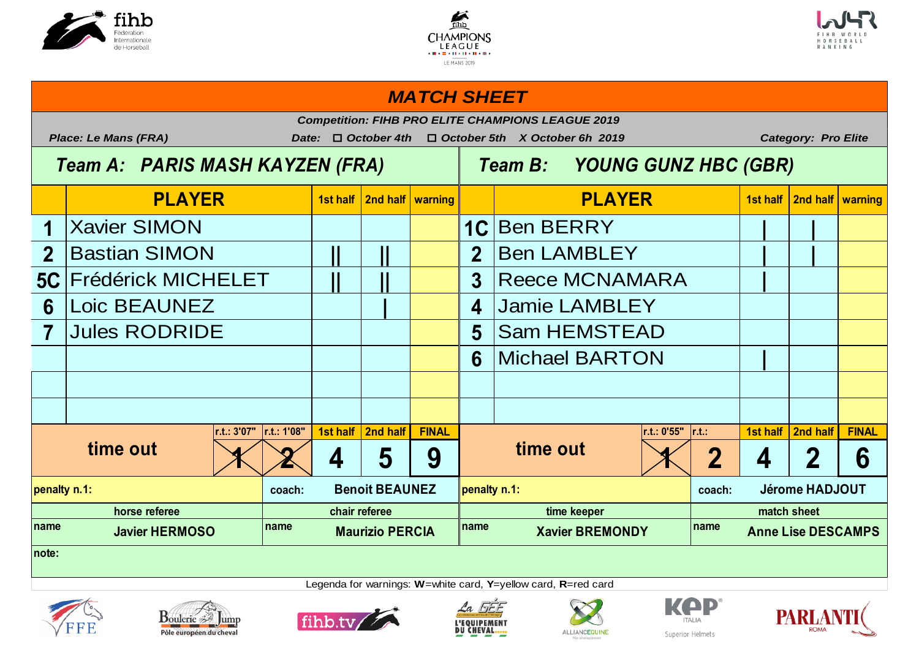





### **1st half 2nd half warning 1st half 2nd half warning** 1 **Xavier SIMON Ben BERRY Ben BERRY 2 Bastian SIMON Ben LAMBLEY Ben LAMBLEY Ben LAMBLEY 5C** Frédérick MICHELET  $\begin{array}{|c|c|c|c|c|}\hline \text{I} & \text{I} & \text{I} & \text{I} & \text{I} & \text{I} & \text{I} & \text{I} & \text{I} & \text{I} & \text{I} & \text{I} & \text{I} & \text{I} & \text{I} & \text{I} & \text{I} & \text{I} & \text{I} & \text{I} & \text{I} & \text{I} & \text{I} & \text{I} & \text{I} & \text{I} & \text{I} & \text{I} & \text{I} & \text{I$ **6 | 4 7 Jules RODRIDE 1 1 1 1 5 6 |** Michael BARTON **r.t.: 3'07" r.t.: 1'08" 1st half 2nd half FINAL r.t.: 0'55" r.t.: 1st half 2nd half FINAL**  $\sqrt{2}$  4 5 9  $\sqrt{2}$   $\sqrt{2}$  4 2 6 **coach:** Benoit BEAUNEZ penalty n.1: **coach:** coach: coach: **name name name name PLAYER PLAYER** *MATCH SHEET Competition: FIHB PRO ELITE CHAMPIONS LEAGUE 2019 Place: Le Mans (FRA) Date:* o *October 4th* o *October 5th X October 6h 2019 Category: Pro Elite Team A: PARIS MASH KAYZEN (FRA) Team B: YOUNG GUNZ HBC (GBR)* **Jamie LAMBLEY** Sam HEMSTEAD **time out x x 4 5 9 time out penalty n.1: Benoit BEAUNEZ penalty n.1: Denalty n.1: Denalty n.1: Penalty n.1: Penalty n.1: Penalty n.1: Penalty n.1: Penalty n.1: Penalty n.1: Penalty n.1: Penalty n.1: Penalty n.1: Penalty n horse referee chair referee time keeper match sheet Javier HERMOSO Maurizio PERCIA Xavier BREMONDY Anne Lise DESCAMPS note:**













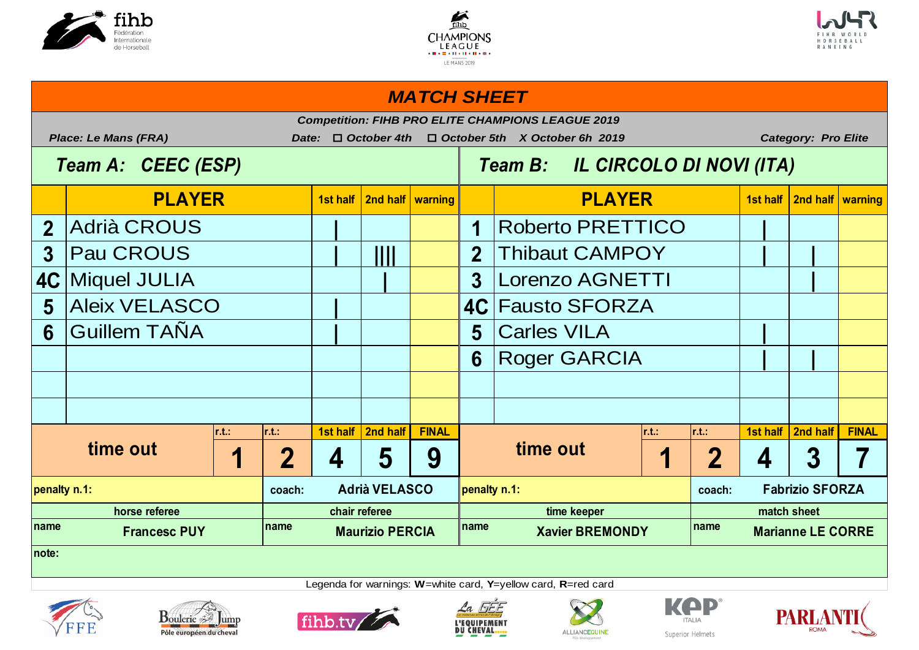





# **1st half 2nd half warning 1st half 2nd half warning** 2 Adrià CROUS Roberto PRETTICO **3**  $\begin{bmatrix}$  **Pau CROUS**  $\begin{bmatrix} 1 & 1 \\ 1 & 2 \end{bmatrix}$  **2**  $\begin{bmatrix}$  Thibaut CAMPOY  $\begin{bmatrix} 1 & 1 \\ 1 & 1 \end{bmatrix}$ **4C | 3 |** Miquel JULIA Lorenzo AGNETTI 5 Aleix VELASCO **Fausto SFORZA 6 | 5 |** Guillem TAÑA Carles VILA **6 | |** Roger GARCIA **r.t.: r.t.: 1st half 2nd half FINAL r.t.: r.t.: 1st half 2nd half FINAL 1 2 4 5 9 1 2 4 3 7 coach: coach:** name **12.1 The Little Example 2.1 The Maurizio PERCIA** Primane **Xavier BREMONDY** Primane **PLAYER PLAYER** *MATCH SHEET Competition: FIHB PRO ELITE CHAMPIONS LEAGUE 2019 Place: Le Mans (FRA) Date:* o *October 4th* o *October 5th X October 6h 2019 Category: Pro Elite Team A: CEEC (ESP) Team B: IL CIRCOLO DI NOVI (ITA)* **time out 1** | 2 | 4 | 5 | 9 | **time out penalty n.1: Advisory CONTACT CONTACT Addrig VELASCO penalty n.1: Advisory CONTACT CONTACT Experiment CONTACT CONTACT PROPERTY horse referee chair referee time keeper match sheet Marianne LE CORRE note:**









Legenda for warnings: **W**=white card, **Y**=yellow card, **R**=red card





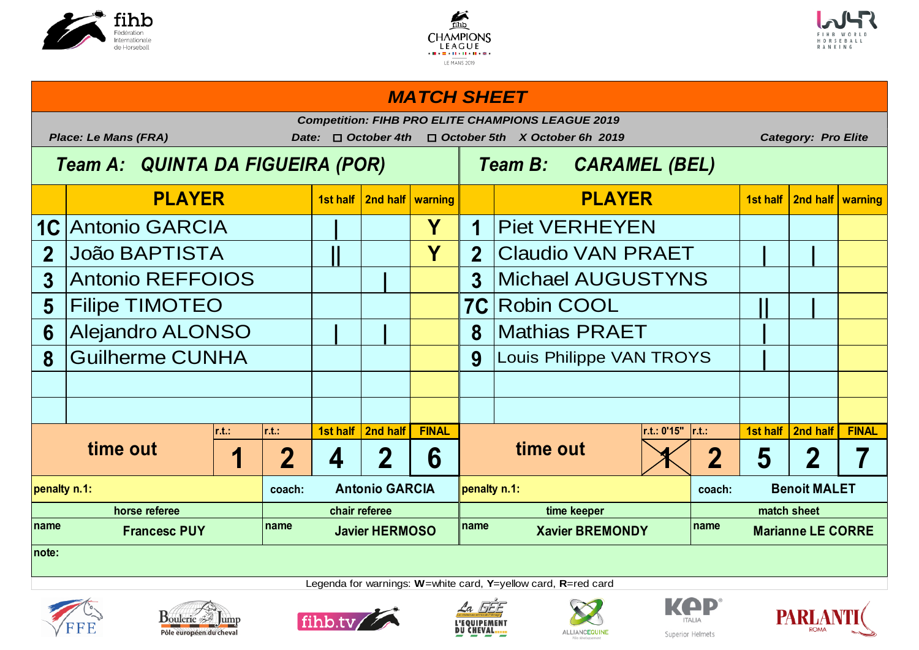





## **1st half 2nd half warning 1st half 2nd half warning** 1C Antonio GARCIA **Piet VERHEYEN 2 || Y 2 | |** João BAPTISTA Claudio VAN PRAET **3 | 3 5** Filipe TIMOTEO **Rightland Property Cool** Robin COOL Robin COOL **6** Alejandro ALONSO  $\begin{array}{|c|c|c|c|c|c|c|c|} \hline \text{A} & \text{A} & \text{B} & \text{Mathias PRAET} \ \hline \end{array}$ **8** Guilherme CUNHA Louis Philippe VAN TROYS **r.t.: r.t.: 1st half 2nd half FINAL r.t.: 0'15" r.t.: 1st half 2nd half FINAL** 1 2 4 2 6 **1 2** 5 2 7 **coach: coach: name name name name PLAYER PLAYER** *MATCH SHEET Competition: FIHB PRO ELITE CHAMPIONS LEAGUE 2019 Place: Le Mans (FRA) Date:* o *October 4th* o *October 5th X October 6h 2019 Category: Pro Elite Team A: QUINTA DA FIGUEIRA (POR) Team B: CARAMEL (BEL)* **Michael AUGUSTYNS time out time out penalty n.1: Antonio GARCIA penalty n.1: Benoit MALET horse referee chair referee time keeper match sheet Marianne LE CORRE note:**













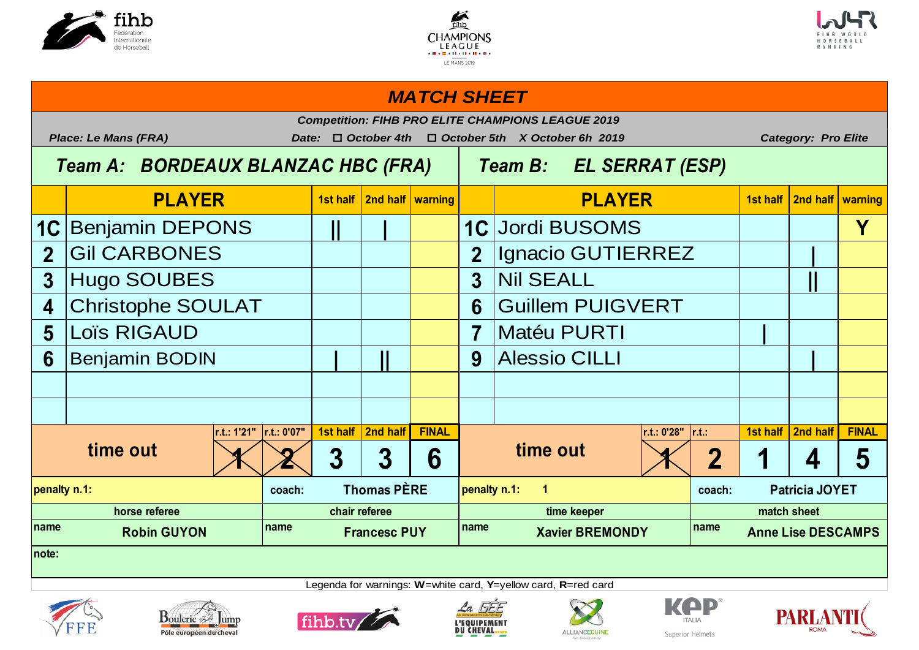





# **1st half 2nd half warning 1st half 2nd half warning** 1C Benjamin DEPONS | || | | | | 1C Jordi BUSOMS | | | | | <mark>Y</mark> 2 Gil CARBONES **Interpretation in the UP** of Lignacio GUTIERREZ **Interpretational interpretation 3 3 ||** Hugo SOUBES Nil SEALL **4 6** Christophe SOULAT Guillem PUIGVERT **5** Loïs RIGAUD **Matéu PURTI** Matéu PURTI Matéu PURTI **6** Benjamin BODIN **Alessio CILLI Alessio CILLI Alessio CILLI Alessio CILLI r.t.: 1'21" r.t.: 0'07" 1st half 2nd half FINAL r.t.: 0'28" r.t.: 1st half 2nd half FINAL**  $1 \times 2 3 3 3 6$  **time out**  $1 \times 2 1 4 5$ **coach: Coach: Coach: Coach: Coach: Coach: coach: coach: coach: coach: coach:** name **name name name name name name name name name name name name penalty n.1: Thomas PÈRE penalty n.1: 1 Patricia JOYET horse referee chair referee time keeper match sheet Robin GUYON Francesc PUY Xavier BREMONDY Anne Lise DESCAMPS note: time out x x 3 3 6 time out PLAYER PLAYER** *MATCH SHEET Competition: FIHB PRO ELITE CHAMPIONS LEAGUE 2019 Place: Le Mans (FRA) Date:* o *October 4th* o *October 5th X October 6h 2019 Category: Pro Elite Team A: BORDEAUX BLANZAC HBC (FRA) Team B: EL SERRAT (ESP)*